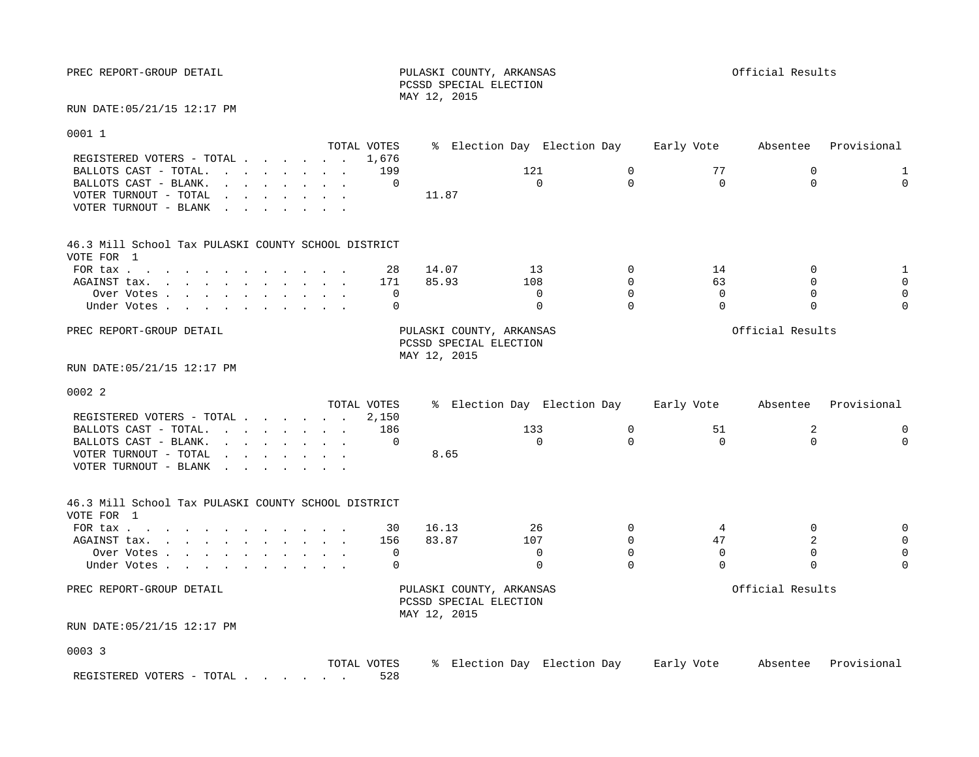PREC REPORT-GROUP DETAIL **PULASKI COUNTY, ARKANSAS** PREC REPORT-GROUP DETAIL PCSSD SPECIAL ELECTION MAY 12, 2015

RUN DATE:05/21/15 12:17 PM

 $00011$ 

| OUUI T                                                                                                                                                                                                                                                     |             |                          |                             |                  |                           |             |
|------------------------------------------------------------------------------------------------------------------------------------------------------------------------------------------------------------------------------------------------------------|-------------|--------------------------|-----------------------------|------------------|---------------------------|-------------|
|                                                                                                                                                                                                                                                            | TOTAL VOTES |                          | % Election Day Election Day | Early Vote       | Absentee                  | Provisional |
| REGISTERED VOTERS - TOTAL                                                                                                                                                                                                                                  | 1,676       |                          |                             |                  |                           |             |
| BALLOTS CAST - TOTAL.                                                                                                                                                                                                                                      | 199         |                          | 121<br>$\mathbf 0$          | 77               | $\mathbf 0$               | 1           |
| BALLOTS CAST - BLANK.<br>$\mathbf{r}$ , $\mathbf{r}$ , $\mathbf{r}$ , $\mathbf{r}$ , $\mathbf{r}$ , $\mathbf{r}$                                                                                                                                           | $\mathbf 0$ |                          | $\mathbf 0$<br>$\Omega$     | $\Omega$         | $\Omega$                  | $\Omega$    |
| VOTER TURNOUT - TOTAL<br>$\mathbf{r}$ . The set of the set of the set of the set of the set of the set of the set of the set of the set of the set of the set of the set of the set of the set of the set of the set of the set of the set of the set of t |             | 11.87                    |                             |                  |                           |             |
| VOTER TURNOUT - BLANK<br>the contract of the contract of the contract of the contract of the contract of the contract of the contract of                                                                                                                   |             |                          |                             |                  |                           |             |
|                                                                                                                                                                                                                                                            |             |                          |                             |                  |                           |             |
| 46.3 Mill School Tax PULASKI COUNTY SCHOOL DISTRICT                                                                                                                                                                                                        |             |                          |                             |                  |                           |             |
| VOTE FOR 1                                                                                                                                                                                                                                                 |             |                          |                             |                  |                           |             |
| FOR tax                                                                                                                                                                                                                                                    | 28          | 14.07                    | 13<br>$\Omega$              | 14               | $\mathbf 0$               |             |
| AGAINST tax.                                                                                                                                                                                                                                               | 171         | 85.93                    | $\Omega$<br>108             | 63               | $\Omega$                  |             |
| Over Votes                                                                                                                                                                                                                                                 | $\mathbf 0$ |                          | $\mathbf 0$<br>$\Omega$     | $\mathbf 0$      | $\Omega$                  |             |
| Under Votes                                                                                                                                                                                                                                                | $\Omega$    |                          | $\Omega$<br>$\Omega$        | $\Omega$         | $\Omega$                  | $\Omega$    |
|                                                                                                                                                                                                                                                            |             |                          |                             |                  |                           |             |
| PREC REPORT-GROUP DETAIL                                                                                                                                                                                                                                   |             | PULASKI COUNTY, ARKANSAS |                             |                  | Official Results          |             |
|                                                                                                                                                                                                                                                            |             | PCSSD SPECIAL ELECTION   |                             |                  |                           |             |
|                                                                                                                                                                                                                                                            |             | MAY 12, 2015             |                             |                  |                           |             |
| RUN DATE: 05/21/15 12:17 PM                                                                                                                                                                                                                                |             |                          |                             |                  |                           |             |
| 0002 2                                                                                                                                                                                                                                                     |             |                          |                             |                  |                           |             |
|                                                                                                                                                                                                                                                            | TOTAL VOTES |                          | % Election Day Election Day | Early Vote       | Absentee                  | Provisional |
| REGISTERED VOTERS - TOTAL                                                                                                                                                                                                                                  | 2,150       |                          |                             |                  |                           |             |
| BALLOTS CAST - TOTAL.                                                                                                                                                                                                                                      | 186         |                          | 133<br>0                    | 51               | 2                         | 0           |
| BALLOTS CAST - BLANK.<br>$\mathbf{r}$ . The contract of the contract of the contract of the contract of the contract of the contract of the contract of the contract of the contract of the contract of the contract of the contract of the contract of th | $\Omega$    |                          | $\Omega$<br>$\Omega$        | $\Omega$         | $\Omega$                  | $\Omega$    |
| VOTER TURNOUT - TOTAL<br>the contract of the contract of the contract of the contract of the contract of the contract of the contract of                                                                                                                   |             | 8.65                     |                             |                  |                           |             |
| VOTER TURNOUT - BLANK                                                                                                                                                                                                                                      |             |                          |                             |                  |                           |             |
|                                                                                                                                                                                                                                                            |             |                          |                             |                  |                           |             |
| 46.3 Mill School Tax PULASKI COUNTY SCHOOL DISTRICT                                                                                                                                                                                                        |             |                          |                             |                  |                           |             |
| VOTE FOR 1                                                                                                                                                                                                                                                 |             |                          |                             |                  |                           |             |
| FOR tax                                                                                                                                                                                                                                                    | 30          | 16.13                    | 26<br>$\Omega$              | 4                | $\mathbf 0$               |             |
| AGAINST tax.                                                                                                                                                                                                                                               | 156         | 83.87                    | 107<br>$\Omega$             | 47               | 2                         |             |
| Over Votes                                                                                                                                                                                                                                                 | $\mathbf 0$ |                          | $\Omega$<br>$\Omega$        | $\Omega$         | $\mathbf 0$               |             |
| Under Votes                                                                                                                                                                                                                                                | 0           |                          | $\mathbf 0$<br>$\Omega$     | $\Omega$         | $\Omega$                  |             |
|                                                                                                                                                                                                                                                            |             |                          |                             |                  |                           |             |
| PREC REPORT-GROUP DETAIL                                                                                                                                                                                                                                   |             | PULASKI COUNTY, ARKANSAS |                             |                  | Official Results          |             |
|                                                                                                                                                                                                                                                            |             | PCSSD SPECIAL ELECTION   |                             |                  |                           |             |
|                                                                                                                                                                                                                                                            |             | MAY 12, 2015             |                             |                  |                           |             |
| RUN DATE: 05/21/15 12:17 PM                                                                                                                                                                                                                                |             |                          |                             |                  |                           |             |
|                                                                                                                                                                                                                                                            |             |                          |                             |                  |                           |             |
| 0003 3                                                                                                                                                                                                                                                     |             |                          |                             |                  |                           |             |
|                                                                                                                                                                                                                                                            |             |                          |                             | $T = -1 - 1 - 1$ | Alexandrea Ducesial and I |             |

 TOTAL VOTES % Election Day Election Day Early Vote Absentee Provisional REGISTERED VOTERS - TOTAL . . . . . . 528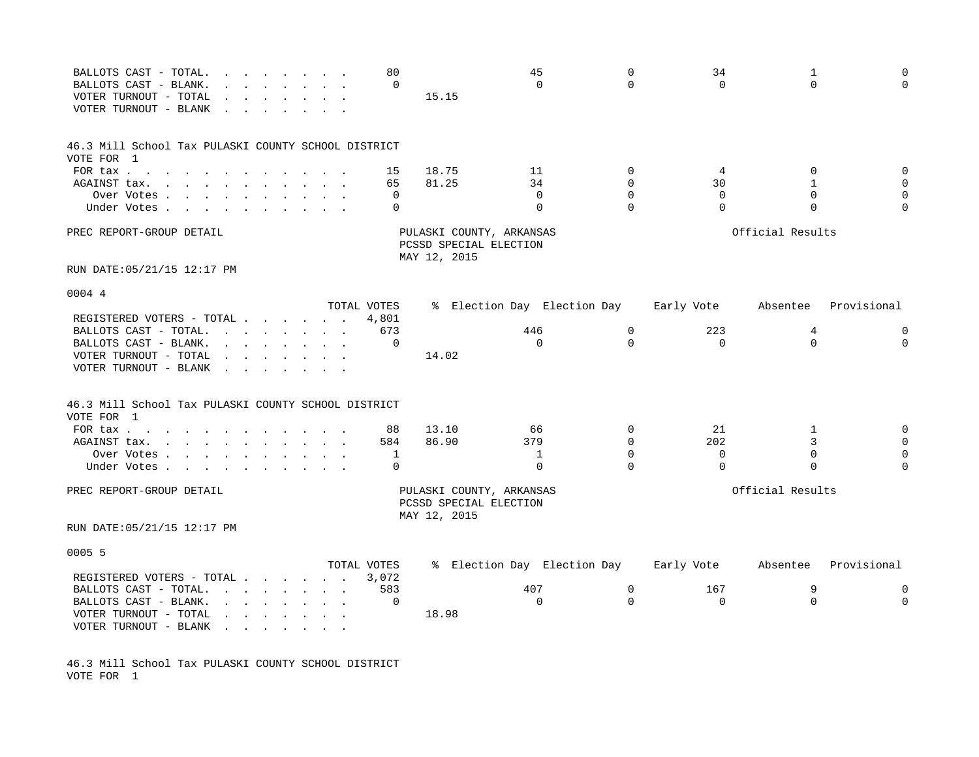| BALLOTS CAST - TOTAL.<br>BALLOTS CAST - BLANK.<br>VOTER TURNOUT - TOTAL<br>VOTER TURNOUT - BLANK                                |                                                                                               | the contract of the contract of the contract of the contract of the contract of the contract of the contract of | 80<br>$\mathbf 0$    | 15.15                                                              | 45<br>$\Omega$              | $\mathbf 0$<br>$\Omega$ | 34<br>$\Omega$ | 1<br>$\Omega$    | $\mathbf 0$<br>$\mathbf 0$ |
|---------------------------------------------------------------------------------------------------------------------------------|-----------------------------------------------------------------------------------------------|-----------------------------------------------------------------------------------------------------------------|----------------------|--------------------------------------------------------------------|-----------------------------|-------------------------|----------------|------------------|----------------------------|
| 46.3 Mill School Tax PULASKI COUNTY SCHOOL DISTRICT<br>VOTE FOR 1                                                               |                                                                                               |                                                                                                                 |                      |                                                                    |                             |                         |                |                  |                            |
| FOR tax $\cdots$ $\cdots$ $\cdots$                                                                                              |                                                                                               |                                                                                                                 | 15                   | 18.75                                                              | 11                          | 0                       | 4              | 0                | 0                          |
| AGAINST tax.<br>the contract of the contract of the contract of the contract of the contract of the contract of the contract of |                                                                                               |                                                                                                                 | 65                   | 81.25                                                              | 34                          | $\Omega$                | 30             | $\mathbf{1}$     | $\mathbf 0$                |
| Over Votes                                                                                                                      |                                                                                               |                                                                                                                 | 0                    |                                                                    | 0                           | $\Omega$                | $\Omega$       | $\Omega$         | $\mathbf 0$                |
| Under Votes.<br>$\mathbf{r} = \mathbf{r}$ , and $\mathbf{r} = \mathbf{r}$                                                       |                                                                                               |                                                                                                                 | $\Omega$             |                                                                    | $\Omega$                    | $\Omega$                | $\Omega$       | $\Omega$         | $\Omega$                   |
| PREC REPORT-GROUP DETAIL                                                                                                        |                                                                                               |                                                                                                                 |                      | PULASKI COUNTY, ARKANSAS<br>PCSSD SPECIAL ELECTION<br>MAY 12, 2015 |                             |                         |                | Official Results |                            |
| RUN DATE: 05/21/15 12:17 PM                                                                                                     |                                                                                               |                                                                                                                 |                      |                                                                    |                             |                         |                |                  |                            |
| 0004 4                                                                                                                          |                                                                                               |                                                                                                                 |                      |                                                                    |                             |                         |                |                  |                            |
|                                                                                                                                 |                                                                                               |                                                                                                                 | TOTAL VOTES          |                                                                    | % Election Day Election Day |                         | Early Vote     | Absentee         | Provisional                |
| REGISTERED VOTERS - TOTAL                                                                                                       |                                                                                               |                                                                                                                 | 4,801                |                                                                    |                             |                         |                |                  |                            |
| BALLOTS CAST - TOTAL.                                                                                                           |                                                                                               | the contract of the contract of the contract of the contract of the contract of the contract of the contract of | 673                  |                                                                    | 446                         | $\mathbf 0$             | 223            | 4                | 0                          |
| BALLOTS CAST - BLANK.<br>VOTER TURNOUT - TOTAL<br>VOTER TURNOUT - BLANK<br>$\sim$                                               | $\mathbf{r} = \mathbf{r} \cdot \mathbf{r}$ , where $\mathbf{r} = \mathbf{r} \cdot \mathbf{r}$ | $\mathbf{r} = \mathbf{r} - \mathbf{r}$ , $\mathbf{r} = \mathbf{r} - \mathbf{r}$ , $\mathbf{r} = \mathbf{r}$     | $\Omega$             | 14.02                                                              | $\Omega$                    | $\Omega$                | $\Omega$       | $\Omega$         | $\Omega$                   |
| 46.3 Mill School Tax PULASKI COUNTY SCHOOL DISTRICT<br>VOTE FOR 1                                                               |                                                                                               |                                                                                                                 |                      |                                                                    |                             |                         |                |                  |                            |
| FOR tax $\cdots$ $\cdots$ $\cdots$                                                                                              |                                                                                               |                                                                                                                 | 88                   | 13.10                                                              | 66                          | $\Omega$                | 21             | 1                | 0                          |
| AGAINST tax.<br>the contract of the contract of the contract of the contract of the contract of the contract of the contract of |                                                                                               |                                                                                                                 | 584                  | 86.90                                                              | 379                         | $\Omega$                | 202            | 3                | $\mathbf 0$                |
| Over Votes                                                                                                                      |                                                                                               |                                                                                                                 | 1                    |                                                                    | 1                           | $\mathbf 0$             | $\mathbf 0$    | $\mathbf 0$      | $\mathbf 0$                |
| Under Votes .<br>$\sim$ $\sim$ $\sim$                                                                                           |                                                                                               |                                                                                                                 | $\Omega$             |                                                                    | $\Omega$                    | $\Omega$                | $\Omega$       | $\Omega$         | $\Omega$                   |
| PREC REPORT-GROUP DETAIL                                                                                                        |                                                                                               |                                                                                                                 |                      | PULASKI COUNTY, ARKANSAS<br>PCSSD SPECIAL ELECTION<br>MAY 12, 2015 |                             |                         |                | Official Results |                            |
| RUN DATE: 05/21/15 12:17 PM                                                                                                     |                                                                                               |                                                                                                                 |                      |                                                                    |                             |                         |                |                  |                            |
| 0005 5                                                                                                                          |                                                                                               |                                                                                                                 |                      |                                                                    |                             |                         |                |                  |                            |
| REGISTERED VOTERS - TOTAL                                                                                                       |                                                                                               |                                                                                                                 | TOTAL VOTES<br>3,072 |                                                                    | % Election Day Election Day |                         | Early Vote     | Absentee         | Provisional                |
| BALLOTS CAST - TOTAL.                                                                                                           |                                                                                               | $\mathbf{r} = \mathbf{r} - \mathbf{r}$ , where $\mathbf{r} = \mathbf{r} - \mathbf{r}$                           | 583                  |                                                                    | 407                         | $\mathbf 0$             | 167            | 9                | 0                          |
| BALLOTS CAST - BLANK.                                                                                                           |                                                                                               | $\mathbf{r} = \mathbf{r} - \mathbf{r}$ , where $\mathbf{r} = \mathbf{r} - \mathbf{r}$                           | 0                    |                                                                    | $\mathbf 0$                 | $\Omega$                | $\Omega$       | $\mathbf 0$      | $\Omega$                   |
| VOTER TURNOUT - TOTAL<br>VOTER TURNOUT - BLANK                                                                                  | $\mathbf{r}$ , $\mathbf{r}$ , $\mathbf{r}$ , $\mathbf{r}$ , $\mathbf{r}$ , $\mathbf{r}$       |                                                                                                                 |                      | 18.98                                                              |                             |                         |                |                  |                            |

46.3 Mill School Tax PULASKI COUNTY SCHOOL DISTRICT VOTE FOR 1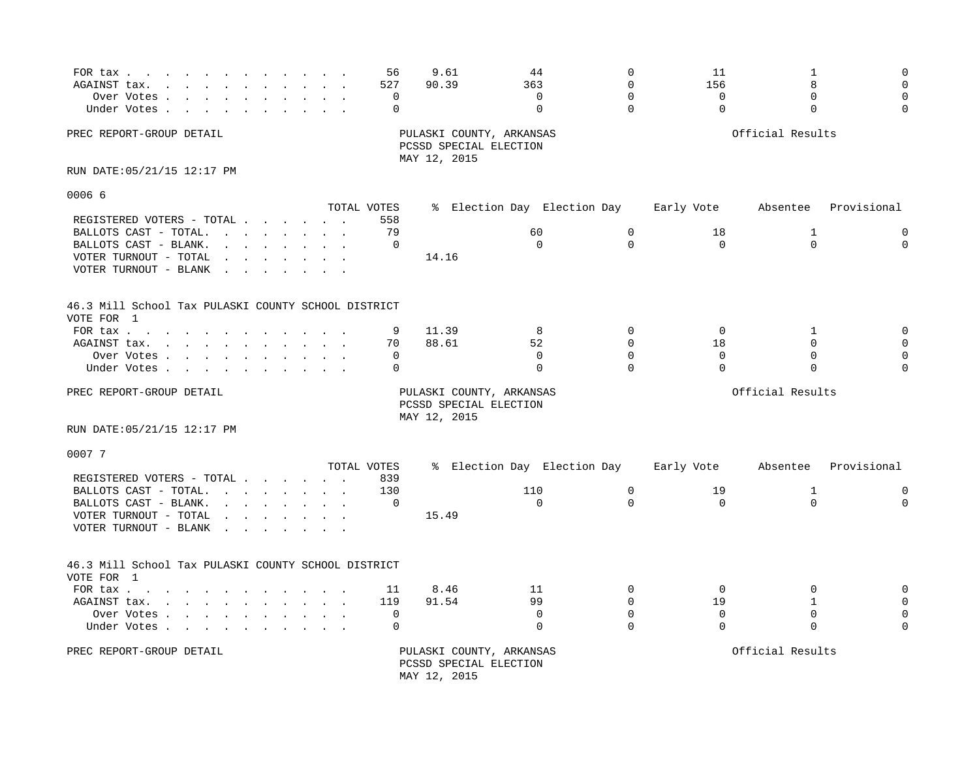| FOR tax<br>AGAINST tax.<br>the contract of the contract of the contract of the contract of the contract of the contract of the contract of<br>Over Votes<br>Under Votes.<br>the contract of the contract of the contract of the contract of the contract of the contract of the contract of                                                                                                                                                                                                                                                                                                                 | 56<br>527<br>0<br>0           | 9.61<br>90.39                          | 44<br>363<br>$\Omega$<br>$\mathbf 0$          | $\Omega$<br>$\Omega$<br>$\Omega$<br>$\Omega$ | 11<br>156<br>$\mathbf 0$<br>$\Omega$ | 1<br>8<br>$\Omega$<br>$\Omega$          | $\Omega$<br>$\Omega$<br>$\Omega$<br>$\Omega$ |
|-------------------------------------------------------------------------------------------------------------------------------------------------------------------------------------------------------------------------------------------------------------------------------------------------------------------------------------------------------------------------------------------------------------------------------------------------------------------------------------------------------------------------------------------------------------------------------------------------------------|-------------------------------|----------------------------------------|-----------------------------------------------|----------------------------------------------|--------------------------------------|-----------------------------------------|----------------------------------------------|
| PREC REPORT-GROUP DETAIL                                                                                                                                                                                                                                                                                                                                                                                                                                                                                                                                                                                    |                               | PCSSD SPECIAL ELECTION<br>MAY 12, 2015 | PULASKI COUNTY, ARKANSAS                      |                                              |                                      | Official Results                        |                                              |
| RUN DATE: 05/21/15 12:17 PM                                                                                                                                                                                                                                                                                                                                                                                                                                                                                                                                                                                 |                               |                                        |                                               |                                              |                                      |                                         |                                              |
| 0006 6                                                                                                                                                                                                                                                                                                                                                                                                                                                                                                                                                                                                      |                               |                                        |                                               |                                              |                                      |                                         |                                              |
| REGISTERED VOTERS - TOTAL<br>BALLOTS CAST - TOTAL.<br>BALLOTS CAST - BLANK.<br>$\mathbf{r} = \mathbf{r} + \mathbf{r} + \mathbf{r} + \mathbf{r} + \mathbf{r} + \mathbf{r} + \mathbf{r} + \mathbf{r} + \mathbf{r} + \mathbf{r} + \mathbf{r} + \mathbf{r} + \mathbf{r} + \mathbf{r} + \mathbf{r} + \mathbf{r} + \mathbf{r} + \mathbf{r} + \mathbf{r} + \mathbf{r} + \mathbf{r} + \mathbf{r} + \mathbf{r} + \mathbf{r} + \mathbf{r} + \mathbf{r} + \mathbf{r} + \mathbf{r} + \mathbf{r} + \mathbf{r} + \mathbf$<br>VOTER TURNOUT - TOTAL<br>$\mathbf{L} = \mathbf{L}$<br>VOTER TURNOUT - BLANK<br>$\sim$ $\sim$ | TOTAL VOTES<br>558<br>79<br>0 | 14.16                                  | % Election Day Election Day<br>60<br>$\Omega$ | $\mathbf 0$<br>$\Omega$                      | Early Vote<br>18<br>$\mathbf 0$      | Absentee<br>$\mathbf{1}$<br>$\mathbf 0$ | Provisional<br>$\mathbf 0$<br>$\mathbf 0$    |
| 46.3 Mill School Tax PULASKI COUNTY SCHOOL DISTRICT<br>VOTE FOR 1                                                                                                                                                                                                                                                                                                                                                                                                                                                                                                                                           |                               |                                        |                                               |                                              |                                      |                                         |                                              |
| FOR $\text{tax}$                                                                                                                                                                                                                                                                                                                                                                                                                                                                                                                                                                                            | 9                             | 11.39                                  | 8                                             | $\Omega$                                     | 0                                    | 1                                       | $\mathbf 0$                                  |
| AGAINST tax.<br>the contract of the contract of the contract of the contract of the contract of the contract of the contract of                                                                                                                                                                                                                                                                                                                                                                                                                                                                             | 70                            | 88.61                                  | 52                                            | $\Omega$                                     | 18                                   | $\Omega$                                | $\Omega$                                     |
| Over Votes<br>Under Votes                                                                                                                                                                                                                                                                                                                                                                                                                                                                                                                                                                                   | $\Omega$<br>$\Omega$          |                                        | $\Omega$<br>$\Omega$                          | $\Omega$<br>$\Omega$                         | $\Omega$<br>$\Omega$                 | $\Omega$<br>$\mathbf 0$                 |                                              |
| PREC REPORT-GROUP DETAIL<br>RUN DATE: 05/21/15 12:17 PM                                                                                                                                                                                                                                                                                                                                                                                                                                                                                                                                                     |                               | PCSSD SPECIAL ELECTION<br>MAY 12, 2015 | PULASKI COUNTY, ARKANSAS                      |                                              |                                      | Official Results                        |                                              |
| 0007 7                                                                                                                                                                                                                                                                                                                                                                                                                                                                                                                                                                                                      |                               |                                        |                                               |                                              |                                      |                                         |                                              |
|                                                                                                                                                                                                                                                                                                                                                                                                                                                                                                                                                                                                             | TOTAL VOTES                   |                                        | % Election Day Election Day                   |                                              | Early Vote                           | Absentee                                | Provisional                                  |
| REGISTERED VOTERS - TOTAL<br>BALLOTS CAST - TOTAL.<br><u>in the second contract of the second second</u>                                                                                                                                                                                                                                                                                                                                                                                                                                                                                                    | 839<br>130                    |                                        | 110                                           | $\mathbf 0$                                  | 19                                   | 1                                       | $\mathbf 0$                                  |
| BALLOTS CAST - BLANK.<br>$\mathbf{r} = \mathbf{r} + \mathbf{r} + \mathbf{r} + \mathbf{r} + \mathbf{r} + \mathbf{r} + \mathbf{r} + \mathbf{r} + \mathbf{r} + \mathbf{r} + \mathbf{r} + \mathbf{r} + \mathbf{r} + \mathbf{r} + \mathbf{r} + \mathbf{r} + \mathbf{r} + \mathbf{r} + \mathbf{r} + \mathbf{r} + \mathbf{r} + \mathbf{r} + \mathbf{r} + \mathbf{r} + \mathbf{r} + \mathbf{r} + \mathbf{r} + \mathbf{r} + \mathbf{r} + \mathbf{r} + \mathbf$                                                                                                                                                       | 0                             |                                        | $\mathbf 0$                                   | $\Omega$                                     | $\mathbf 0$                          | $\mathbf 0$                             | $\mathbf 0$                                  |
| VOTER TURNOUT - TOTAL<br>$\mathbf{L}$ and $\mathbf{L}$<br>VOTER TURNOUT - BLANK<br>$\mathcal{L}^{\text{max}}$ and $\mathcal{L}^{\text{max}}$<br>$\sim$                                                                                                                                                                                                                                                                                                                                                                                                                                                      |                               | 15.49                                  |                                               |                                              |                                      |                                         |                                              |
| 46.3 Mill School Tax PULASKI COUNTY SCHOOL DISTRICT<br>VOTE FOR 1                                                                                                                                                                                                                                                                                                                                                                                                                                                                                                                                           |                               |                                        |                                               |                                              |                                      |                                         |                                              |
| FOR tax $\cdots$ $\cdots$ $\cdots$                                                                                                                                                                                                                                                                                                                                                                                                                                                                                                                                                                          | 11                            | 8.46                                   | 11                                            | $\mathbf 0$                                  | $\mathbf 0$                          | $\mathbf 0$                             | $\mathbf 0$                                  |
| AGAINST tax.                                                                                                                                                                                                                                                                                                                                                                                                                                                                                                                                                                                                | 119                           | 91.54                                  | 99                                            | $\Omega$                                     | 19                                   | $\mathbf{1}$                            | $\Omega$                                     |
| Over Votes<br>Under Votes                                                                                                                                                                                                                                                                                                                                                                                                                                                                                                                                                                                   | 0<br>0                        |                                        | $\mathbf 0$<br>$\Omega$                       | $\Omega$<br>$\Omega$                         | $\mathbf 0$<br>$\Omega$              | $\Omega$<br>$\Omega$                    | $\Omega$<br>$\Omega$                         |
| PREC REPORT-GROUP DETAIL                                                                                                                                                                                                                                                                                                                                                                                                                                                                                                                                                                                    |                               | PCSSD SPECIAL ELECTION<br>MAY 12, 2015 | PULASKI COUNTY, ARKANSAS                      |                                              |                                      | Official Results                        |                                              |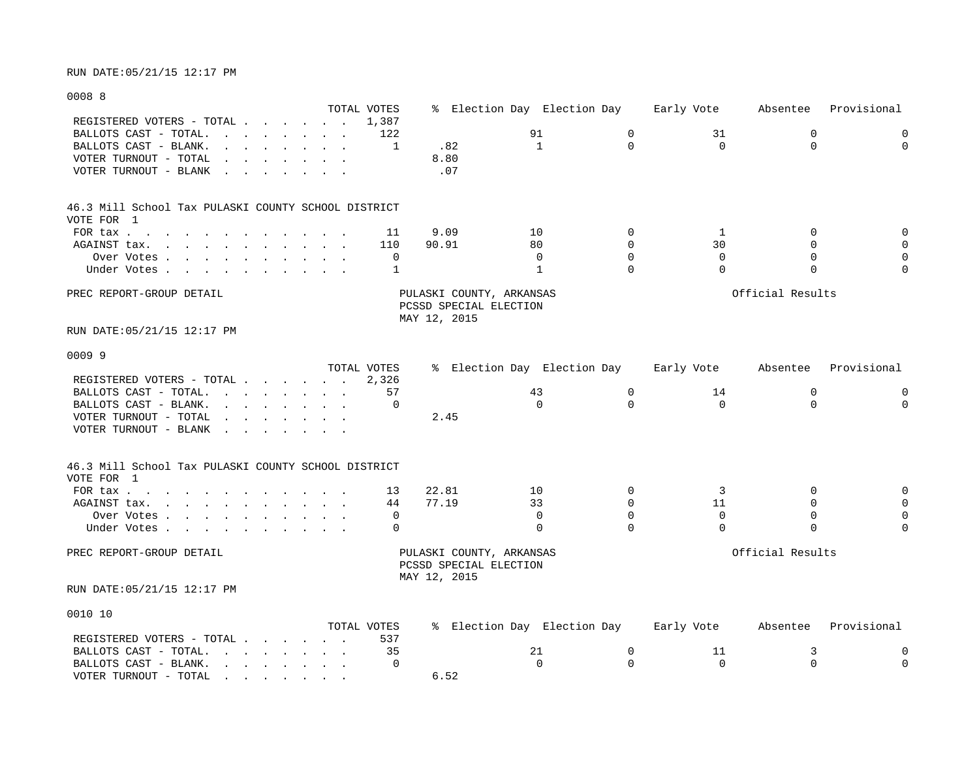### 0008 8

|                                                                                                                                          | TOTAL VOTES |                                                    | % Election Day Election Day |             | Early Vote  | Absentee         | Provisional |
|------------------------------------------------------------------------------------------------------------------------------------------|-------------|----------------------------------------------------|-----------------------------|-------------|-------------|------------------|-------------|
| REGISTERED VOTERS - TOTAL                                                                                                                | 1,387       |                                                    |                             |             |             |                  |             |
| BALLOTS CAST - TOTAL.<br>the contract of the contract of the contract of the contract of the contract of the contract of the contract of | 122         |                                                    | 91                          | $\mathbf 0$ | 31          | $\mathbf 0$      | 0           |
| BALLOTS CAST - BLANK.                                                                                                                    | 1           | .82                                                | $\mathbf{1}$                | $\Omega$    | $\Omega$    | $\Omega$         | $\Omega$    |
| VOTER TURNOUT - TOTAL<br><u>in the second contract of the second second</u><br>$\ddot{\phantom{0}}$                                      |             | 8.80                                               |                             |             |             |                  |             |
| VOTER TURNOUT - BLANK<br>$\mathbf{r} = \mathbf{r} \cdot \mathbf{r}$ , where $\mathbf{r} = \mathbf{r} \cdot \mathbf{r}$                   |             | .07                                                |                             |             |             |                  |             |
| 46.3 Mill School Tax PULASKI COUNTY SCHOOL DISTRICT                                                                                      |             |                                                    |                             |             |             |                  |             |
| VOTE FOR 1                                                                                                                               |             |                                                    |                             |             |             |                  |             |
| FOR tax                                                                                                                                  | 11          | 9.09                                               | 10                          | $\mathbf 0$ | 1           | 0                | $\mathbf 0$ |
| AGAINST tax.<br>$\mathbf{r}$ , and $\mathbf{r}$ , and $\mathbf{r}$ , and $\mathbf{r}$ , and $\mathbf{r}$                                 | 110         | 90.91                                              | 80                          | $\Omega$    | 30          | $\Omega$         | $\mathbf 0$ |
| Over Votes                                                                                                                               | $\mathbf 0$ |                                                    | $\Omega$                    | $\Omega$    | $\Omega$    | $\Omega$         | $\mathsf 0$ |
| Under Votes                                                                                                                              | 1           |                                                    | $\mathbf{1}$                | $\Omega$    | $\Omega$    | $\Omega$         | $\Omega$    |
| PREC REPORT-GROUP DETAIL                                                                                                                 |             | PULASKI COUNTY, ARKANSAS                           |                             |             |             | Official Results |             |
|                                                                                                                                          |             | PCSSD SPECIAL ELECTION<br>MAY 12, 2015             |                             |             |             |                  |             |
| RUN DATE:05/21/15 12:17 PM                                                                                                               |             |                                                    |                             |             |             |                  |             |
| 0009 9                                                                                                                                   |             |                                                    |                             |             |             |                  |             |
|                                                                                                                                          | TOTAL VOTES |                                                    | % Election Day Election Day |             | Early Vote  | Absentee         | Provisional |
| REGISTERED VOTERS - TOTAL                                                                                                                | 2,326       |                                                    |                             |             |             |                  |             |
| BALLOTS CAST - TOTAL.<br><u>in the second contract of the second second</u>                                                              | 57          |                                                    | 43                          | $\mathbf 0$ | 14          | $\mathbf 0$      | 0           |
| BALLOTS CAST - BLANK.<br><u>in the second contract of the second second</u>                                                              | $\Omega$    |                                                    | $\Omega$                    | $\Omega$    | $\Omega$    | $\Omega$         | $\Omega$    |
| VOTER TURNOUT - TOTAL<br>the contract of the contract of the contract of the contract of the contract of the contract of the contract of |             | 2.45                                               |                             |             |             |                  |             |
| VOTER TURNOUT - BLANK<br>$\mathbf{r}$ , $\mathbf{r}$ , $\mathbf{r}$ , $\mathbf{r}$ , $\mathbf{r}$ , $\mathbf{r}$                         |             |                                                    |                             |             |             |                  |             |
| 46.3 Mill School Tax PULASKI COUNTY SCHOOL DISTRICT                                                                                      |             |                                                    |                             |             |             |                  |             |
| VOTE FOR 1                                                                                                                               |             |                                                    |                             |             |             |                  |             |
| FOR tax                                                                                                                                  | 13          | 22.81                                              | 10                          | $\Omega$    | 3           | $\Omega$         | $\mathbf 0$ |
| AGAINST tax.                                                                                                                             | 44          | 77.19                                              | 33                          | $\Omega$    | 11          | $\Omega$         | $\mathbf 0$ |
| Over Votes                                                                                                                               | 0           |                                                    | $\mathbf 0$                 | $\mathbf 0$ | $\mathbf 0$ | $\mathbf 0$      | $\mathsf 0$ |
| Under Votes                                                                                                                              | $\Omega$    |                                                    | $\Omega$                    | $\Omega$    | $\Omega$    | $\Omega$         | $\Omega$    |
| PREC REPORT-GROUP DETAIL                                                                                                                 |             | PULASKI COUNTY, ARKANSAS<br>PCSSD SPECIAL ELECTION |                             |             |             | Official Results |             |
|                                                                                                                                          |             | MAY 12, 2015                                       |                             |             |             |                  |             |
| RUN DATE: 05/21/15 12:17 PM                                                                                                              |             |                                                    |                             |             |             |                  |             |
| 0010 10                                                                                                                                  |             |                                                    |                             |             |             |                  |             |
|                                                                                                                                          | TOTAL VOTES |                                                    | % Election Day Election Day |             | Early Vote  | Absentee         | Provisional |
| REGISTERED VOTERS - TOTAL                                                                                                                | 537         |                                                    |                             |             |             |                  |             |
| BALLOTS CAST - TOTAL.                                                                                                                    | 35          |                                                    | 21                          | $\mathbf 0$ | 11          | 3                | 0           |
| BALLOTS CAST - BLANK.<br>the contract of the contract of the contract of the contract of the contract of the contract of the contract of | $\Omega$    |                                                    | $\Omega$                    | $\Omega$    | $\Omega$    | $\Omega$         | $\Omega$    |

VOTER TURNOUT - TOTAL . . . . . . . . 6.52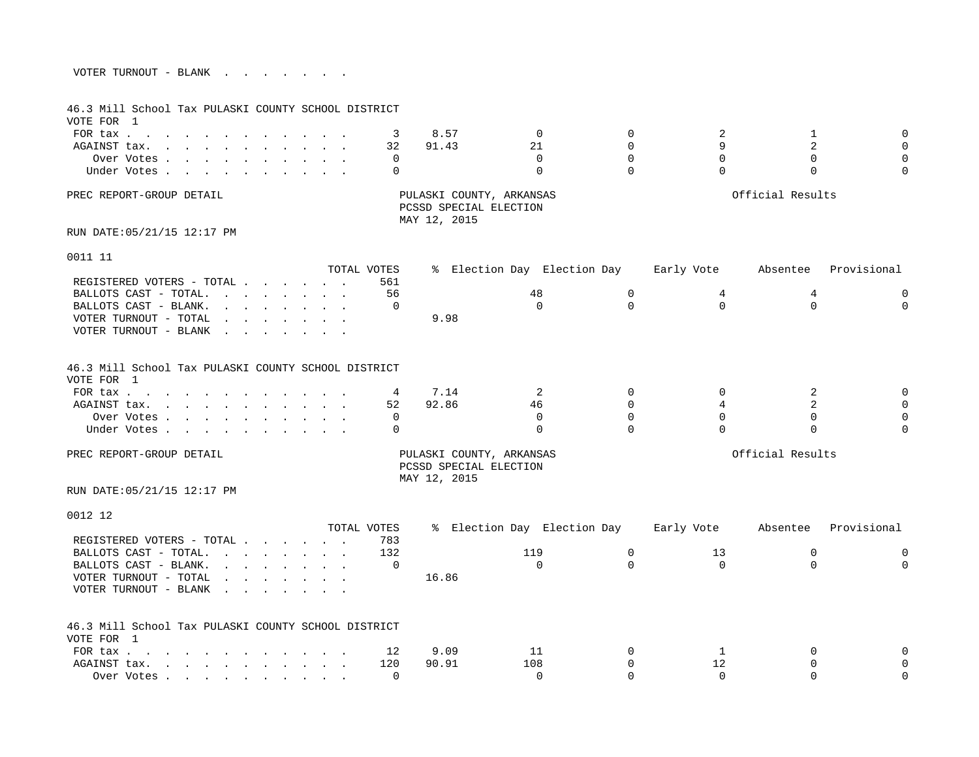| VOTER TURNOUT - BLANK |  |  |  |  |  |
|-----------------------|--|--|--|--|--|
|                       |  |  |  |  |  |

| 46.3 Mill School Tax PULASKI COUNTY SCHOOL DISTRICT<br>VOTE FOR 1                                                                                                                                                             |                                                                                                                                                                                                                                   |             |                                        |                             |             |            |                  |             |
|-------------------------------------------------------------------------------------------------------------------------------------------------------------------------------------------------------------------------------|-----------------------------------------------------------------------------------------------------------------------------------------------------------------------------------------------------------------------------------|-------------|----------------------------------------|-----------------------------|-------------|------------|------------------|-------------|
| FOR tax                                                                                                                                                                                                                       |                                                                                                                                                                                                                                   | 3           | 8.57                                   | 0                           | $\Omega$    | 2          | $\mathbf{1}$     | $\mathbf 0$ |
| AGAINST tax.                                                                                                                                                                                                                  |                                                                                                                                                                                                                                   | 32          | 91.43                                  | 21                          | $\Omega$    | 9          | $\overline{2}$   | $\Omega$    |
| Over Votes                                                                                                                                                                                                                    |                                                                                                                                                                                                                                   | 0           |                                        | $\Omega$                    | $\Omega$    | $\Omega$   | $\Omega$         | $\Omega$    |
| Under Votes                                                                                                                                                                                                                   |                                                                                                                                                                                                                                   | $\Omega$    |                                        | 0                           | $\Omega$    | $\Omega$   | $\Omega$         | $\Omega$    |
| PREC REPORT-GROUP DETAIL                                                                                                                                                                                                      |                                                                                                                                                                                                                                   |             | PCSSD SPECIAL ELECTION<br>MAY 12, 2015 | PULASKI COUNTY, ARKANSAS    |             |            | Official Results |             |
| RUN DATE: 05/21/15 12:17 PM                                                                                                                                                                                                   |                                                                                                                                                                                                                                   |             |                                        |                             |             |            |                  |             |
| 0011 11                                                                                                                                                                                                                       |                                                                                                                                                                                                                                   |             |                                        |                             |             |            |                  |             |
|                                                                                                                                                                                                                               |                                                                                                                                                                                                                                   | TOTAL VOTES |                                        | % Election Day Election Day |             | Early Vote | Absentee         | Provisional |
| REGISTERED VOTERS - TOTAL                                                                                                                                                                                                     |                                                                                                                                                                                                                                   | 561         |                                        |                             |             |            |                  |             |
| BALLOTS CAST - TOTAL.                                                                                                                                                                                                         | $\mathbf{r}$ , and $\mathbf{r}$ , and $\mathbf{r}$ , and $\mathbf{r}$                                                                                                                                                             | 56          |                                        | 48                          | 0           | 4          | 4                | $\mathbf 0$ |
| BALLOTS CAST - BLANK.                                                                                                                                                                                                         | $\mathbf{r}$ and $\mathbf{r}$ and $\mathbf{r}$ and $\mathbf{r}$ and $\mathbf{r}$                                                                                                                                                  | 0           |                                        | $\Omega$                    | $\Omega$    | $\Omega$   | $\Omega$         | $\Omega$    |
| VOTER TURNOUT - TOTAL                                                                                                                                                                                                         | $\mathbf{r} = \mathbf{r} + \mathbf{r} + \mathbf{r} + \mathbf{r} + \mathbf{r} + \mathbf{r} + \mathbf{r}$                                                                                                                           |             | 9.98                                   |                             |             |            |                  |             |
| VOTER TURNOUT - BLANK                                                                                                                                                                                                         | the contract of the contract of the                                                                                                                                                                                               |             |                                        |                             |             |            |                  |             |
| 46.3 Mill School Tax PULASKI COUNTY SCHOOL DISTRICT<br>VOTE FOR 1                                                                                                                                                             |                                                                                                                                                                                                                                   |             |                                        |                             |             |            |                  |             |
| FOR tax $\cdots$ $\cdots$ $\cdots$ $\cdots$                                                                                                                                                                                   |                                                                                                                                                                                                                                   | 4           | 7.14                                   | 2                           | $\Omega$    | $\Omega$   | 2                | $\mathbf 0$ |
| AGAINST tax.                                                                                                                                                                                                                  |                                                                                                                                                                                                                                   | 52          | 92.86                                  | 46                          | $\Omega$    | 4          | 2                | $\Omega$    |
| Over Votes                                                                                                                                                                                                                    |                                                                                                                                                                                                                                   | 0           |                                        | $\Omega$                    | $\Omega$    | $\Omega$   | $\Omega$         | $\Omega$    |
| Under Votes                                                                                                                                                                                                                   |                                                                                                                                                                                                                                   | $\Omega$    |                                        | $\Omega$                    | $\Omega$    | $\Omega$   | $\Omega$         | $\Omega$    |
| PREC REPORT-GROUP DETAIL                                                                                                                                                                                                      |                                                                                                                                                                                                                                   |             | PCSSD SPECIAL ELECTION<br>MAY 12, 2015 | PULASKI COUNTY, ARKANSAS    |             |            | Official Results |             |
| RUN DATE: 05/21/15 12:17 PM                                                                                                                                                                                                   |                                                                                                                                                                                                                                   |             |                                        |                             |             |            |                  |             |
| 0012 12                                                                                                                                                                                                                       |                                                                                                                                                                                                                                   |             |                                        |                             |             |            |                  |             |
|                                                                                                                                                                                                                               |                                                                                                                                                                                                                                   | TOTAL VOTES |                                        | % Election Day Election Day |             | Early Vote | Absentee         | Provisional |
| REGISTERED VOTERS - TOTAL                                                                                                                                                                                                     |                                                                                                                                                                                                                                   | 783         |                                        |                             |             |            |                  |             |
| BALLOTS CAST - TOTAL.                                                                                                                                                                                                         |                                                                                                                                                                                                                                   | 132         |                                        | 119                         | $\mathbf 0$ | 13         | $\mathbf 0$      | $\mathbf 0$ |
| BALLOTS CAST - BLANK.                                                                                                                                                                                                         | $\mathbf{r}$ , $\mathbf{r}$ , $\mathbf{r}$ , $\mathbf{r}$ , $\mathbf{r}$ , $\mathbf{r}$                                                                                                                                           | $\Omega$    |                                        | $\Omega$                    | $\Omega$    | $\Omega$   | $\Omega$         | $\Omega$    |
| VOTER TURNOUT - TOTAL                                                                                                                                                                                                         | $\mathbf{r}$ . The set of the set of the set of the set of the set of the set of the set of the set of the set of the set of the set of the set of the set of the set of the set of the set of the set of the set of the set of t |             | 16.86                                  |                             |             |            |                  |             |
| VOTER TURNOUT - BLANK                                                                                                                                                                                                         | the contract of the contract of the contract of the contract of the contract of the contract of the contract of                                                                                                                   |             |                                        |                             |             |            |                  |             |
| 46.3 Mill School Tax PULASKI COUNTY SCHOOL DISTRICT                                                                                                                                                                           |                                                                                                                                                                                                                                   |             |                                        |                             |             |            |                  |             |
| VOTE FOR 1                                                                                                                                                                                                                    |                                                                                                                                                                                                                                   |             |                                        |                             |             |            |                  |             |
| FOR tax                                                                                                                                                                                                                       |                                                                                                                                                                                                                                   | 12          | 9.09                                   | 11                          | 0           | 1          | $\Omega$         | $\Omega$    |
| AGAINST tax.                                                                                                                                                                                                                  |                                                                                                                                                                                                                                   | 120         | 90.91                                  | 108                         | $\Omega$    | 12         | $\Omega$         | $\Omega$    |
| Over Votes (and a constant of the constant of the constant of the constant of the constant of the constant of the constant of the constant of the constant of the constant of the constant of the constant of the constant of |                                                                                                                                                                                                                                   | $\Omega$    |                                        | $\Omega$                    | $\Omega$    | $\Omega$   | $\Omega$         | $\Omega$    |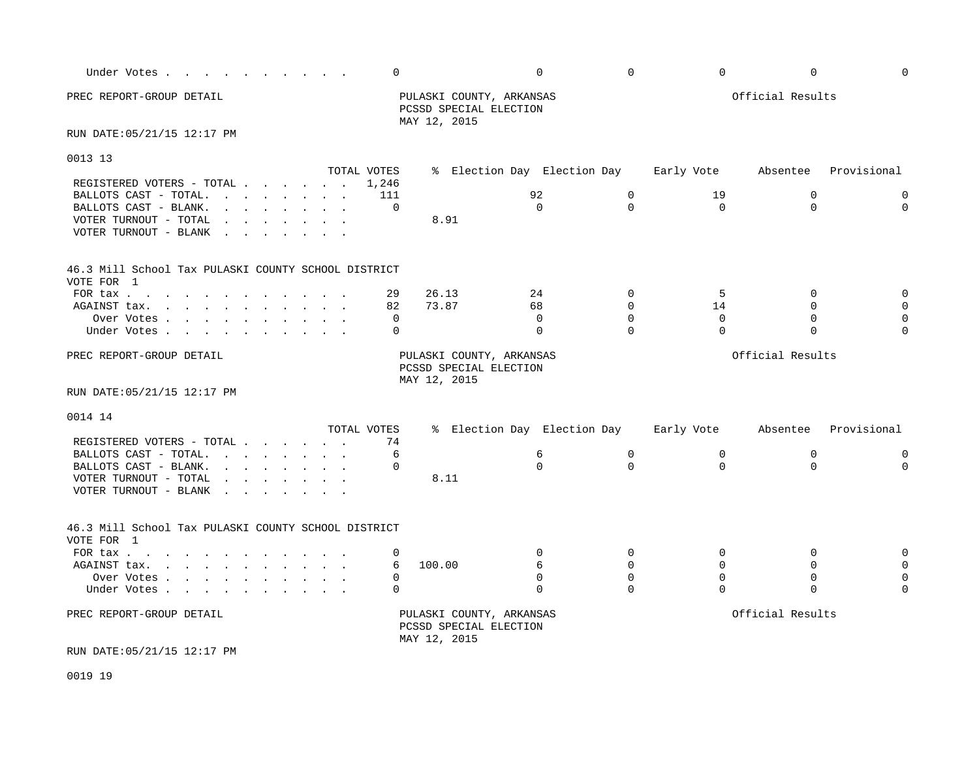| Under Votes                                                                                                                                                                                                                                                                      | 0           |                                                                    | $\Omega$                    | $\Omega$    | $\Omega$    | $\mathbf 0$      | $\Omega$    |
|----------------------------------------------------------------------------------------------------------------------------------------------------------------------------------------------------------------------------------------------------------------------------------|-------------|--------------------------------------------------------------------|-----------------------------|-------------|-------------|------------------|-------------|
| PREC REPORT-GROUP DETAIL                                                                                                                                                                                                                                                         |             | PULASKI COUNTY, ARKANSAS<br>PCSSD SPECIAL ELECTION<br>MAY 12, 2015 |                             |             |             | Official Results |             |
| RUN DATE: 05/21/15 12:17 PM                                                                                                                                                                                                                                                      |             |                                                                    |                             |             |             |                  |             |
| 0013 13                                                                                                                                                                                                                                                                          | TOTAL VOTES |                                                                    | % Election Day Election Day |             | Early Vote  | Absentee         | Provisional |
| REGISTERED VOTERS - TOTAL                                                                                                                                                                                                                                                        | 1,246       |                                                                    |                             |             |             |                  |             |
| BALLOTS CAST - TOTAL.                                                                                                                                                                                                                                                            | 111         |                                                                    | 92                          | $\mathbf 0$ | 19          | 0                | $\mathbf 0$ |
| BALLOTS CAST - BLANK.<br>$\mathbf{r}$ , $\mathbf{r}$ , $\mathbf{r}$ , $\mathbf{r}$ , $\mathbf{r}$ , $\mathbf{r}$                                                                                                                                                                 | $\mathbf 0$ |                                                                    | $\Omega$                    | $\Omega$    | $\Omega$    | $\Omega$         | $\Omega$    |
| VOTER TURNOUT - TOTAL<br>and the contract of the contract of the contract of the contract of the contract of the contract of the contract of the contract of the contract of the contract of the contract of the contract of the contract of the contra<br>VOTER TURNOUT - BLANK |             | 8.91                                                               |                             |             |             |                  |             |
| 46.3 Mill School Tax PULASKI COUNTY SCHOOL DISTRICT<br>VOTE FOR 1                                                                                                                                                                                                                |             |                                                                    |                             |             |             |                  |             |
| FOR tax $\cdots$ $\cdots$ $\cdots$ $\cdots$                                                                                                                                                                                                                                      | 29          | 26.13                                                              | 24                          | $\mathbf 0$ | 5           | 0                | $\mathbf 0$ |
| AGAINST tax.                                                                                                                                                                                                                                                                     | 82          | 73.87                                                              | 68                          | $\Omega$    | 14          | $\Omega$         | $\Omega$    |
| Over Votes                                                                                                                                                                                                                                                                       | $\mathbf 0$ |                                                                    | $\Omega$                    | $\Omega$    | $\Omega$    | $\Omega$         | $\Omega$    |
| Under Votes                                                                                                                                                                                                                                                                      | $\Omega$    |                                                                    | $\mathbf 0$                 | $\Omega$    | $\Omega$    | $\Omega$         |             |
| PREC REPORT-GROUP DETAIL                                                                                                                                                                                                                                                         |             | PULASKI COUNTY, ARKANSAS<br>PCSSD SPECIAL ELECTION<br>MAY 12, 2015 |                             |             |             | Official Results |             |
| RUN DATE: 05/21/15 12:17 PM                                                                                                                                                                                                                                                      |             |                                                                    |                             |             |             |                  |             |
| 0014 14                                                                                                                                                                                                                                                                          |             |                                                                    |                             |             |             |                  |             |
|                                                                                                                                                                                                                                                                                  | TOTAL VOTES |                                                                    | % Election Day Election Day |             | Early Vote  | Absentee         | Provisional |
| REGISTERED VOTERS - TOTAL                                                                                                                                                                                                                                                        | 74          |                                                                    |                             |             |             |                  |             |
| BALLOTS CAST - TOTAL. $\cdot \cdot \cdot \cdot \cdot \cdot \cdot$                                                                                                                                                                                                                | 6           |                                                                    | 6<br>$\Omega$               | $\Omega$    | $\mathbf 0$ | $\mathbf 0$      | $\mathbf 0$ |
| $\mathbf{r}$ . The contract of the contract of the contract of the contract of the contract of the contract of the contract of the contract of the contract of the contract of the contract of the contract of the contract of th<br>BALLOTS CAST - BLANK.                       | $\Omega$    |                                                                    |                             | $\Omega$    | $\Omega$    | $\Omega$         | $\Omega$    |
| VOTER TURNOUT - TOTAL<br>and the contract of the contract of the contract of the contract of the contract of the contract of the contract of the contract of the contract of the contract of the contract of the contract of the contract of the contra<br>VOTER TURNOUT - BLANK |             | 8.11                                                               |                             |             |             |                  |             |
| 46.3 Mill School Tax PULASKI COUNTY SCHOOL DISTRICT<br>VOTE FOR 1                                                                                                                                                                                                                |             |                                                                    |                             |             |             |                  |             |
| FOR tax                                                                                                                                                                                                                                                                          | 0           |                                                                    | $\Omega$                    | $\Omega$    | $\mathbf 0$ | $\mathbf 0$      | $\Omega$    |
| AGAINST tax.                                                                                                                                                                                                                                                                     | 6           | 100.00                                                             | 6                           | $\Omega$    | $\Omega$    | $\Omega$         |             |
| Over Votes                                                                                                                                                                                                                                                                       | 0           |                                                                    | $\Omega$                    | $\Omega$    | $\Omega$    | $\mathbf 0$      |             |
| Under Votes                                                                                                                                                                                                                                                                      | $\Omega$    |                                                                    | $\Omega$                    | $\cap$      | $\cap$      | $\Omega$         | $\Omega$    |
| PREC REPORT-GROUP DETAIL                                                                                                                                                                                                                                                         |             | PULASKI COUNTY, ARKANSAS<br>PCSSD SPECIAL ELECTION<br>MAY 12, 2015 |                             |             |             | Official Results |             |
| RUN DATE: 05/21/15 12:17 PM                                                                                                                                                                                                                                                      |             |                                                                    |                             |             |             |                  |             |

0019 19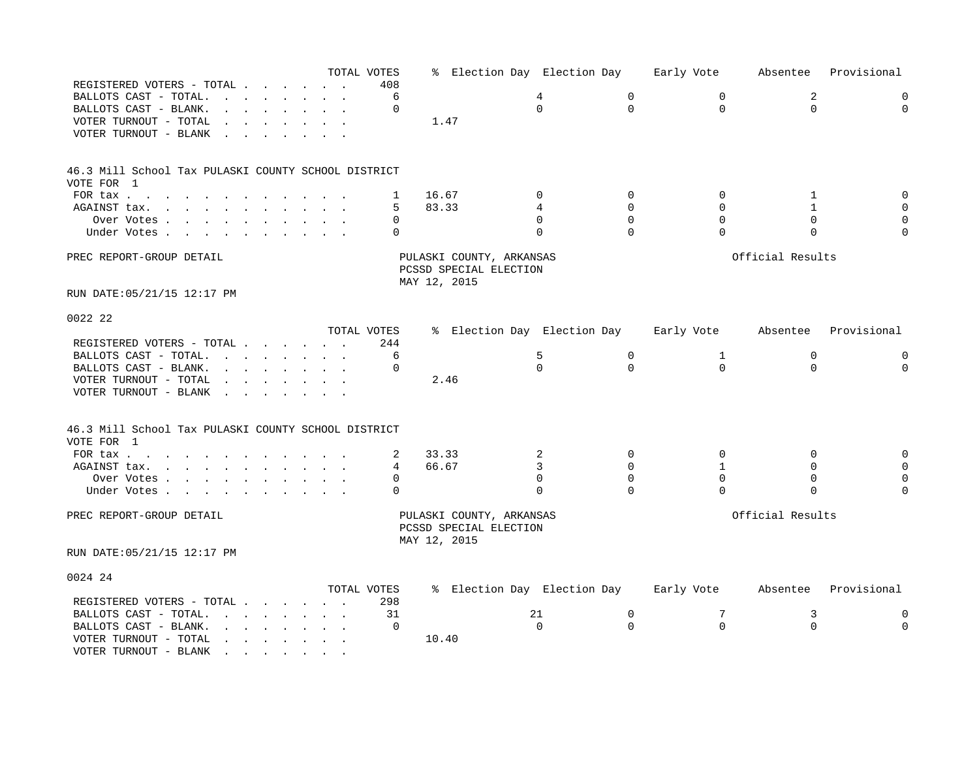|                                                                   |                                                                                                                                                                                                                                   |  | TOTAL VOTES |       |              |                                                    |          | % Election Day Election Day |             | Early Vote   | Absentee         | Provisional |
|-------------------------------------------------------------------|-----------------------------------------------------------------------------------------------------------------------------------------------------------------------------------------------------------------------------------|--|-------------|-------|--------------|----------------------------------------------------|----------|-----------------------------|-------------|--------------|------------------|-------------|
| REGISTERED VOTERS - TOTAL                                         |                                                                                                                                                                                                                                   |  | 408         |       |              |                                                    |          |                             |             |              |                  |             |
| BALLOTS CAST - TOTAL.                                             | $\mathbf{r} = \mathbf{r} - \mathbf{r}$ , where $\mathbf{r} = \mathbf{r} - \mathbf{r}$                                                                                                                                             |  | 6           |       |              |                                                    | 4        |                             | $\mathbf 0$ | 0            | 2                | $\mathbf 0$ |
| BALLOTS CAST - BLANK.                                             |                                                                                                                                                                                                                                   |  | $\Omega$    |       |              |                                                    | $\Omega$ |                             | $\Omega$    | $\Omega$     | $\Omega$         | $\Omega$    |
| VOTER TURNOUT - TOTAL                                             | and a strong control of the state of the state of the state of the state of the state of the state of the state of the state of the state of the state of the state of the state of the state of the state of the state of the    |  |             |       | 1.47         |                                                    |          |                             |             |              |                  |             |
| VOTER TURNOUT - BLANK<br>$\sim$<br>$\sim$                         |                                                                                                                                                                                                                                   |  |             |       |              |                                                    |          |                             |             |              |                  |             |
|                                                                   |                                                                                                                                                                                                                                   |  |             |       |              |                                                    |          |                             |             |              |                  |             |
| 46.3 Mill School Tax PULASKI COUNTY SCHOOL DISTRICT<br>VOTE FOR 1 |                                                                                                                                                                                                                                   |  |             |       |              |                                                    |          |                             |             |              |                  |             |
| FOR tax                                                           |                                                                                                                                                                                                                                   |  | 1           | 16.67 |              |                                                    | $\Omega$ |                             | $\Omega$    | $\Omega$     | 1                | $\mathbf 0$ |
|                                                                   |                                                                                                                                                                                                                                   |  |             | 83.33 |              |                                                    | 4        |                             | $\mathbf 0$ | 0            | 1                | $\mathbf 0$ |
| AGAINST tax.                                                      |                                                                                                                                                                                                                                   |  | 5           |       |              |                                                    |          |                             | $\Omega$    | $\Omega$     |                  |             |
| Over Votes                                                        |                                                                                                                                                                                                                                   |  | $\mathbf 0$ |       |              |                                                    | $\Omega$ |                             |             |              | $\mathbf 0$      | $\mathbf 0$ |
| Under Votes                                                       |                                                                                                                                                                                                                                   |  | 0           |       |              |                                                    | $\Omega$ |                             | $\Omega$    | $\Omega$     | $\Omega$         | $\Omega$    |
| PREC REPORT-GROUP DETAIL                                          |                                                                                                                                                                                                                                   |  |             |       | MAY 12, 2015 | PULASKI COUNTY, ARKANSAS<br>PCSSD SPECIAL ELECTION |          |                             |             |              | Official Results |             |
| RUN DATE: 05/21/15 12:17 PM                                       |                                                                                                                                                                                                                                   |  |             |       |              |                                                    |          |                             |             |              |                  |             |
| 0022 22                                                           |                                                                                                                                                                                                                                   |  |             |       |              |                                                    |          |                             |             |              |                  |             |
|                                                                   |                                                                                                                                                                                                                                   |  | TOTAL VOTES |       |              |                                                    |          | % Election Day Election Day |             | Early Vote   | Absentee         | Provisional |
| REGISTERED VOTERS - TOTAL                                         |                                                                                                                                                                                                                                   |  | 244         |       |              |                                                    |          |                             |             |              |                  |             |
| BALLOTS CAST - TOTAL.                                             | $\mathbf{r}$ . The set of the set of the set of the set of the set of the set of the set of the set of the set of the set of the set of the set of the set of the set of the set of the set of the set of the set of the set of t |  | 6           |       |              |                                                    | 5        |                             | $\mathbf 0$ | $\mathbf{1}$ | $\mathbf 0$      | $\mathbf 0$ |
| BALLOTS CAST - BLANK.                                             | $\mathbf{r}$ . The set of the set of the set of the set of the set of the set of the set of the set of the set of the set of the set of the set of the set of the set of the set of the set of the set of the set of the set of t |  | $\Omega$    |       |              |                                                    | $\Omega$ |                             | $\Omega$    | $\Omega$     | $\Omega$         | $\Omega$    |
| VOTER TURNOUT - TOTAL                                             | and a strong control of the state of the state of the state of the state of the state of the state of the state of the state of the state of the state of the state of the state of the state of the state of the state of the    |  |             |       | 2.46         |                                                    |          |                             |             |              |                  |             |
| VOTER TURNOUT - BLANK                                             |                                                                                                                                                                                                                                   |  |             |       |              |                                                    |          |                             |             |              |                  |             |
|                                                                   | the contract of the contract of the contract of the contract of the contract of                                                                                                                                                   |  |             |       |              |                                                    |          |                             |             |              |                  |             |
| 46.3 Mill School Tax PULASKI COUNTY SCHOOL DISTRICT               |                                                                                                                                                                                                                                   |  |             |       |              |                                                    |          |                             |             |              |                  |             |
| VOTE FOR 1                                                        |                                                                                                                                                                                                                                   |  |             |       |              |                                                    |          |                             |             |              |                  |             |
| FOR tax                                                           |                                                                                                                                                                                                                                   |  | 2           | 33.33 |              |                                                    | 2        |                             | $\Omega$    | $\Omega$     | $\Omega$         | $\mathbf 0$ |
| AGAINST tax.                                                      |                                                                                                                                                                                                                                   |  | 4           | 66.67 |              |                                                    | 3        |                             | $\Omega$    | $\mathbf{1}$ | $\Omega$         | $\mathbf 0$ |
| Over Votes                                                        |                                                                                                                                                                                                                                   |  | $\Omega$    |       |              |                                                    | $\Omega$ |                             | $\Omega$    | $\Omega$     | $\Omega$         | $\mathbf 0$ |
| Under Votes                                                       |                                                                                                                                                                                                                                   |  | 0           |       |              |                                                    | $\Omega$ |                             | $\Omega$    | 0            | $\mathbf 0$      | $\Omega$    |
| PREC REPORT-GROUP DETAIL                                          |                                                                                                                                                                                                                                   |  |             |       | MAY 12, 2015 | PULASKI COUNTY, ARKANSAS<br>PCSSD SPECIAL ELECTION |          |                             |             |              | Official Results |             |
| RUN DATE: 05/21/15 12:17 PM                                       |                                                                                                                                                                                                                                   |  |             |       |              |                                                    |          |                             |             |              |                  |             |
| 0024 24                                                           |                                                                                                                                                                                                                                   |  |             |       |              |                                                    |          |                             |             |              |                  |             |
|                                                                   |                                                                                                                                                                                                                                   |  | TOTAL VOTES |       |              |                                                    |          | % Election Day Election Day |             | Early Vote   | Absentee         | Provisional |
| REGISTERED VOTERS - TOTAL                                         |                                                                                                                                                                                                                                   |  | 298         |       |              |                                                    |          |                             |             |              |                  |             |
| BALLOTS CAST - TOTAL.                                             | $\mathbf{r}$ , and $\mathbf{r}$ , and $\mathbf{r}$ , and $\mathbf{r}$                                                                                                                                                             |  | 31          |       |              |                                                    | 21       |                             | 0           | 7            | 3                | 0           |
| BALLOTS CAST - BLANK.                                             | the contract of the contract of the contract of the contract of the contract of the contract of the contract of                                                                                                                   |  | 0           |       |              |                                                    | $\Omega$ |                             | $\Omega$    | $\Omega$     | $\Omega$         | $\Omega$    |
| VOTER TURNOUT - TOTAL                                             | $\mathbf{r}$ , $\mathbf{r}$ , $\mathbf{r}$ , $\mathbf{r}$ , $\mathbf{r}$ , $\mathbf{r}$                                                                                                                                           |  |             | 10.40 |              |                                                    |          |                             |             |              |                  |             |
| VOTER TURNOUT - BLANK                                             | in the state of the state of the state of the state of the state of the state of the state of the state of the                                                                                                                    |  |             |       |              |                                                    |          |                             |             |              |                  |             |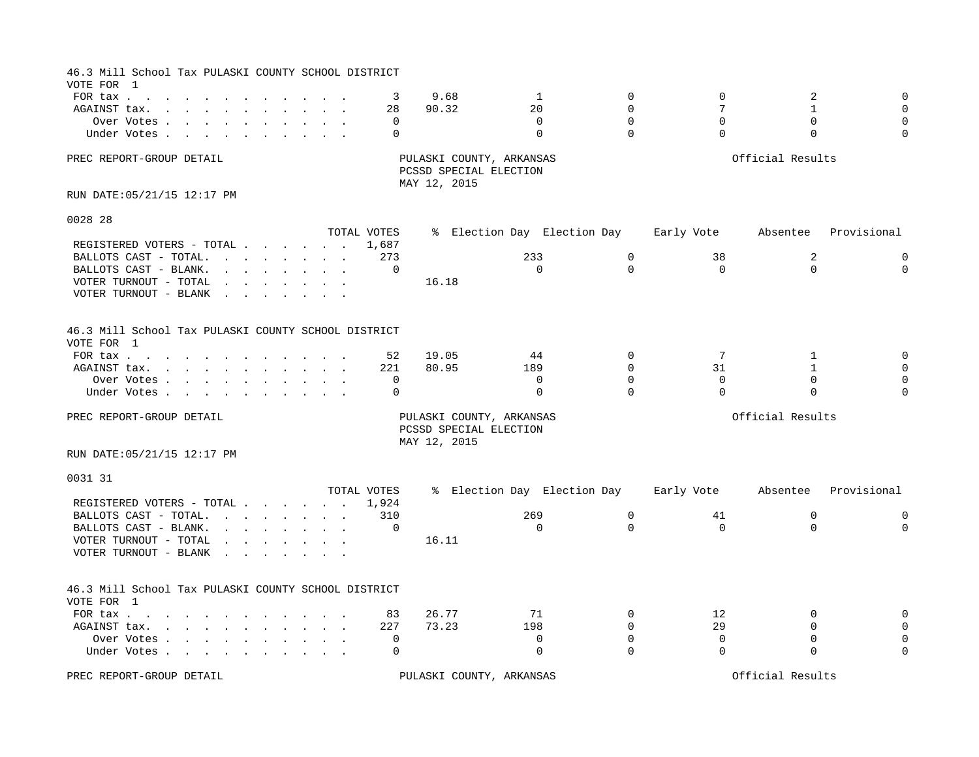| 46.3 Mill School Tax PULASKI COUNTY SCHOOL DISTRICT                         |                                                                                                                                                                                                                                |  |                             |               |                                                    |                             |                                              |                                          |                                |                                                 |
|-----------------------------------------------------------------------------|--------------------------------------------------------------------------------------------------------------------------------------------------------------------------------------------------------------------------------|--|-----------------------------|---------------|----------------------------------------------------|-----------------------------|----------------------------------------------|------------------------------------------|--------------------------------|-------------------------------------------------|
| VOTE FOR 1<br>FOR $\text{tax}$<br>AGAINST tax.<br>Over Votes<br>Under Votes |                                                                                                                                                                                                                                |  | 3<br>28<br>$\mathbf 0$<br>0 | 9.68<br>90.32 | 20                                                 | 1<br>$\Omega$<br>$\Omega$   | $\Omega$<br>$\Omega$<br>$\Omega$<br>$\Omega$ | $\mathbf 0$<br>7<br>$\Omega$<br>$\Omega$ | 2<br>1<br>$\Omega$<br>$\Omega$ | $\mathbf 0$<br>$\Omega$<br>$\Omega$<br>$\Omega$ |
| PREC REPORT-GROUP DETAIL                                                    |                                                                                                                                                                                                                                |  |                             | MAY 12, 2015  | PULASKI COUNTY, ARKANSAS<br>PCSSD SPECIAL ELECTION |                             |                                              |                                          | Official Results               |                                                 |
| RUN DATE: 05/21/15 12:17 PM                                                 |                                                                                                                                                                                                                                |  |                             |               |                                                    |                             |                                              |                                          |                                |                                                 |
| 0028 28                                                                     |                                                                                                                                                                                                                                |  |                             |               |                                                    |                             |                                              |                                          |                                |                                                 |
|                                                                             |                                                                                                                                                                                                                                |  | TOTAL VOTES                 |               |                                                    | % Election Day Election Day |                                              | Early Vote                               | Absentee                       | Provisional                                     |
| REGISTERED VOTERS - TOTAL                                                   |                                                                                                                                                                                                                                |  | 1,687                       |               |                                                    |                             |                                              |                                          |                                |                                                 |
| BALLOTS CAST - TOTAL.                                                       | and the contract of the contract of the contract of the contract of the contract of the contract of the contract of the contract of the contract of the contract of the contract of the contract of the contract of the contra |  | 273                         |               | 233                                                |                             | $\mathbf 0$                                  | 38                                       | 2                              | 0                                               |
| BALLOTS CAST - BLANK.                                                       | $\mathbf{r}$ , and $\mathbf{r}$ , and $\mathbf{r}$ , and $\mathbf{r}$                                                                                                                                                          |  | $\mathbf 0$                 |               |                                                    | $\Omega$                    | $\Omega$                                     | $\Omega$                                 | $\Omega$                       | $\Omega$                                        |
| VOTER TURNOUT - TOTAL                                                       | the contract of the contract of the contract of the contract of the contract of the contract of the contract of                                                                                                                |  |                             | 16.18         |                                                    |                             |                                              |                                          |                                |                                                 |
| VOTER TURNOUT - BLANK                                                       | the contract of the contract of the contract of the contract of the contract of the contract of the contract of                                                                                                                |  |                             |               |                                                    |                             |                                              |                                          |                                |                                                 |
| 46.3 Mill School Tax PULASKI COUNTY SCHOOL DISTRICT<br>VOTE FOR 1           |                                                                                                                                                                                                                                |  |                             |               |                                                    |                             |                                              |                                          |                                |                                                 |
| FOR tax                                                                     |                                                                                                                                                                                                                                |  | 52                          | 19.05         | 44                                                 |                             | $\Omega$                                     | 7                                        | 1                              | $\mathbf 0$                                     |
| AGAINST tax.                                                                |                                                                                                                                                                                                                                |  | 221                         | 80.95         | 189                                                |                             | $\mathbf 0$                                  | 31                                       | $\mathbf{1}$                   | $\Omega$                                        |
| Over Votes                                                                  |                                                                                                                                                                                                                                |  | 0                           |               |                                                    | $\mathbf 0$                 | $\Omega$                                     | $\mathbf 0$                              | $\mathbf 0$                    | $\mathbf 0$                                     |
| Under Votes                                                                 |                                                                                                                                                                                                                                |  | 0                           |               |                                                    | $\Omega$                    | $\Omega$                                     | $\Omega$                                 | $\Omega$                       | $\Omega$                                        |
| PREC REPORT-GROUP DETAIL                                                    |                                                                                                                                                                                                                                |  |                             | MAY 12, 2015  | PULASKI COUNTY, ARKANSAS<br>PCSSD SPECIAL ELECTION |                             |                                              |                                          | Official Results               |                                                 |
| RUN DATE: 05/21/15 12:17 PM                                                 |                                                                                                                                                                                                                                |  |                             |               |                                                    |                             |                                              |                                          |                                |                                                 |
| 0031 31                                                                     |                                                                                                                                                                                                                                |  | TOTAL VOTES                 |               |                                                    |                             |                                              |                                          |                                | Provisional                                     |
| REGISTERED VOTERS - TOTAL                                                   |                                                                                                                                                                                                                                |  | 1,924                       |               |                                                    | % Election Day Election Day |                                              | Early Vote                               | Absentee                       |                                                 |
| BALLOTS CAST - TOTAL.                                                       | and the contract of the contract of the contract of the contract of the contract of the contract of the contract of the contract of the contract of the contract of the contract of the contract of the contract of the contra |  | 310                         |               | 269                                                |                             | $\mathbf 0$                                  | 41                                       | $\mathbf 0$                    | 0                                               |
| BALLOTS CAST - BLANK.                                                       | $\mathbf{r}$ and $\mathbf{r}$ are the set of $\mathbf{r}$                                                                                                                                                                      |  | $\Omega$                    |               |                                                    | $\Omega$                    | $\Omega$                                     | $\Omega$                                 | $\Omega$                       | $\Omega$                                        |
| VOTER TURNOUT - TOTAL                                                       |                                                                                                                                                                                                                                |  |                             | 16.11         |                                                    |                             |                                              |                                          |                                |                                                 |
| VOTER TURNOUT - BLANK                                                       | $\mathbf{r} = \mathbf{r} + \mathbf{r} + \mathbf{r} + \mathbf{r}$<br>$\mathbf{r}$ , $\mathbf{r}$ , $\mathbf{r}$ , $\mathbf{r}$                                                                                                  |  |                             |               |                                                    |                             |                                              |                                          |                                |                                                 |
| 46.3 Mill School Tax PULASKI COUNTY SCHOOL DISTRICT<br>VOTE FOR 1           |                                                                                                                                                                                                                                |  |                             |               |                                                    |                             |                                              |                                          |                                |                                                 |
| FOR tax $\cdots$ $\cdots$ $\cdots$ $\cdots$                                 |                                                                                                                                                                                                                                |  | 83                          | 26.77         | 71                                                 |                             | $\mathbf 0$                                  | 12                                       | $\mathbf{0}$                   | $\mathbf 0$                                     |
| AGAINST tax.                                                                |                                                                                                                                                                                                                                |  | 227                         | 73.23         | 198                                                |                             | $\mathbf 0$                                  | 29                                       | $\mathbf{0}$                   | $\Omega$                                        |
| Over Votes                                                                  |                                                                                                                                                                                                                                |  | $\mathbf 0$                 |               |                                                    | $\mathbf 0$                 | $\mathbf 0$                                  | $\mathbf 0$                              | $\mathbf{0}$                   | $\mathbf 0$                                     |
| Under Votes                                                                 |                                                                                                                                                                                                                                |  | $\Omega$                    |               |                                                    | $\Omega$                    | $\Omega$                                     | $\Omega$                                 | $\Omega$                       | $\Omega$                                        |
| PREC REPORT-GROUP DETAIL                                                    |                                                                                                                                                                                                                                |  |                             |               | PULASKI COUNTY, ARKANSAS                           |                             |                                              |                                          | Official Results               |                                                 |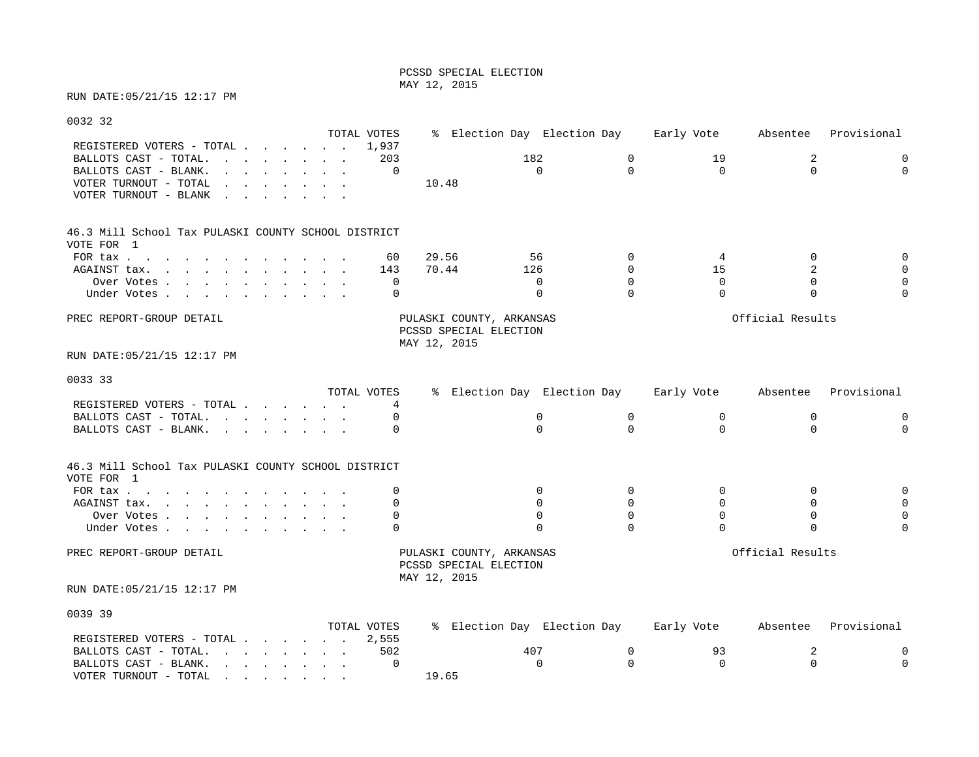### PCSSD SPECIAL ELECTION MAY 12, 2015

# RUN DATE:05/21/15 12:17 PM

VOTER TURNOUT - TOTAL . . . . . . .

| 0032 32                                                                                                                                                                                                                                                 |             |                                                                    |             |                             |                     |                  |             |
|---------------------------------------------------------------------------------------------------------------------------------------------------------------------------------------------------------------------------------------------------------|-------------|--------------------------------------------------------------------|-------------|-----------------------------|---------------------|------------------|-------------|
|                                                                                                                                                                                                                                                         | TOTAL VOTES |                                                                    |             | % Election Day Election Day | Early Vote          | Absentee         | Provisional |
| REGISTERED VOTERS - TOTAL 1,937                                                                                                                                                                                                                         |             |                                                                    |             |                             |                     |                  |             |
| BALLOTS CAST - TOTAL.                                                                                                                                                                                                                                   | 203         |                                                                    | 182         | 0                           | 19                  | 2                | 0           |
| BALLOTS CAST - BLANK.<br>and the contract of the contract of the contract of the contract of the contract of the contract of the contract of the contract of the contract of the contract of the contract of the contract of the contract of the contra | 0           |                                                                    | $\Omega$    | $\Omega$                    | $\Omega$            | $\Omega$         | $\mathbf 0$ |
| VOTER TURNOUT - TOTAL<br>the contract of the contract of the contract of the contract of the contract of the contract of the contract of                                                                                                                |             | 10.48                                                              |             |                             |                     |                  |             |
| VOTER TURNOUT - BLANK<br>and the contract of the contract of the contract of the contract of the contract of the contract of the contract of the contract of the contract of the contract of the contract of the contract of the contract of the contra |             |                                                                    |             |                             |                     |                  |             |
| 46.3 Mill School Tax PULASKI COUNTY SCHOOL DISTRICT                                                                                                                                                                                                     |             |                                                                    |             |                             |                     |                  |             |
| VOTE FOR 1                                                                                                                                                                                                                                              |             |                                                                    |             |                             |                     |                  |             |
| FOR tax $\cdots$ $\cdots$ $\cdots$ $\cdots$                                                                                                                                                                                                             | 60          | 29.56                                                              | 56          | $\Omega$                    | 4                   | 0                |             |
| AGAINST tax.                                                                                                                                                                                                                                            | 143         | 70.44                                                              | 126         | $\Omega$                    | 15                  | 2                |             |
| Over Votes                                                                                                                                                                                                                                              | $\Omega$    |                                                                    | $\Omega$    | $\Omega$                    | $\Omega$            | $\Omega$         |             |
| Under Votes                                                                                                                                                                                                                                             | 0           |                                                                    | $\Omega$    | $\Omega$                    | $\Omega$            | $\mathbf 0$      |             |
| PREC REPORT-GROUP DETAIL                                                                                                                                                                                                                                |             | PULASKI COUNTY, ARKANSAS<br>PCSSD SPECIAL ELECTION<br>MAY 12, 2015 |             |                             |                     | Official Results |             |
| RUN DATE:05/21/15 12:17 PM                                                                                                                                                                                                                              |             |                                                                    |             |                             |                     |                  |             |
| 0033 33                                                                                                                                                                                                                                                 |             |                                                                    |             |                             |                     |                  |             |
|                                                                                                                                                                                                                                                         | TOTAL VOTES |                                                                    |             | % Election Day Election Day | Early Vote Absentee |                  | Provisional |
| REGISTERED VOTERS - TOTAL                                                                                                                                                                                                                               | 4           |                                                                    |             |                             |                     |                  |             |
| BALLOTS CAST - TOTAL.                                                                                                                                                                                                                                   | $\Omega$    |                                                                    | $\mathbf 0$ | $\mathbf 0$                 | $\mathbf 0$         | $\mathbf 0$      | 0           |
| BALLOTS CAST - BLANK.                                                                                                                                                                                                                                   |             |                                                                    | $\Omega$    | $\Omega$                    | $\Omega$            | $\Omega$         | $\Omega$    |
| 46.3 Mill School Tax PULASKI COUNTY SCHOOL DISTRICT<br>VOTE FOR 1                                                                                                                                                                                       |             |                                                                    |             |                             |                     |                  |             |
| FOR tax                                                                                                                                                                                                                                                 | $\Omega$    |                                                                    | 0           | $\Omega$                    | $\Omega$            | $\mathbf 0$      | 0           |
| AGAINST tax.                                                                                                                                                                                                                                            | 0           |                                                                    | $\Omega$    | $\Omega$                    | $\Omega$            | $\Omega$         | 0           |
| Over Votes                                                                                                                                                                                                                                              | 0           |                                                                    | $\Omega$    | 0                           | $\Omega$            | $\mathbf 0$      |             |
| Under Votes                                                                                                                                                                                                                                             | $\Omega$    |                                                                    | $\Omega$    | $\Omega$                    | $\Omega$            | $\Omega$         | $\Omega$    |
| PREC REPORT-GROUP DETAIL                                                                                                                                                                                                                                |             | PULASKI COUNTY, ARKANSAS<br>PCSSD SPECIAL ELECTION<br>MAY 12, 2015 |             |                             |                     | Official Results |             |
| RUN DATE:05/21/15 12:17 PM                                                                                                                                                                                                                              |             |                                                                    |             |                             |                     |                  |             |
| 0039 39                                                                                                                                                                                                                                                 |             |                                                                    |             |                             |                     |                  |             |
|                                                                                                                                                                                                                                                         | TOTAL VOTES |                                                                    |             | % Election Day Election Day | Early Vote          | Absentee         | Provisional |
| REGISTERED VOTERS - TOTAL                                                                                                                                                                                                                               | 2,555       |                                                                    |             |                             |                     |                  |             |
| BALLOTS CAST - TOTAL.                                                                                                                                                                                                                                   | 502         |                                                                    | 407         | 0                           | 93                  | 2                | 0           |
| BALLOTS CAST - BLANK.                                                                                                                                                                                                                                   | 0           |                                                                    | $\Omega$    | $\Omega$                    | $\Omega$            | $\Omega$         | $\mathbf 0$ |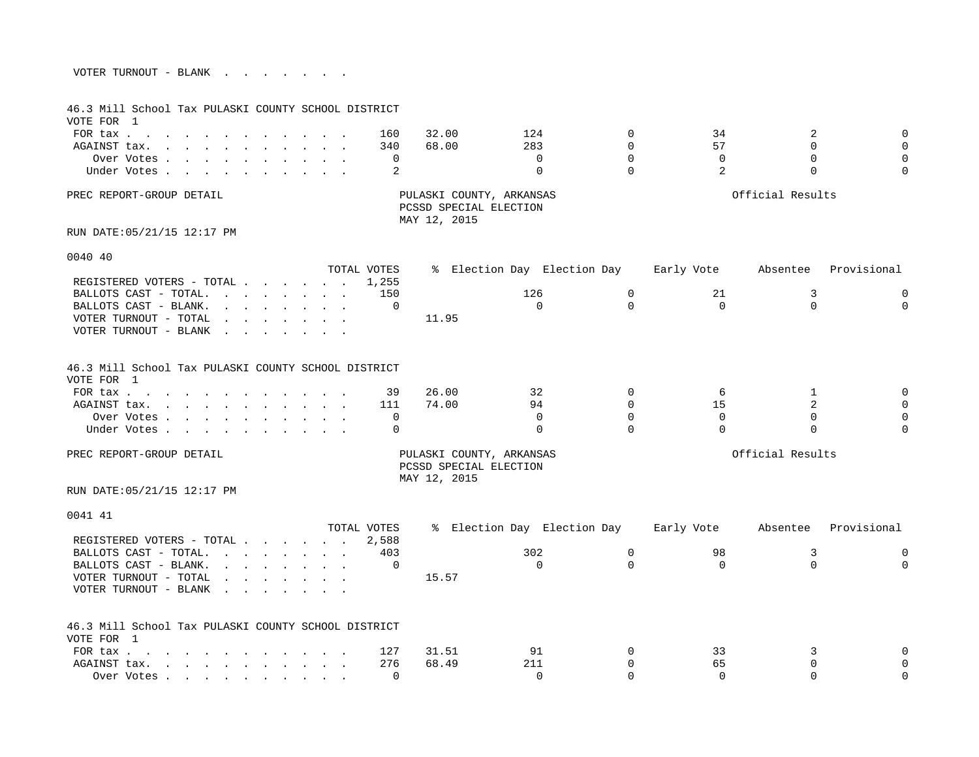| VOTER TURNOUT - BLANK |  |  |  |  |  |
|-----------------------|--|--|--|--|--|
|                       |  |  |  |  |  |

| 46.3 Mill School Tax PULASKI COUNTY SCHOOL DISTRICT<br>VOTE FOR 1                                                                                                                                                              |                                                                                                                                                                                                                                   |                                   |             |                                        |                             |             |                |                  |             |
|--------------------------------------------------------------------------------------------------------------------------------------------------------------------------------------------------------------------------------|-----------------------------------------------------------------------------------------------------------------------------------------------------------------------------------------------------------------------------------|-----------------------------------|-------------|----------------------------------------|-----------------------------|-------------|----------------|------------------|-------------|
| FOR $\text{tax}$                                                                                                                                                                                                               | $\sim$ 100 $\pm$<br>$\sim$ $\sim$                                                                                                                                                                                                 | and the state of the state of the | 160         | 32.00                                  | 124                         | $\Omega$    | 34             | 2                | $\mathbf 0$ |
| AGAINST tax.                                                                                                                                                                                                                   |                                                                                                                                                                                                                                   |                                   | 340         | 68.00                                  | 283                         | $\Omega$    | 57             | $\Omega$         | $\Omega$    |
| Over Votes                                                                                                                                                                                                                     |                                                                                                                                                                                                                                   |                                   | $\mathbf 0$ |                                        | $\mathbf 0$                 | $\mathbf 0$ | $\mathbf 0$    | $\mathbf 0$      | $\mathbf 0$ |
| Under Votes                                                                                                                                                                                                                    |                                                                                                                                                                                                                                   |                                   | 2           |                                        | $\Omega$                    | $\Omega$    | $\overline{a}$ | $\Omega$         | $\Omega$    |
|                                                                                                                                                                                                                                |                                                                                                                                                                                                                                   |                                   |             |                                        |                             |             |                |                  |             |
| PREC REPORT-GROUP DETAIL                                                                                                                                                                                                       |                                                                                                                                                                                                                                   |                                   |             | PCSSD SPECIAL ELECTION<br>MAY 12, 2015 | PULASKI COUNTY, ARKANSAS    |             |                | Official Results |             |
| RUN DATE: 05/21/15 12:17 PM                                                                                                                                                                                                    |                                                                                                                                                                                                                                   |                                   |             |                                        |                             |             |                |                  |             |
| 0040 40                                                                                                                                                                                                                        |                                                                                                                                                                                                                                   |                                   |             |                                        |                             |             |                |                  |             |
|                                                                                                                                                                                                                                |                                                                                                                                                                                                                                   |                                   | TOTAL VOTES |                                        | % Election Day Election Day |             | Early Vote     | Absentee         | Provisional |
| REGISTERED VOTERS - TOTAL                                                                                                                                                                                                      |                                                                                                                                                                                                                                   |                                   | 1,255       |                                        |                             |             |                |                  |             |
| BALLOTS CAST - TOTAL.                                                                                                                                                                                                          |                                                                                                                                                                                                                                   |                                   | 150         |                                        | 126                         | $\mathbf 0$ | 21             | 3                | $\Omega$    |
| BALLOTS CAST - BLANK.                                                                                                                                                                                                          | $\mathbf{r}$ . The set of the set of the set of the set of the set of the set of the set of the set of the set of the set of the set of the set of the set of the set of the set of the set of the set of the set of the set of t |                                   | $\mathbf 0$ |                                        | $\mathbf 0$                 | $\Omega$    | 0              | $\Omega$         | $\mathbf 0$ |
| VOTER TURNOUT - TOTAL                                                                                                                                                                                                          | $\mathbf{r}$ , $\mathbf{r}$ , $\mathbf{r}$ , $\mathbf{r}$ , $\mathbf{r}$ , $\mathbf{r}$                                                                                                                                           |                                   |             | 11.95                                  |                             |             |                |                  |             |
| VOTER TURNOUT - BLANK                                                                                                                                                                                                          |                                                                                                                                                                                                                                   |                                   |             |                                        |                             |             |                |                  |             |
| 46.3 Mill School Tax PULASKI COUNTY SCHOOL DISTRICT<br>VOTE FOR 1                                                                                                                                                              |                                                                                                                                                                                                                                   |                                   |             |                                        |                             |             |                |                  |             |
| FOR tax                                                                                                                                                                                                                        |                                                                                                                                                                                                                                   |                                   | 39          | 26.00                                  | 32                          | $\Omega$    | 6              | 1                | $\mathbf 0$ |
| AGAINST tax.                                                                                                                                                                                                                   |                                                                                                                                                                                                                                   |                                   | 111         | 74.00                                  | 94                          | $\Omega$    | 15             | $\overline{a}$   | $\mathbf 0$ |
| Over Votes                                                                                                                                                                                                                     |                                                                                                                                                                                                                                   |                                   | 0           |                                        | $\Omega$                    | $\Omega$    | $\Omega$       | $\Omega$         | $\mathbf 0$ |
| Under Votes                                                                                                                                                                                                                    |                                                                                                                                                                                                                                   |                                   | $\Omega$    |                                        | $\Omega$                    | $\Omega$    | $\Omega$       | $\Omega$         | $\Omega$    |
| PREC REPORT-GROUP DETAIL                                                                                                                                                                                                       |                                                                                                                                                                                                                                   |                                   |             | PCSSD SPECIAL ELECTION<br>MAY 12, 2015 | PULASKI COUNTY, ARKANSAS    |             |                | Official Results |             |
| RUN DATE: 05/21/15 12:17 PM                                                                                                                                                                                                    |                                                                                                                                                                                                                                   |                                   |             |                                        |                             |             |                |                  |             |
| 0041 41                                                                                                                                                                                                                        |                                                                                                                                                                                                                                   |                                   |             |                                        |                             |             |                |                  |             |
|                                                                                                                                                                                                                                |                                                                                                                                                                                                                                   |                                   | TOTAL VOTES |                                        | % Election Day Election Day |             | Early Vote     | Absentee         | Provisional |
| REGISTERED VOTERS - TOTAL                                                                                                                                                                                                      |                                                                                                                                                                                                                                   |                                   | 2,588       |                                        |                             |             |                |                  |             |
| BALLOTS CAST - TOTAL.                                                                                                                                                                                                          |                                                                                                                                                                                                                                   |                                   | 403         |                                        | 302                         | $\mathbf 0$ | 98             | 3                | $\mathbf 0$ |
| BALLOTS CAST - BLANK.                                                                                                                                                                                                          | $\mathbf{r}$ , $\mathbf{r}$ , $\mathbf{r}$ , $\mathbf{r}$ , $\mathbf{r}$ , $\mathbf{r}$ , $\mathbf{r}$                                                                                                                            |                                   | $\mathbf 0$ |                                        | $\Omega$                    | $\Omega$    | $\Omega$       | $\Omega$         | $\Omega$    |
| VOTER TURNOUT - TOTAL                                                                                                                                                                                                          | $\mathbf{r}$ . The contract of the contract of the contract of the contract of the contract of the contract of the contract of the contract of the contract of the contract of the contract of the contract of the contract of th |                                   |             | 15.57                                  |                             |             |                |                  |             |
| VOTER TURNOUT - BLANK                                                                                                                                                                                                          |                                                                                                                                                                                                                                   |                                   |             |                                        |                             |             |                |                  |             |
| 46.3 Mill School Tax PULASKI COUNTY SCHOOL DISTRICT<br>VOTE FOR 1                                                                                                                                                              |                                                                                                                                                                                                                                   |                                   |             |                                        |                             |             |                |                  |             |
| FOR tax                                                                                                                                                                                                                        |                                                                                                                                                                                                                                   |                                   | 127         | 31.51                                  | 91                          | 0           | 33             | 3                | 0           |
| AGAINST tax.                                                                                                                                                                                                                   |                                                                                                                                                                                                                                   |                                   | 276         | 68.49                                  | 211                         | $\Omega$    | 65             | $\Omega$         | $\Omega$    |
| Over Votes and a construction of the construction of the construction of the construction of the construction of the construction of the construction of the construction of the construction of the construction of the const |                                                                                                                                                                                                                                   |                                   | $\Omega$    |                                        | $\bigcap$                   | $\Omega$    | $\Omega$       | $\Omega$         | $\Omega$    |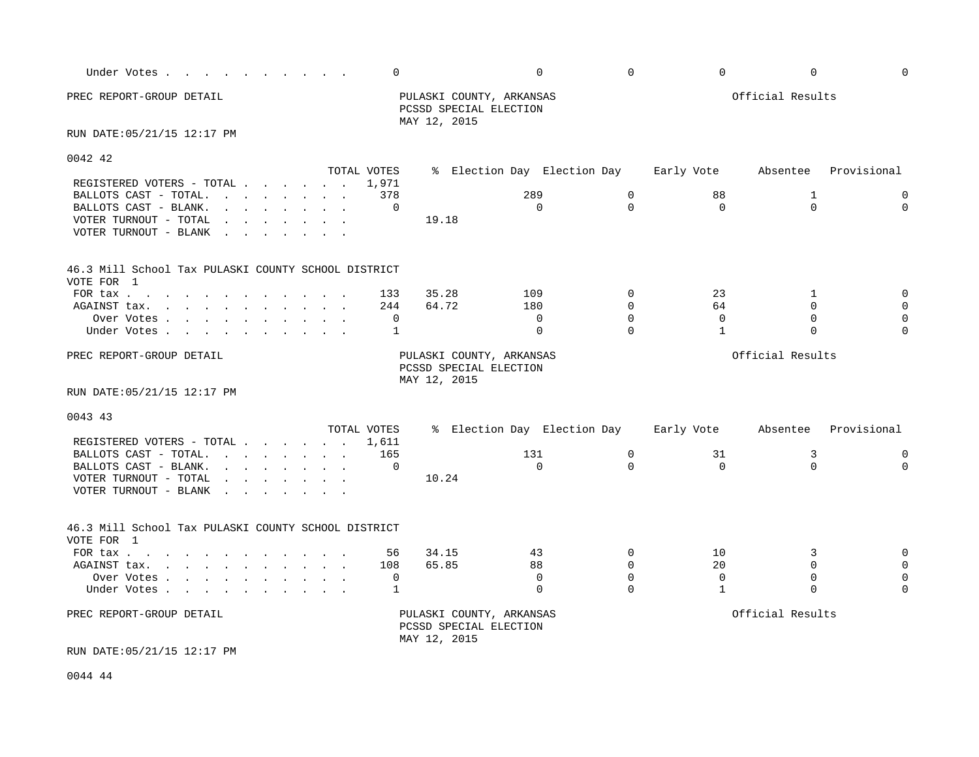| Under Votes                                                                                                                                                       | 0           |                                                                    | $\Omega$                    | $\Omega$    | $\mathbf 0$  | $\mathbf 0$      | $\Omega$    |
|-------------------------------------------------------------------------------------------------------------------------------------------------------------------|-------------|--------------------------------------------------------------------|-----------------------------|-------------|--------------|------------------|-------------|
| PREC REPORT-GROUP DETAIL                                                                                                                                          |             | PULASKI COUNTY, ARKANSAS<br>PCSSD SPECIAL ELECTION<br>MAY 12, 2015 |                             |             |              | Official Results |             |
| RUN DATE: 05/21/15 12:17 PM                                                                                                                                       |             |                                                                    |                             |             |              |                  |             |
| 0042 42                                                                                                                                                           | TOTAL VOTES |                                                                    | % Election Day Election Day |             | Early Vote   | Absentee         | Provisional |
| REGISTERED VOTERS - TOTAL                                                                                                                                         | 1,971       |                                                                    |                             |             |              |                  |             |
| BALLOTS CAST - TOTAL.                                                                                                                                             | 378         |                                                                    | 289                         | $\mathbf 0$ | 88           | 1                | $\mathbf 0$ |
| BALLOTS CAST - BLANK.<br>$\mathbf{r}$ , and $\mathbf{r}$ , and $\mathbf{r}$ , and $\mathbf{r}$                                                                    | 0           |                                                                    | $\Omega$                    | $\Omega$    | $\Omega$     | $\Omega$         | $\Omega$    |
| VOTER TURNOUT - TOTAL<br>the contract of the contract of the contract of the contract of the contract of the contract of the contract of<br>VOTER TURNOUT - BLANK |             | 19.18                                                              |                             |             |              |                  |             |
| 46.3 Mill School Tax PULASKI COUNTY SCHOOL DISTRICT<br>VOTE FOR 1                                                                                                 |             |                                                                    |                             |             |              |                  |             |
| FOR tax                                                                                                                                                           | 133         | 35.28                                                              | 109                         | $\mathbf 0$ | 23           | 1                | $\mathbf 0$ |
| AGAINST tax.                                                                                                                                                      | 244         | 64.72                                                              | 180                         | $\Omega$    | 64           | $\Omega$         | $\mathbf 0$ |
| Over Votes                                                                                                                                                        | 0           |                                                                    | $\Omega$                    | $\Omega$    | $\Omega$     | $\Omega$         | $\Omega$    |
| Under Votes                                                                                                                                                       | 1           |                                                                    | $\mathbf 0$                 | $\Omega$    | $\mathbf{1}$ | $\Omega$         | $\Omega$    |
| PREC REPORT-GROUP DETAIL<br>RUN DATE: 05/21/15 12:17 PM                                                                                                           |             | PULASKI COUNTY, ARKANSAS<br>PCSSD SPECIAL ELECTION<br>MAY 12, 2015 |                             |             |              | Official Results |             |
|                                                                                                                                                                   |             |                                                                    |                             |             |              |                  |             |
| 0043 43                                                                                                                                                           | TOTAL VOTES |                                                                    | % Election Day Election Day |             | Early Vote   | Absentee         | Provisional |
| REGISTERED VOTERS - TOTAL 1,611                                                                                                                                   |             |                                                                    |                             |             |              |                  |             |
| BALLOTS CAST - TOTAL.                                                                                                                                             | 165         |                                                                    | 131                         | $\mathbf 0$ | 31           | 3                | $\mathbf 0$ |
| $\mathbf{r}$ , $\mathbf{r}$ , $\mathbf{r}$ , $\mathbf{r}$ , $\mathbf{r}$ , $\mathbf{r}$<br>BALLOTS CAST - BLANK.                                                  | $\Omega$    |                                                                    | $\Omega$                    | $\Omega$    | $\Omega$     | $\Omega$         | $\Omega$    |
| VOTER TURNOUT - TOTAL<br>$\mathbf{r}$ , and $\mathbf{r}$ , and $\mathbf{r}$ , and $\mathbf{r}$<br>VOTER TURNOUT - BLANK                                           |             | 10.24                                                              |                             |             |              |                  |             |
| 46.3 Mill School Tax PULASKI COUNTY SCHOOL DISTRICT<br>VOTE FOR 1                                                                                                 |             |                                                                    |                             |             |              |                  |             |
| FOR tax                                                                                                                                                           | 56          | 34.15                                                              | 43                          | $\Omega$    | 10           | 3                | $\mathbf 0$ |
| AGAINST tax.                                                                                                                                                      | 108         | 65.85                                                              | 88                          | $\Omega$    | 20           | $\Omega$         | $\Omega$    |
| Over Votes                                                                                                                                                        | 0           |                                                                    | $\Omega$                    | $\Omega$    | $\mathbf{0}$ | $\mathbf 0$      | $\Omega$    |
| Under Votes                                                                                                                                                       | 1           |                                                                    | $\Omega$                    | $\cap$      | $\mathbf 1$  | $\Omega$         | $\Omega$    |
| PREC REPORT-GROUP DETAIL<br>RUN DATE: 05/21/15 12:17 PM                                                                                                           |             | PULASKI COUNTY, ARKANSAS<br>PCSSD SPECIAL ELECTION<br>MAY 12, 2015 |                             |             |              | Official Results |             |

0044 44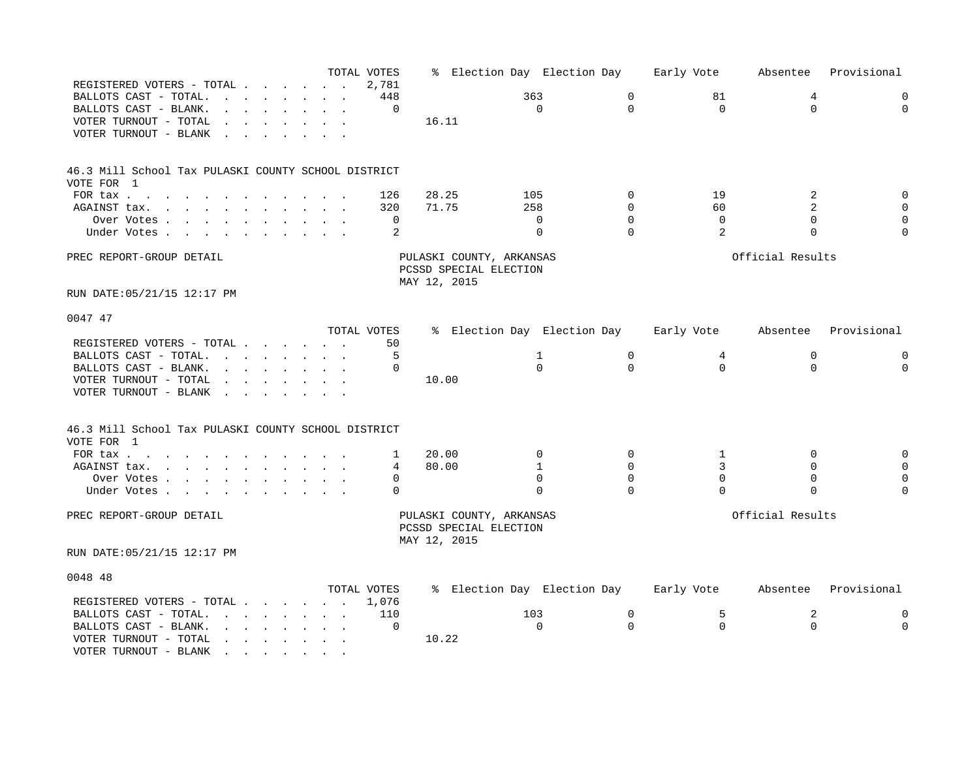|                                                                                                                                                                                                                                                         |                                                                | TOTAL VOTES |                                                    | % Election Day Election Day |             | Early Vote | Absentee         | Provisional |
|---------------------------------------------------------------------------------------------------------------------------------------------------------------------------------------------------------------------------------------------------------|----------------------------------------------------------------|-------------|----------------------------------------------------|-----------------------------|-------------|------------|------------------|-------------|
| REGISTERED VOTERS - TOTAL.                                                                                                                                                                                                                              | $\sim$ $\sim$ $\sim$ $\sim$ $\sim$ $\sim$                      | 2,781       |                                                    |                             |             |            |                  |             |
| BALLOTS CAST - TOTAL.<br>$\mathbf{r} = \mathbf{r}$                                                                                                                                                                                                      | <b>Contract Contract Contract</b><br>$\mathbf{L} = \mathbf{L}$ | 448         |                                                    | 363                         | $\mathbf 0$ | 81         | 4                | $\mathbf 0$ |
| BALLOTS CAST - BLANK.                                                                                                                                                                                                                                   |                                                                | $\Omega$    |                                                    | $\Omega$                    | $\Omega$    | $\Omega$   | $\Omega$         | $\Omega$    |
| VOTER TURNOUT - TOTAL<br>$\mathbf{r}$                                                                                                                                                                                                                   |                                                                |             | 16.11                                              |                             |             |            |                  |             |
| VOTER TURNOUT - BLANK                                                                                                                                                                                                                                   |                                                                |             |                                                    |                             |             |            |                  |             |
|                                                                                                                                                                                                                                                         |                                                                |             |                                                    |                             |             |            |                  |             |
| 46.3 Mill School Tax PULASKI COUNTY SCHOOL DISTRICT                                                                                                                                                                                                     |                                                                |             |                                                    |                             |             |            |                  |             |
| VOTE FOR 1                                                                                                                                                                                                                                              |                                                                |             |                                                    |                             |             |            |                  |             |
| FOR tax                                                                                                                                                                                                                                                 |                                                                | 126         | 28.25                                              | 105                         | $\Omega$    | 19         | 2                | $\Omega$    |
| AGAINST tax.<br>the contract of the contract of the contract of the contract of the contract of the contract of the contract of                                                                                                                         |                                                                | 320         | 71.75                                              | 258                         | $\Omega$    | 60         | $\overline{2}$   | $\Omega$    |
| Over Votes                                                                                                                                                                                                                                              |                                                                | 0           |                                                    | $\Omega$                    | $\Omega$    | 0          | $\Omega$         | $\mathbf 0$ |
| Under Votes                                                                                                                                                                                                                                             |                                                                | 2           |                                                    | $\mathbf 0$                 | $\Omega$    | 2          | $\mathbf 0$      | $\Omega$    |
| PREC REPORT-GROUP DETAIL                                                                                                                                                                                                                                |                                                                |             | PULASKI COUNTY, ARKANSAS                           |                             |             |            | Official Results |             |
|                                                                                                                                                                                                                                                         |                                                                |             | PCSSD SPECIAL ELECTION                             |                             |             |            |                  |             |
|                                                                                                                                                                                                                                                         |                                                                |             | MAY 12, 2015                                       |                             |             |            |                  |             |
| RUN DATE: 05/21/15 12:17 PM                                                                                                                                                                                                                             |                                                                |             |                                                    |                             |             |            |                  |             |
| 0047 47                                                                                                                                                                                                                                                 |                                                                |             |                                                    |                             |             |            |                  |             |
|                                                                                                                                                                                                                                                         |                                                                | TOTAL VOTES |                                                    | % Election Day Election Day |             | Early Vote | Absentee         | Provisional |
| REGISTERED VOTERS - TOTAL                                                                                                                                                                                                                               |                                                                | 50          |                                                    |                             |             |            |                  |             |
| BALLOTS CAST - TOTAL.<br>the contract of the contract of the contract of the contract of the contract of the contract of the contract of                                                                                                                |                                                                | 5           |                                                    | $\mathbf{1}$                | $\mathbf 0$ | 4          | $\mathbf 0$      | 0           |
| BALLOTS CAST - BLANK.<br>and a strong control of the state of the state of the state of the state of the state of the state of the state of the state of the state of the state of the state of the state of the state of the state of the state of the |                                                                | $\Omega$    |                                                    | $\Omega$                    | $\Omega$    | $\Omega$   | $\Omega$         | $\Omega$    |
| VOTER TURNOUT - TOTAL<br>$\cdot$ $\cdot$                                                                                                                                                                                                                |                                                                |             | 10.00                                              |                             |             |            |                  |             |
| VOTER TURNOUT - BLANK<br>$\sim$ $\sim$                                                                                                                                                                                                                  |                                                                |             |                                                    |                             |             |            |                  |             |
|                                                                                                                                                                                                                                                         |                                                                |             |                                                    |                             |             |            |                  |             |
| 46.3 Mill School Tax PULASKI COUNTY SCHOOL DISTRICT                                                                                                                                                                                                     |                                                                |             |                                                    |                             |             |            |                  |             |
| VOTE FOR 1                                                                                                                                                                                                                                              |                                                                |             |                                                    |                             |             |            |                  |             |
| FOR tax                                                                                                                                                                                                                                                 |                                                                | 1           | 20.00                                              | 0                           | $\mathbf 0$ | 1          | 0                | $\mathbf 0$ |
| AGAINST tax.<br>the contract of the contract of the contract of the contract of the contract of the contract of the contract of                                                                                                                         |                                                                | 4           | 80.00                                              | 1                           | 0           | 3          | $\Omega$         | $\mathbf 0$ |
| Over Votes .<br>the contract of the contract of the contract of the contract of the contract of the contract of the contract of                                                                                                                         |                                                                | $\Omega$    |                                                    | $\Omega$                    | $\Omega$    | $\Omega$   | $\Omega$         | $\Omega$    |
| Under Votes                                                                                                                                                                                                                                             |                                                                | 0           |                                                    | $\Omega$                    | $\Omega$    | $\Omega$   | $\mathbf 0$      | $\Omega$    |
| PREC REPORT-GROUP DETAIL                                                                                                                                                                                                                                |                                                                |             | PULASKI COUNTY, ARKANSAS<br>PCSSD SPECIAL ELECTION |                             |             |            | Official Results |             |
|                                                                                                                                                                                                                                                         |                                                                |             | MAY 12, 2015                                       |                             |             |            |                  |             |
| RUN DATE: 05/21/15 12:17 PM                                                                                                                                                                                                                             |                                                                |             |                                                    |                             |             |            |                  |             |
| 0048 48                                                                                                                                                                                                                                                 |                                                                |             |                                                    |                             |             |            |                  |             |
|                                                                                                                                                                                                                                                         |                                                                | TOTAL VOTES |                                                    | % Election Day Election Day |             | Early Vote | Absentee         | Provisional |
| REGISTERED VOTERS - TOTAL                                                                                                                                                                                                                               |                                                                | 1,076       |                                                    |                             |             |            |                  |             |
| BALLOTS CAST - TOTAL.<br>and the contract of the contract of the contract of the contract of the contract of the contract of the contract of the contract of the contract of the contract of the contract of the contract of the contract of the contra |                                                                | 110         |                                                    | 103                         | 0           | 5          | 2                | 0           |
| BALLOTS CAST - BLANK.<br>the contract of the contract of the contract of the contract of the contract of the contract of the contract of                                                                                                                |                                                                | 0           |                                                    | $\Omega$                    | $\Omega$    | $\Omega$   | $\Omega$         | $\Omega$    |
| VOTER TURNOUT - TOTAL<br>$\mathbf{r} = \mathbf{r} + \mathbf{r} + \mathbf{r} + \mathbf{r} + \mathbf{r} + \mathbf{r} + \mathbf{r}$                                                                                                                        |                                                                |             | 10.22                                              |                             |             |            |                  |             |
| VOTER TURNOUT - BLANK<br>the contract of the contract of the contract of the contract of the contract of the contract of the contract of                                                                                                                |                                                                |             |                                                    |                             |             |            |                  |             |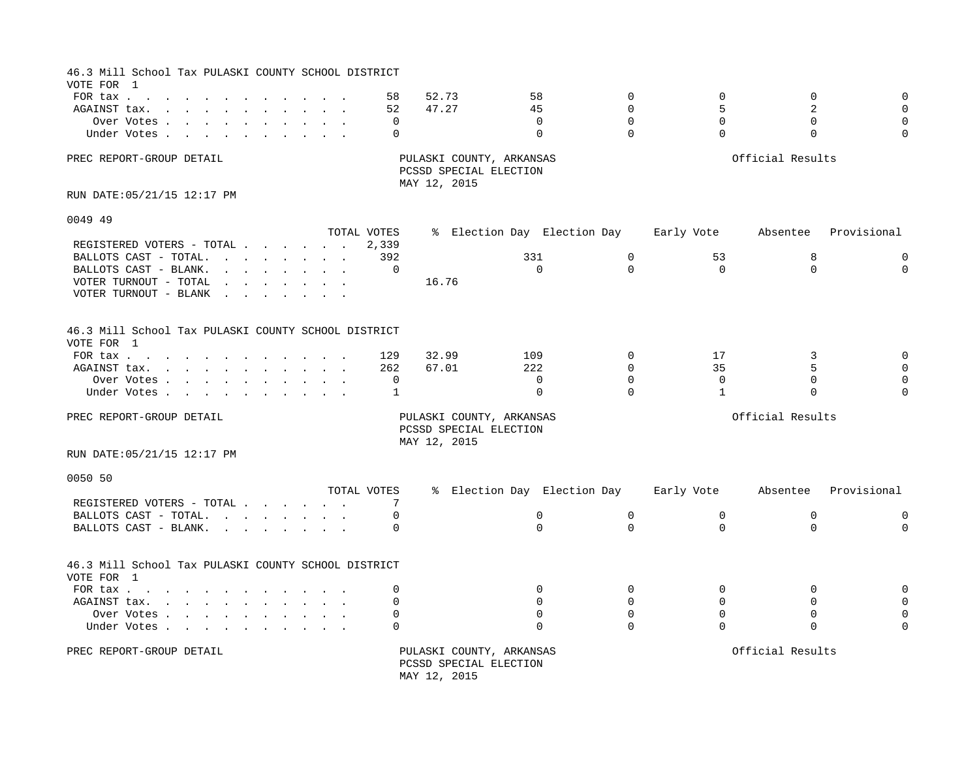| 46.3 Mill School Tax PULASKI COUNTY SCHOOL DISTRICT<br>VOTE FOR 1 |                                                                                                                                                                                                                                   |  |                      |                |                                                    |                      |                                  |                              |                              |                                     |
|-------------------------------------------------------------------|-----------------------------------------------------------------------------------------------------------------------------------------------------------------------------------------------------------------------------------|--|----------------------|----------------|----------------------------------------------------|----------------------|----------------------------------|------------------------------|------------------------------|-------------------------------------|
| FOR tax<br>AGAINST tax.<br>Over Votes                             |                                                                                                                                                                                                                                   |  | 58<br>52<br>$\Omega$ | 52.73<br>47.27 |                                                    | 58<br>45<br>$\Omega$ | $\Omega$<br>$\Omega$<br>$\Omega$ | $\mathbf 0$<br>5<br>$\Omega$ | $\mathbf 0$<br>2<br>$\Omega$ | $\mathbf 0$<br>$\Omega$<br>$\Omega$ |
| Under Votes                                                       |                                                                                                                                                                                                                                   |  | $\Omega$             |                |                                                    | $\Omega$             | $\Omega$                         | $\Omega$                     | $\mathbf 0$                  | $\Omega$                            |
| PREC REPORT-GROUP DETAIL                                          |                                                                                                                                                                                                                                   |  |                      | MAY 12, 2015   | PULASKI COUNTY, ARKANSAS<br>PCSSD SPECIAL ELECTION |                      |                                  |                              | Official Results             |                                     |
| RUN DATE: 05/21/15 12:17 PM                                       |                                                                                                                                                                                                                                   |  |                      |                |                                                    |                      |                                  |                              |                              |                                     |
| 0049 49                                                           |                                                                                                                                                                                                                                   |  |                      |                |                                                    |                      |                                  |                              |                              |                                     |
|                                                                   |                                                                                                                                                                                                                                   |  | TOTAL VOTES          |                |                                                    |                      | % Election Day Election Day      | Early Vote                   |                              | Absentee Provisional                |
| REGISTERED VOTERS - TOTAL                                         |                                                                                                                                                                                                                                   |  | 2,339                |                |                                                    |                      |                                  |                              |                              |                                     |
| BALLOTS CAST - TOTAL.                                             | and the contract of the contract of the contract of the contract of the contract of the contract of the contract of the contract of the contract of the contract of the contract of the contract of the contract of the contra    |  | 392                  |                |                                                    | 331                  | $\mathsf{O}$                     | 53                           | 8                            | 0                                   |
| BALLOTS CAST - BLANK.                                             | $\mathbf{r}$ , and $\mathbf{r}$ , and $\mathbf{r}$ , and $\mathbf{r}$                                                                                                                                                             |  | $\mathbf 0$          |                |                                                    | $\mathbf 0$          | $\Omega$                         | $\Omega$                     | $\Omega$                     | $\mathbf 0$                         |
| VOTER TURNOUT - TOTAL                                             | $\mathbf{r}$ . The set of the set of the set of the set of the set of the set of the set of the set of the set of the set of the set of the set of the set of the set of the set of the set of the set of the set of the set of t |  |                      | 16.76          |                                                    |                      |                                  |                              |                              |                                     |
| VOTER TURNOUT - BLANK                                             | $\mathbf{r}$ , and $\mathbf{r}$ , and $\mathbf{r}$                                                                                                                                                                                |  |                      |                |                                                    |                      |                                  |                              |                              |                                     |
| 46.3 Mill School Tax PULASKI COUNTY SCHOOL DISTRICT<br>VOTE FOR 1 |                                                                                                                                                                                                                                   |  |                      |                |                                                    |                      |                                  |                              |                              |                                     |
| FOR tax $\cdots$ $\cdots$ $\cdots$ $\cdots$                       |                                                                                                                                                                                                                                   |  | 129                  | 32.99          |                                                    | 109                  | $\Omega$                         | 17                           | 3                            | $\mathbf 0$                         |
| AGAINST tax.                                                      |                                                                                                                                                                                                                                   |  | 262                  | 67.01          |                                                    | 222                  | $\mathbf 0$                      | 35                           | 5                            | $\Omega$                            |
| Over Votes                                                        |                                                                                                                                                                                                                                   |  | $\mathbf 0$          |                |                                                    | $\mathbf 0$          | $\Omega$                         | $\mathbf 0$                  | $\mathbf 0$                  | $\mathbf 0$                         |
| Under Votes                                                       |                                                                                                                                                                                                                                   |  | 1                    |                |                                                    | $\Omega$             | $\Omega$                         | $\mathbf{1}$                 | $\Omega$                     | $\Omega$                            |
| PREC REPORT-GROUP DETAIL                                          |                                                                                                                                                                                                                                   |  |                      | MAY 12, 2015   | PULASKI COUNTY, ARKANSAS<br>PCSSD SPECIAL ELECTION |                      |                                  |                              | Official Results             |                                     |
| RUN DATE: 05/21/15 12:17 PM                                       |                                                                                                                                                                                                                                   |  |                      |                |                                                    |                      |                                  |                              |                              |                                     |
| 0050 50                                                           |                                                                                                                                                                                                                                   |  |                      |                |                                                    |                      |                                  |                              |                              |                                     |
|                                                                   |                                                                                                                                                                                                                                   |  | TOTAL VOTES          |                |                                                    |                      | % Election Day Election Day      |                              | Early Vote Absentee          | Provisional                         |
| REGISTERED VOTERS - TOTAL                                         |                                                                                                                                                                                                                                   |  | 7                    |                |                                                    |                      |                                  |                              |                              |                                     |
| BALLOTS CAST - TOTAL.                                             |                                                                                                                                                                                                                                   |  | 0                    |                |                                                    | $\mathbf 0$          | $\mathbf 0$                      | $\mathbf 0$                  | $\mathbf 0$                  | 0                                   |
| BALLOTS CAST - BLANK.                                             | the contract of the contract of the contract of the contract of the contract of the contract of the contract of                                                                                                                   |  | $\Omega$             |                |                                                    | $\Omega$             | $\Omega$                         | $\Omega$                     | $\Omega$                     | $\Omega$                            |
| 46.3 Mill School Tax PULASKI COUNTY SCHOOL DISTRICT<br>VOTE FOR 1 |                                                                                                                                                                                                                                   |  |                      |                |                                                    |                      |                                  |                              |                              |                                     |
| FOR tax                                                           |                                                                                                                                                                                                                                   |  | $\mathbf 0$          |                |                                                    | $\Omega$             | $\mathbf 0$                      | $\Omega$                     | $\mathbf 0$                  | 0                                   |
| AGAINST tax.                                                      |                                                                                                                                                                                                                                   |  | $\Omega$             |                |                                                    | $\Omega$             | $\Omega$                         | $\Omega$                     | $\Omega$                     | $\Omega$                            |
| Over Votes                                                        |                                                                                                                                                                                                                                   |  | $\Omega$             |                |                                                    | $\Omega$             | $\Omega$                         | $\Omega$                     | $\Omega$                     | $\Omega$                            |
| Under Votes                                                       |                                                                                                                                                                                                                                   |  | $\Omega$             |                |                                                    | $\Omega$             | $\Omega$                         | $\Omega$                     | $\Omega$                     | $\Omega$                            |
| PREC REPORT-GROUP DETAIL                                          |                                                                                                                                                                                                                                   |  |                      | MAY 12, 2015   | PULASKI COUNTY, ARKANSAS<br>PCSSD SPECIAL ELECTION |                      |                                  |                              | Official Results             |                                     |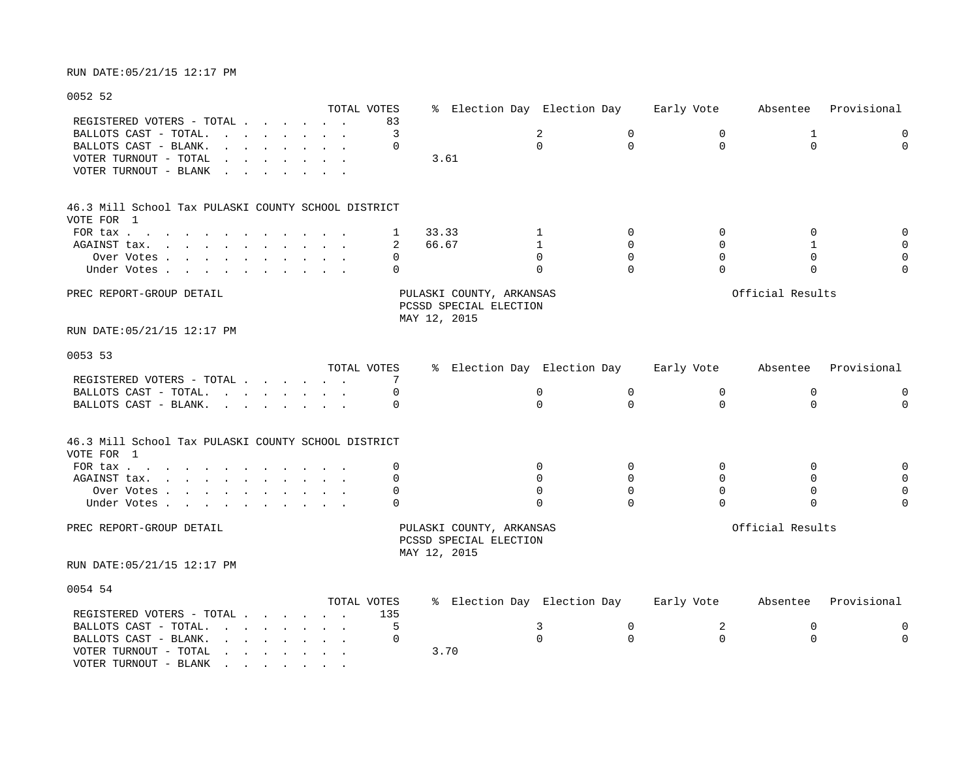# 0052 52

|                                                                                                                                                                                                                                                                              | TOTAL VOTES          |          | % Election Day Election Day                                        |             | Early Vote                 | Absentee         | Provisional |
|------------------------------------------------------------------------------------------------------------------------------------------------------------------------------------------------------------------------------------------------------------------------------|----------------------|----------|--------------------------------------------------------------------|-------------|----------------------------|------------------|-------------|
| REGISTERED VOTERS - TOTAL .<br>$\sim$ $\sim$ $\sim$ $\sim$                                                                                                                                                                                                                   | $\sim$ $\sim$ $\sim$ | 83       |                                                                    |             |                            |                  |             |
| BALLOTS CAST - TOTAL.                                                                                                                                                                                                                                                        |                      | 3        |                                                                    | 2           | $\mathbf 0$<br>0           | 1                | 0           |
| BALLOTS CAST - BLANK.<br>$\mathbf{L}$ and $\mathbf{L}$                                                                                                                                                                                                                       |                      | $\cap$   |                                                                    | $\Omega$    | $\Omega$<br>$\Omega$       | $\Omega$         | $\Omega$    |
| VOTER TURNOUT - TOTAL<br>$\sim$ $\sim$                                                                                                                                                                                                                                       |                      |          | 3.61                                                               |             |                            |                  |             |
| VOTER TURNOUT - BLANK<br>$\sim$ $\sim$                                                                                                                                                                                                                                       |                      |          |                                                                    |             |                            |                  |             |
|                                                                                                                                                                                                                                                                              |                      |          |                                                                    |             |                            |                  |             |
| 46.3 Mill School Tax PULASKI COUNTY SCHOOL DISTRICT                                                                                                                                                                                                                          |                      |          |                                                                    |             |                            |                  |             |
| VOTE FOR 1                                                                                                                                                                                                                                                                   |                      |          |                                                                    |             |                            |                  |             |
| FOR tax                                                                                                                                                                                                                                                                      |                      | 1        | 33.33                                                              | 1           | $\Omega$<br>$\Omega$       | $\Omega$         | $\mathbf 0$ |
| AGAINST tax.                                                                                                                                                                                                                                                                 |                      | 2        | 66.67                                                              | 1           | $\mathbf 0$<br>$\Omega$    | 1                | $\mathbf 0$ |
| Over Votes.<br>the contract of the contract of the contract of the contract of the contract of the contract of the contract of                                                                                                                                               |                      | $\Omega$ |                                                                    | $\Omega$    | $\mathbf 0$<br>$\Omega$    | $\mathbf 0$      | 0           |
|                                                                                                                                                                                                                                                                              |                      | $\Omega$ |                                                                    | $\Omega$    | $\Omega$<br>$\Omega$       | $\Omega$         | $\Omega$    |
| Under Votes                                                                                                                                                                                                                                                                  |                      |          |                                                                    |             |                            |                  |             |
| PREC REPORT-GROUP DETAIL                                                                                                                                                                                                                                                     |                      |          | PULASKI COUNTY, ARKANSAS<br>PCSSD SPECIAL ELECTION<br>MAY 12, 2015 |             |                            | Official Results |             |
| RUN DATE: 05/21/15 12:17 PM                                                                                                                                                                                                                                                  |                      |          |                                                                    |             |                            |                  |             |
| 0053 53                                                                                                                                                                                                                                                                      |                      |          |                                                                    |             |                            |                  |             |
|                                                                                                                                                                                                                                                                              | TOTAL VOTES          |          | % Election Day Election Day                                        |             | Early Vote                 | Absentee         | Provisional |
| REGISTERED VOTERS - TOTAL                                                                                                                                                                                                                                                    |                      | 7        |                                                                    |             |                            |                  |             |
| BALLOTS CAST - TOTAL.<br>and the contract of the contract of the contract of the contract of the contract of the contract of the contract of the contract of the contract of the contract of the contract of the contract of the contract of the contra                      |                      |          |                                                                    | 0           | 0<br>$\mathbf 0$           | 0                | 0           |
| BALLOTS CAST - BLANK.<br>the contract of the contract of the contract of the contract of the contract of the contract of the contract of                                                                                                                                     |                      | $\Omega$ |                                                                    | $\Omega$    | $\Omega$<br>$\Omega$       | $\Omega$         | $\mathbf 0$ |
| 46.3 Mill School Tax PULASKI COUNTY SCHOOL DISTRICT<br>VOTE FOR 1                                                                                                                                                                                                            |                      |          |                                                                    |             |                            |                  |             |
| FOR $\text{tax}$                                                                                                                                                                                                                                                             |                      | O        |                                                                    | $\mathbf 0$ | $\mathbf 0$<br>$\mathbf 0$ | $\mathbf 0$      | 0           |
| AGAINST tax.<br>the contract of the contract of the contract of the contract of the contract of the contract of the contract of                                                                                                                                              |                      | $\Omega$ |                                                                    | $\Omega$    | $\Omega$<br>$\Omega$       | $\Omega$         | $\mathbf 0$ |
| Over Votes                                                                                                                                                                                                                                                                   |                      | 0        |                                                                    | $\Omega$    | $\Omega$<br>$\Omega$       | $\mathbf 0$      | $\mathbf 0$ |
| Under Votes.                                                                                                                                                                                                                                                                 |                      | $\Omega$ |                                                                    | $\Omega$    | $\Omega$<br>$\Omega$       | $\Omega$         | $\Omega$    |
| PREC REPORT-GROUP DETAIL                                                                                                                                                                                                                                                     |                      |          | PULASKI COUNTY, ARKANSAS<br>PCSSD SPECIAL ELECTION<br>MAY 12, 2015 |             |                            | Official Results |             |
| RUN DATE: 05/21/15 12:17 PM                                                                                                                                                                                                                                                  |                      |          |                                                                    |             |                            |                  |             |
| 0054 54                                                                                                                                                                                                                                                                      | TOTAL VOTES          |          | % Election Day Election Day                                        |             | Early Vote                 | Absentee         | Provisional |
|                                                                                                                                                                                                                                                                              |                      |          |                                                                    |             |                            |                  |             |
| REGISTERED VOTERS - TOTAL                                                                                                                                                                                                                                                    |                      | 135      |                                                                    |             |                            |                  |             |
| BALLOTS CAST - TOTAL.<br>and the contract of the contract of the contract of the contract of the contract of the contract of the contract of the contract of the contract of the contract of the contract of the contract of the contract of the contra                      |                      | 5        |                                                                    | 3           | 2<br>$\mathbf 0$           | 0                | 0           |
| BALLOTS CAST - BLANK.<br>$\mathbf{r} = \mathbf{r} + \mathbf{r} + \mathbf{r} + \mathbf{r} + \mathbf{r} + \mathbf{r} + \mathbf{r}$<br>VOTER TURNOUT - TOTAL<br>the contract of the contract of the contract of the contract of the contract of the contract of the contract of |                      | $\Omega$ | 3.70                                                               | $\Omega$    | $\Omega$<br>$\Omega$       | $\Omega$         | $\Omega$    |

VOTER TURNOUT - BLANK  $\cdot \cdot \cdot \cdot \cdot \cdot$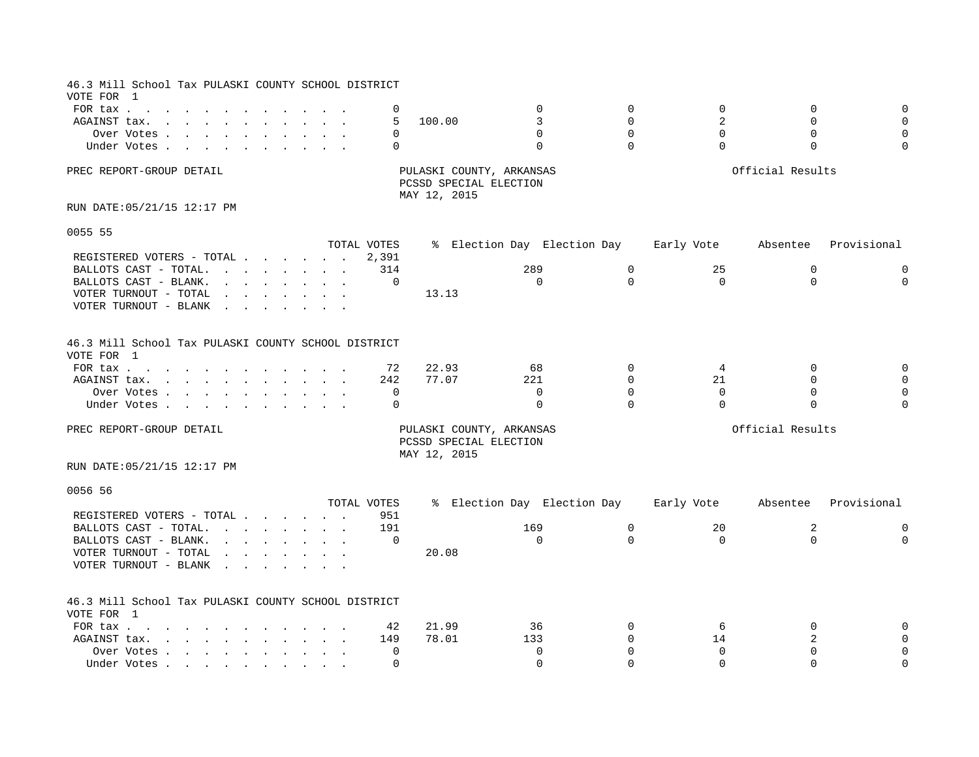| 46.3 Mill School Tax PULASKI COUNTY SCHOOL DISTRICT                                                                                                                                                                                                                                                                                                                                                                                                   |             |             |                                                                    |                             |             |                |                  |             |
|-------------------------------------------------------------------------------------------------------------------------------------------------------------------------------------------------------------------------------------------------------------------------------------------------------------------------------------------------------------------------------------------------------------------------------------------------------|-------------|-------------|--------------------------------------------------------------------|-----------------------------|-------------|----------------|------------------|-------------|
| VOTE FOR 1                                                                                                                                                                                                                                                                                                                                                                                                                                            |             |             |                                                                    |                             |             |                |                  |             |
| FOR tax                                                                                                                                                                                                                                                                                                                                                                                                                                               |             | 0           |                                                                    | $\Omega$                    | $\mathbf 0$ | $\Omega$       | $\Omega$         | $\Omega$    |
| AGAINST tax.                                                                                                                                                                                                                                                                                                                                                                                                                                          |             | 5           | 100.00                                                             | 3                           | $\Omega$    | $\overline{a}$ | $\Omega$         |             |
| Over Votes                                                                                                                                                                                                                                                                                                                                                                                                                                            |             | 0           |                                                                    | $\Omega$                    | $\Omega$    | $\Omega$       | $\mathbf 0$      | 0           |
| Under Votes                                                                                                                                                                                                                                                                                                                                                                                                                                           |             | 0           |                                                                    | $\Omega$                    | $\Omega$    | $\Omega$       | $\Omega$         |             |
| PREC REPORT-GROUP DETAIL                                                                                                                                                                                                                                                                                                                                                                                                                              |             |             | PULASKI COUNTY, ARKANSAS<br>PCSSD SPECIAL ELECTION<br>MAY 12, 2015 |                             |             |                | Official Results |             |
| RUN DATE: 05/21/15 12:17 PM                                                                                                                                                                                                                                                                                                                                                                                                                           |             |             |                                                                    |                             |             |                |                  |             |
| 0055 55                                                                                                                                                                                                                                                                                                                                                                                                                                               |             |             |                                                                    |                             |             |                |                  |             |
|                                                                                                                                                                                                                                                                                                                                                                                                                                                       | TOTAL VOTES |             |                                                                    | % Election Day Election Day |             | Early Vote     | Absentee         | Provisional |
| REGISTERED VOTERS - TOTAL                                                                                                                                                                                                                                                                                                                                                                                                                             |             | 2,391       |                                                                    |                             |             |                |                  |             |
| BALLOTS CAST - TOTAL.                                                                                                                                                                                                                                                                                                                                                                                                                                 |             | 314         |                                                                    | 289                         | $\mathbf 0$ | 25             | $\mathbf 0$      | $\Omega$    |
| BALLOTS CAST - BLANK.<br>$\mathbf{r}$ , and $\mathbf{r}$ , and $\mathbf{r}$ , and $\mathbf{r}$                                                                                                                                                                                                                                                                                                                                                        |             | 0           |                                                                    | $\Omega$                    | $\Omega$    | $\Omega$       | $\Omega$         | 0           |
| VOTER TURNOUT - TOTAL<br>$\mathbf{r}$ , $\mathbf{r}$ , $\mathbf{r}$ , $\mathbf{r}$ , $\mathbf{r}$ , $\mathbf{r}$ , $\mathbf{r}$                                                                                                                                                                                                                                                                                                                       |             |             | 13.13                                                              |                             |             |                |                  |             |
| VOTER TURNOUT - BLANK<br>$\mathbf{r}$ . The set of the set of the set of the set of the set of the set of the set of the set of the set of the set of the set of the set of the set of the set of the set of the set of the set of the set of the set of t                                                                                                                                                                                            |             |             |                                                                    |                             |             |                |                  |             |
| 46.3 Mill School Tax PULASKI COUNTY SCHOOL DISTRICT                                                                                                                                                                                                                                                                                                                                                                                                   |             |             |                                                                    |                             |             |                |                  |             |
| VOTE FOR 1                                                                                                                                                                                                                                                                                                                                                                                                                                            |             |             |                                                                    |                             |             |                |                  |             |
| FOR tax                                                                                                                                                                                                                                                                                                                                                                                                                                               |             | 72          | 22.93                                                              | 68                          | $\Omega$    | $\overline{4}$ | 0                |             |
| AGAINST tax.                                                                                                                                                                                                                                                                                                                                                                                                                                          |             | 242         | 77.07                                                              | 221                         | $\Omega$    | 21             | $\Omega$         |             |
| Over Votes                                                                                                                                                                                                                                                                                                                                                                                                                                            |             | 0           |                                                                    | $\mathbf 0$                 | $\Omega$    | $\mathbf 0$    | $\mathbf 0$      |             |
| Under Votes                                                                                                                                                                                                                                                                                                                                                                                                                                           |             | $\Omega$    |                                                                    | $\Omega$                    | $\Omega$    | $\Omega$       | $\Omega$         |             |
|                                                                                                                                                                                                                                                                                                                                                                                                                                                       |             |             |                                                                    |                             |             |                |                  |             |
| PREC REPORT-GROUP DETAIL                                                                                                                                                                                                                                                                                                                                                                                                                              |             |             | PULASKI COUNTY, ARKANSAS<br>PCSSD SPECIAL ELECTION<br>MAY 12, 2015 |                             |             |                | Official Results |             |
| RUN DATE: 05/21/15 12:17 PM                                                                                                                                                                                                                                                                                                                                                                                                                           |             |             |                                                                    |                             |             |                |                  |             |
| 0056 56                                                                                                                                                                                                                                                                                                                                                                                                                                               |             |             |                                                                    |                             |             |                |                  |             |
|                                                                                                                                                                                                                                                                                                                                                                                                                                                       | TOTAL VOTES |             |                                                                    | % Election Day Election Day |             | Early Vote     | Absentee         | Provisional |
| REGISTERED VOTERS - TOTAL                                                                                                                                                                                                                                                                                                                                                                                                                             |             | 951         |                                                                    |                             |             |                |                  |             |
| BALLOTS CAST - TOTAL.<br>and the contract of the contract of the contract of the contract of the contract of the contract of the contract of the contract of the contract of the contract of the contract of the contract of the contract of the contra                                                                                                                                                                                               |             | 191         |                                                                    | 169                         | 0           | 20             | 2                | 0           |
| BALLOTS CAST - BLANK.<br>$\mathbf{r}$ . The set of the set of the set of the set of the set of the set of the set of the set of the set of the set of the set of the set of the set of the set of the set of the set of the set of the set of the set of t                                                                                                                                                                                            |             | $\Omega$    |                                                                    | $\Omega$                    | $\Omega$    | $\mathbf 0$    | $\Omega$         | 0           |
| VOTER TURNOUT - TOTAL<br>$\mathbf{r} = \mathbf{r} + \mathbf{r} + \mathbf{r} + \mathbf{r} + \mathbf{r} + \mathbf{r} + \mathbf{r} + \mathbf{r} + \mathbf{r} + \mathbf{r} + \mathbf{r} + \mathbf{r} + \mathbf{r} + \mathbf{r} + \mathbf{r} + \mathbf{r} + \mathbf{r} + \mathbf{r} + \mathbf{r} + \mathbf{r} + \mathbf{r} + \mathbf{r} + \mathbf{r} + \mathbf{r} + \mathbf{r} + \mathbf{r} + \mathbf{r} + \mathbf{r} + \mathbf{r} + \mathbf{r} + \mathbf$ |             |             | 20.08                                                              |                             |             |                |                  |             |
| VOTER TURNOUT - BLANK<br>$\sim$ $\sim$<br><b>Contract Contract Street</b>                                                                                                                                                                                                                                                                                                                                                                             |             |             |                                                                    |                             |             |                |                  |             |
| 46.3 Mill School Tax PULASKI COUNTY SCHOOL DISTRICT                                                                                                                                                                                                                                                                                                                                                                                                   |             |             |                                                                    |                             |             |                |                  |             |
| VOTE FOR 1                                                                                                                                                                                                                                                                                                                                                                                                                                            |             |             |                                                                    |                             |             |                |                  |             |
| FOR tax $\cdots$ $\cdots$ $\cdots$                                                                                                                                                                                                                                                                                                                                                                                                                    |             | 42          | 21.99                                                              | 36                          | $\Omega$    | 6              | $\Omega$         |             |
| AGAINST tax.                                                                                                                                                                                                                                                                                                                                                                                                                                          |             | 149         | 78.01                                                              | 133                         | $\Omega$    | 14             | 2                |             |
| Over Votes                                                                                                                                                                                                                                                                                                                                                                                                                                            |             | $\mathbf 0$ |                                                                    | $\mathbf 0$                 | $\Omega$    | 0              | U                | 0           |
| Under Votes                                                                                                                                                                                                                                                                                                                                                                                                                                           |             | $\Omega$    |                                                                    | $\Omega$                    | $\cap$      | $\Omega$       | $\cap$           | $\Omega$    |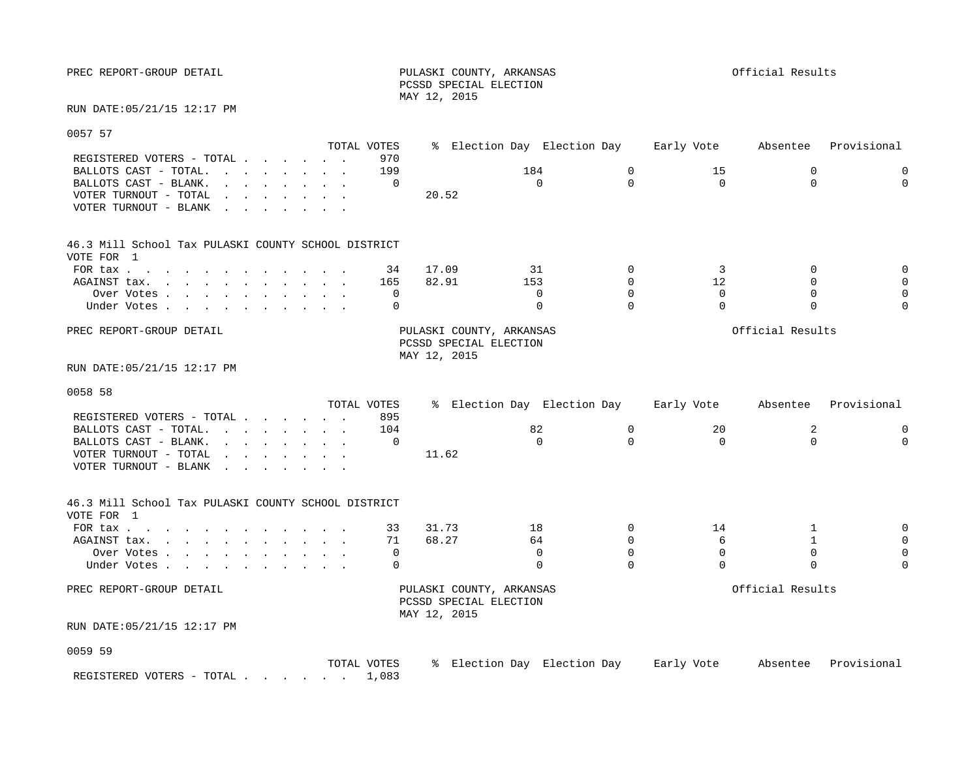PREC REPORT-GROUP DETAIL **PULASKI COUNTY, ARKANSAS** PULASKI COUNTY, ARKANSAS

 PCSSD SPECIAL ELECTION MAY 12, 2015

RUN DATE:05/21/15 12:17 PM

0057 57

| vus <i>i</i> s <i>i</i>                                                                                                                                                                                                                                                                                                                                                                                                                                    | TOTAL VOTES |                |                                                                    | % Election Day Election Day 6 Early Vote |                         |                                        | Absentee                | Provisional   |
|------------------------------------------------------------------------------------------------------------------------------------------------------------------------------------------------------------------------------------------------------------------------------------------------------------------------------------------------------------------------------------------------------------------------------------------------------------|-------------|----------------|--------------------------------------------------------------------|------------------------------------------|-------------------------|----------------------------------------|-------------------------|---------------|
| REGISTERED VOTERS - TOTAL<br>BALLOTS CAST - TOTAL.<br><u>in the second contract of the second second</u>                                                                                                                                                                                                                                                                                                                                                   |             | 970<br>199     |                                                                    | 184<br>$\Omega$                          | $\mathbf 0$<br>$\Omega$ | 15                                     | $\mathbf 0$<br>$\Omega$ | 0<br>$\Omega$ |
| BALLOTS CAST - BLANK.<br>and the contract of the contract of the contract of the contract of the contract of the contract of the contract of the contract of the contract of the contract of the contract of the contract of the contract of the contra<br>VOTER TURNOUT - TOTAL<br>$\mathbf{r}$ , $\mathbf{r}$ , $\mathbf{r}$ , $\mathbf{r}$ , $\mathbf{r}$ , $\mathbf{r}$<br>VOTER TURNOUT - BLANK<br><u>in the second contract of the second second</u> |             | $\Omega$       | 20.52                                                              |                                          |                         | $\Omega$                               |                         |               |
| 46.3 Mill School Tax PULASKI COUNTY SCHOOL DISTRICT<br>VOTE FOR 1                                                                                                                                                                                                                                                                                                                                                                                          |             |                |                                                                    |                                          |                         |                                        |                         |               |
| FOR tax                                                                                                                                                                                                                                                                                                                                                                                                                                                    |             | 34             | 17.09                                                              | 31                                       | $\Omega$                | 3                                      | $\Omega$                |               |
| AGAINST tax.                                                                                                                                                                                                                                                                                                                                                                                                                                               |             | 165            | 82.91                                                              | 153                                      | $\Omega$                | 12                                     | $\Omega$                |               |
| Over Votes                                                                                                                                                                                                                                                                                                                                                                                                                                                 |             | 0              |                                                                    | 0                                        | $\Omega$                | $\mathbf 0$                            | $\mathbf 0$             |               |
| Under Votes                                                                                                                                                                                                                                                                                                                                                                                                                                                |             | $\Omega$       |                                                                    | $\Omega$                                 | $\Omega$                | $\Omega$                               | $\Omega$                |               |
| PREC REPORT-GROUP DETAIL                                                                                                                                                                                                                                                                                                                                                                                                                                   |             |                | PULASKI COUNTY, ARKANSAS<br>PCSSD SPECIAL ELECTION<br>MAY 12, 2015 |                                          |                         |                                        | Official Results        |               |
| RUN DATE: 05/21/15 12:17 PM                                                                                                                                                                                                                                                                                                                                                                                                                                |             |                |                                                                    |                                          |                         |                                        |                         |               |
| 0058 58                                                                                                                                                                                                                                                                                                                                                                                                                                                    |             |                |                                                                    |                                          |                         |                                        |                         |               |
|                                                                                                                                                                                                                                                                                                                                                                                                                                                            | TOTAL VOTES |                |                                                                    |                                          |                         | % Election Day Election Day Barly Vote | Absentee                | Provisional   |
| REGISTERED VOTERS - TOTAL<br>BALLOTS CAST - TOTAL.                                                                                                                                                                                                                                                                                                                                                                                                         |             | 895<br>104     |                                                                    | 82                                       | $\mathbf 0$             | 20                                     |                         |               |
| BALLOTS CAST - BLANK.                                                                                                                                                                                                                                                                                                                                                                                                                                      |             | $\Omega$       |                                                                    | $\Omega$                                 | $\Omega$                | $\Omega$                               | 2<br>$\Omega$           | 0<br>$\cap$   |
| <u>in the contract of the contract of the contract of the contract of the contract of the contract of the contract of the contract of the contract of the contract of the contract of the contract of the contract of the contra</u><br>VOTER TURNOUT - TOTAL<br>and the contract of the contract of the                                                                                                                                                   |             |                | 11.62                                                              |                                          |                         |                                        |                         |               |
| VOTER TURNOUT - BLANK                                                                                                                                                                                                                                                                                                                                                                                                                                      |             |                |                                                                    |                                          |                         |                                        |                         |               |
| 46.3 Mill School Tax PULASKI COUNTY SCHOOL DISTRICT                                                                                                                                                                                                                                                                                                                                                                                                        |             |                |                                                                    |                                          |                         |                                        |                         |               |
| VOTE FOR 1                                                                                                                                                                                                                                                                                                                                                                                                                                                 |             |                |                                                                    |                                          |                         |                                        |                         |               |
| FOR tax                                                                                                                                                                                                                                                                                                                                                                                                                                                    |             | 33             | 31.73                                                              | 18                                       | $\Omega$                | 14                                     | $\mathbf{1}$            |               |
| AGAINST tax.                                                                                                                                                                                                                                                                                                                                                                                                                                               |             | 71             | 68.27                                                              | 64                                       | $\mathbf 0$             | 6                                      | $\mathbf{1}$            |               |
| Over Votes                                                                                                                                                                                                                                                                                                                                                                                                                                                 |             | $\overline{0}$ |                                                                    | $\Omega$                                 | $\Omega$                | $\mathbf 0$                            | $\mathbf 0$             |               |
| Under Votes                                                                                                                                                                                                                                                                                                                                                                                                                                                |             | $\Omega$       |                                                                    | $\Omega$                                 | $\Omega$                | $\Omega$                               | $\Omega$                |               |
| PREC REPORT-GROUP DETAIL                                                                                                                                                                                                                                                                                                                                                                                                                                   |             |                | PULASKI COUNTY, ARKANSAS<br>PCSSD SPECIAL ELECTION<br>MAY 12, 2015 |                                          |                         |                                        | Official Results        |               |
| RUN DATE: 05/21/15 12:17 PM                                                                                                                                                                                                                                                                                                                                                                                                                                |             |                |                                                                    |                                          |                         |                                        |                         |               |
| 0059 59                                                                                                                                                                                                                                                                                                                                                                                                                                                    |             |                |                                                                    |                                          |                         |                                        |                         |               |

|                           | VOTES<br>TOTAL | Election Dav | Election Day | Early<br>Vote | Absentee | Provisional |
|---------------------------|----------------|--------------|--------------|---------------|----------|-------------|
| REGISTERED VOTERS - TOTAL | 1,083          |              |              |               |          |             |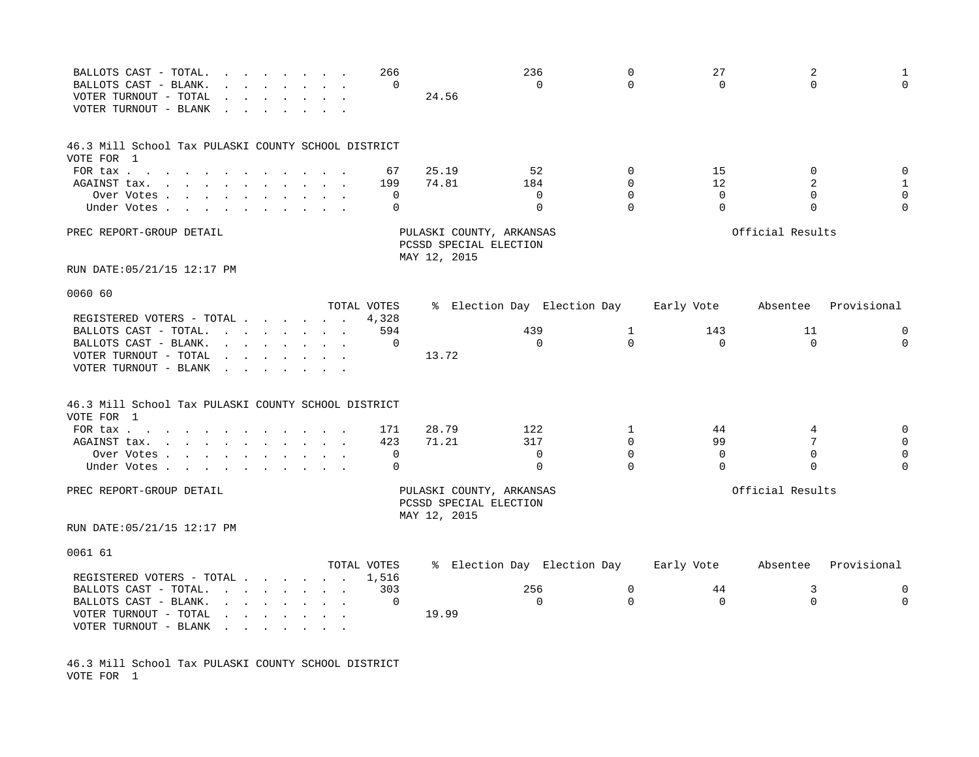| BALLOTS CAST - TOTAL.<br>$\mathbf{r}$ , and $\mathbf{r}$ , and $\mathbf{r}$ , and $\mathbf{r}$<br>BALLOTS CAST - BLANK.<br>VOTER TURNOUT - TOTAL<br>VOTER TURNOUT - BLANK                                                                                                |                                                                                                                                                                                                                                | 266<br>0    | 24.56          | 236<br>$\Omega$                                    | $\mathbf 0$<br>$\Omega$ | 27<br>$\Omega$  | 2<br>$\Omega$              | 1<br>$\mathbf 0$    |
|--------------------------------------------------------------------------------------------------------------------------------------------------------------------------------------------------------------------------------------------------------------------------|--------------------------------------------------------------------------------------------------------------------------------------------------------------------------------------------------------------------------------|-------------|----------------|----------------------------------------------------|-------------------------|-----------------|----------------------------|---------------------|
| 46.3 Mill School Tax PULASKI COUNTY SCHOOL DISTRICT                                                                                                                                                                                                                      |                                                                                                                                                                                                                                |             |                |                                                    |                         |                 |                            |                     |
| VOTE FOR 1                                                                                                                                                                                                                                                               |                                                                                                                                                                                                                                |             |                |                                                    |                         |                 |                            |                     |
| FOR tax                                                                                                                                                                                                                                                                  |                                                                                                                                                                                                                                | 67<br>199   | 25.19<br>74.81 | 52<br>184                                          | $\Omega$<br>$\Omega$    | 15<br>12        | $\Omega$<br>$\overline{a}$ | 0<br>$\mathbf{1}$   |
| AGAINST tax.<br>the contract of the contract of the contract of the contract of the contract of the contract of the contract of<br>Over Votes                                                                                                                            |                                                                                                                                                                                                                                | 0           |                | 0                                                  | $\Omega$                | $\mathbf 0$     | $\mathbf 0$                | $\mathsf{O}\xspace$ |
| Under Votes.<br>$\mathbf{r}$ , $\mathbf{r}$ , $\mathbf{r}$ , $\mathbf{r}$                                                                                                                                                                                                |                                                                                                                                                                                                                                | $\Omega$    |                | $\Omega$                                           | $\Omega$                | $\Omega$        | $\Omega$                   | $\Omega$            |
| PREC REPORT-GROUP DETAIL                                                                                                                                                                                                                                                 |                                                                                                                                                                                                                                |             | MAY 12, 2015   | PULASKI COUNTY, ARKANSAS<br>PCSSD SPECIAL ELECTION |                         |                 | Official Results           |                     |
| RUN DATE:05/21/15 12:17 PM                                                                                                                                                                                                                                               |                                                                                                                                                                                                                                |             |                |                                                    |                         |                 |                            |                     |
| 0060 60                                                                                                                                                                                                                                                                  |                                                                                                                                                                                                                                |             |                |                                                    |                         |                 |                            |                     |
|                                                                                                                                                                                                                                                                          |                                                                                                                                                                                                                                | TOTAL VOTES |                | % Election Day Election Day                        |                         | Early Vote      | Absentee                   | Provisional         |
| REGISTERED VOTERS - TOTAL .                                                                                                                                                                                                                                              | and the contract of the contract of the contract of the contract of the contract of the contract of the contract of the contract of the contract of the contract of the contract of the contract of the contract of the contra | 4,328       |                |                                                    |                         |                 |                            |                     |
| BALLOTS CAST - TOTAL.<br>$\mathbf{r} = \mathbf{r} + \mathbf{r} + \mathbf{r} + \mathbf{r} + \mathbf{r} + \mathbf{r} + \mathbf{r}$<br>BALLOTS CAST - BLANK.<br>$\mathbf{r} = \mathbf{r} - \mathbf{r}$ , $\mathbf{r} = \mathbf{r} - \mathbf{r}$ , $\mathbf{r} = \mathbf{r}$ |                                                                                                                                                                                                                                | 594<br>0    |                | 439<br>$\Omega$                                    | 1<br>$\Omega$           | 143<br>$\Omega$ | 11<br>$\Omega$             | 0<br>$\Omega$       |
| VOTER TURNOUT - TOTAL<br>VOTER TURNOUT - BLANK<br>$\sim$                                                                                                                                                                                                                 |                                                                                                                                                                                                                                |             | 13.72          |                                                    |                         |                 |                            |                     |
| 46.3 Mill School Tax PULASKI COUNTY SCHOOL DISTRICT<br>VOTE FOR 1                                                                                                                                                                                                        |                                                                                                                                                                                                                                |             |                |                                                    |                         |                 |                            |                     |
| FOR tax $\ldots$ $\ldots$ $\ldots$ $\ldots$                                                                                                                                                                                                                              |                                                                                                                                                                                                                                | 171         | 28.79          | 122                                                | $\mathbf{1}$            | 44              | 4                          | $\mathbf 0$         |
| AGAINST tax.<br>the contract of the contract of the contract of the contract of the contract of the contract of the contract of                                                                                                                                          |                                                                                                                                                                                                                                | 423         | 71.21          | 317                                                | $\Omega$                | 99              | 7                          | $\mathbf 0$         |
| Over Votes                                                                                                                                                                                                                                                               |                                                                                                                                                                                                                                | 0           |                | 0                                                  | $\Omega$                | $\Omega$        | $\mathbf 0$                | $\mathbf 0$         |
| Under Votes.                                                                                                                                                                                                                                                             |                                                                                                                                                                                                                                | $\mathbf 0$ |                | $\Omega$                                           | $\Omega$                | $\Omega$        | $\mathbf 0$                | $\Omega$            |
| PREC REPORT-GROUP DETAIL                                                                                                                                                                                                                                                 |                                                                                                                                                                                                                                |             | MAY 12, 2015   | PULASKI COUNTY, ARKANSAS<br>PCSSD SPECIAL ELECTION |                         |                 | Official Results           |                     |
| RUN DATE:05/21/15 12:17 PM                                                                                                                                                                                                                                               |                                                                                                                                                                                                                                |             |                |                                                    |                         |                 |                            |                     |
| 0061 61                                                                                                                                                                                                                                                                  |                                                                                                                                                                                                                                |             |                |                                                    |                         |                 |                            |                     |
|                                                                                                                                                                                                                                                                          |                                                                                                                                                                                                                                | TOTAL VOTES |                | % Election Day Election Day                        |                         | Early Vote      | Absentee                   | Provisional         |
| REGISTERED VOTERS - TOTAL.                                                                                                                                                                                                                                               | $\sim$ $\sim$ $\sim$ $\sim$ $\sim$ $\sim$                                                                                                                                                                                      | 1,516       |                |                                                    |                         |                 |                            |                     |
| BALLOTS CAST - TOTAL.<br>$\mathbf{r} = \mathbf{r} \cdot \mathbf{r}$ , and $\mathbf{r} = \mathbf{r} \cdot \mathbf{r}$ , and $\mathbf{r} = \mathbf{r} \cdot \mathbf{r}$<br>BALLOTS CAST - BLANK.                                                                           |                                                                                                                                                                                                                                | 303<br>0    |                | 256<br>$\mathbf 0$                                 | 0<br>$\Omega$           | 44<br>$\Omega$  | 3<br>$\mathbf 0$           | 0<br>0              |
| VOTER TURNOUT - TOTAL<br>and a series of the series of the series of<br>VOTER TURNOUT - BLANK<br>$\mathbf{r}$ , $\mathbf{r}$ , $\mathbf{r}$ , $\mathbf{r}$ , $\mathbf{r}$ , $\mathbf{r}$                                                                                 |                                                                                                                                                                                                                                |             | 19.99          |                                                    |                         |                 |                            |                     |

46.3 Mill School Tax PULASKI COUNTY SCHOOL DISTRICT VOTE FOR 1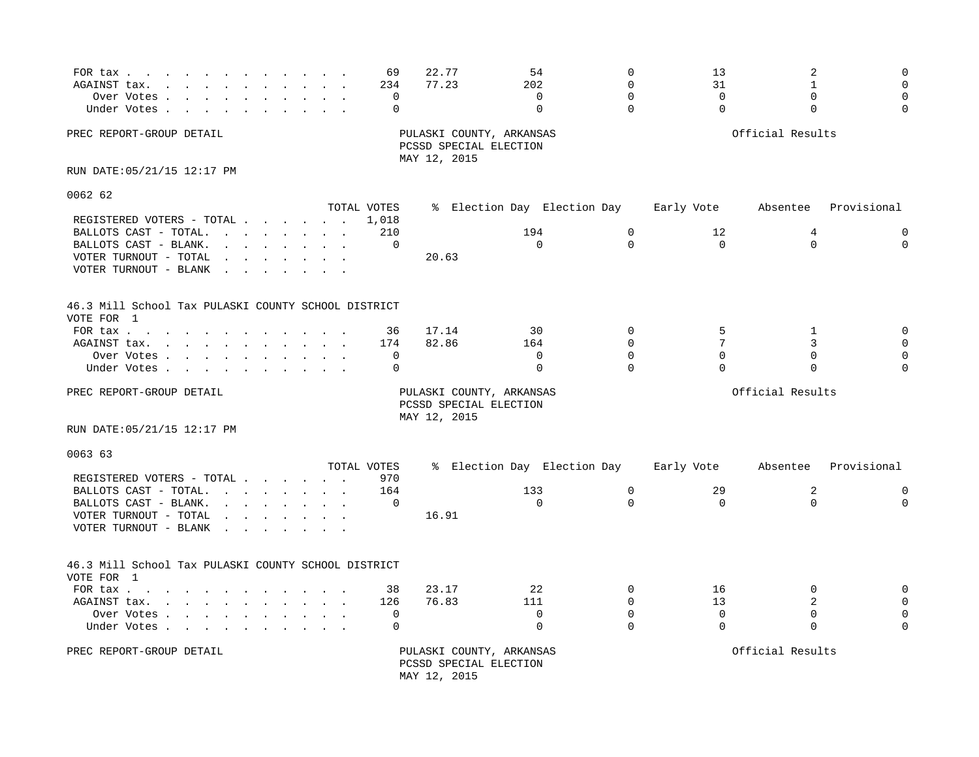| FOR tax<br>AGAINST tax.<br>$\mathcal{L}$ . The contract of the contract of the contract of the contract of the contract of the contract of the contract of the contract of the contract of the contract of the contract of the contract of the contract of th<br>Over Votes<br>Under Votes                                                                                                                                                            | 69<br>234<br>0<br>$\mathbf 0$ | 22.77<br>77.23                         | 54<br>202<br>$\Omega$<br>$\mathbf 0$ | $\mathbf 0$<br>$\Omega$<br>$\Omega$<br>$\Omega$ | 13<br>31<br>$\Omega$<br>$\Omega$ | 2<br>$\mathbf{1}$<br>$\Omega$<br>$\Omega$ | $\Omega$<br>$\Omega$ |
|-------------------------------------------------------------------------------------------------------------------------------------------------------------------------------------------------------------------------------------------------------------------------------------------------------------------------------------------------------------------------------------------------------------------------------------------------------|-------------------------------|----------------------------------------|--------------------------------------|-------------------------------------------------|----------------------------------|-------------------------------------------|----------------------|
| PREC REPORT-GROUP DETAIL                                                                                                                                                                                                                                                                                                                                                                                                                              |                               | PCSSD SPECIAL ELECTION<br>MAY 12, 2015 | PULASKI COUNTY, ARKANSAS             |                                                 |                                  | Official Results                          |                      |
| RUN DATE: 05/21/15 12:17 PM                                                                                                                                                                                                                                                                                                                                                                                                                           |                               |                                        |                                      |                                                 |                                  |                                           |                      |
| 0062 62                                                                                                                                                                                                                                                                                                                                                                                                                                               |                               |                                        |                                      |                                                 |                                  |                                           |                      |
|                                                                                                                                                                                                                                                                                                                                                                                                                                                       | TOTAL VOTES                   |                                        | % Election Day Election Day          |                                                 | Early Vote                       | Absentee                                  | Provisional          |
| REGISTERED VOTERS - TOTAL                                                                                                                                                                                                                                                                                                                                                                                                                             | 1,018                         |                                        |                                      |                                                 |                                  |                                           |                      |
| BALLOTS CAST - TOTAL.                                                                                                                                                                                                                                                                                                                                                                                                                                 | 210                           |                                        | 194                                  | $\mathbf 0$                                     | 12                               | 4                                         | $\mathbf 0$          |
| BALLOTS CAST - BLANK.<br>$\mathbf{r}$ . The set of the set of the set of the set of the set of the set of the set of the set of the set of the set of the set of the set of the set of the set of the set of the set of the set of the set of the set of t                                                                                                                                                                                            | 0                             |                                        | $\Omega$                             | $\Omega$                                        | $\mathbf 0$                      | $\Omega$                                  | $\mathbf 0$          |
| VOTER TURNOUT - TOTAL<br>the contract of the contract of the con-                                                                                                                                                                                                                                                                                                                                                                                     |                               | 20.63                                  |                                      |                                                 |                                  |                                           |                      |
| VOTER TURNOUT - BLANK<br>$\mathbf{r}$ . The set of $\mathbf{r}$                                                                                                                                                                                                                                                                                                                                                                                       |                               |                                        |                                      |                                                 |                                  |                                           |                      |
| 46.3 Mill School Tax PULASKI COUNTY SCHOOL DISTRICT<br>VOTE FOR 1                                                                                                                                                                                                                                                                                                                                                                                     |                               |                                        |                                      |                                                 |                                  |                                           |                      |
| FOR tax $\cdots$ $\cdots$                                                                                                                                                                                                                                                                                                                                                                                                                             | 36                            | 17.14                                  | 30                                   | $\Omega$                                        | 5                                | 1                                         | $\mathbf 0$          |
| AGAINST tax.<br>the contract of the contract of the contract of the contract of the contract of the contract of the contract of                                                                                                                                                                                                                                                                                                                       | 174                           | 82.86                                  | 164                                  | $\Omega$                                        | 7                                | 3                                         |                      |
| Over Votes                                                                                                                                                                                                                                                                                                                                                                                                                                            | 0                             |                                        | $\Omega$                             | $\Omega$                                        | $\Omega$                         | $\Omega$                                  |                      |
| Under Votes                                                                                                                                                                                                                                                                                                                                                                                                                                           | $\Omega$                      |                                        | $\Omega$                             | $\Omega$                                        | $\Omega$                         | $\Omega$                                  |                      |
| PREC REPORT-GROUP DETAIL                                                                                                                                                                                                                                                                                                                                                                                                                              |                               | PCSSD SPECIAL ELECTION<br>MAY 12, 2015 | PULASKI COUNTY, ARKANSAS             |                                                 |                                  | Official Results                          |                      |
| RUN DATE: 05/21/15 12:17 PM                                                                                                                                                                                                                                                                                                                                                                                                                           |                               |                                        |                                      |                                                 |                                  |                                           |                      |
| 0063 63                                                                                                                                                                                                                                                                                                                                                                                                                                               |                               |                                        |                                      |                                                 |                                  |                                           |                      |
|                                                                                                                                                                                                                                                                                                                                                                                                                                                       | TOTAL VOTES                   |                                        | % Election Day Election Day          |                                                 | Early Vote                       | Absentee                                  | Provisional          |
| REGISTERED VOTERS - TOTAL                                                                                                                                                                                                                                                                                                                                                                                                                             | 970                           |                                        |                                      |                                                 |                                  |                                           |                      |
| BALLOTS CAST - TOTAL.<br>$\mathbf{r}$ . The set of the set of the set of the set of the set of the set of the set of the set of the set of the set of the set of the set of the set of the set of the set of the set of the set of the set of the set of t                                                                                                                                                                                            | 164                           |                                        | 133                                  | $\mathbf 0$                                     | 29                               | 2                                         | $\mathbf 0$          |
| BALLOTS CAST - BLANK.<br>$\mathbf{r} = \mathbf{r} + \mathbf{r} + \mathbf{r} + \mathbf{r} + \mathbf{r} + \mathbf{r} + \mathbf{r} + \mathbf{r} + \mathbf{r} + \mathbf{r} + \mathbf{r} + \mathbf{r} + \mathbf{r} + \mathbf{r} + \mathbf{r} + \mathbf{r} + \mathbf{r} + \mathbf{r} + \mathbf{r} + \mathbf{r} + \mathbf{r} + \mathbf{r} + \mathbf{r} + \mathbf{r} + \mathbf{r} + \mathbf{r} + \mathbf{r} + \mathbf{r} + \mathbf{r} + \mathbf{r} + \mathbf$ | $\mathbf 0$                   |                                        | $\mathbf 0$                          | $\mathbf 0$                                     | $\mathbf 0$                      | $\mathbf 0$                               | $\mathbf 0$          |
| VOTER TURNOUT - TOTAL<br>$\mathbf{r} = \mathbf{r} + \mathbf{r} + \mathbf{r} + \mathbf{r} + \mathbf{r} + \mathbf{r} + \mathbf{r} + \mathbf{r} + \mathbf{r} + \mathbf{r} + \mathbf{r} + \mathbf{r} + \mathbf{r} + \mathbf{r} + \mathbf{r} + \mathbf{r} + \mathbf{r} + \mathbf{r} + \mathbf{r} + \mathbf{r} + \mathbf{r} + \mathbf{r} + \mathbf{r} + \mathbf{r} + \mathbf{r} + \mathbf{r} + \mathbf{r} + \mathbf{r} + \mathbf{r} + \mathbf{r} + \mathbf$ |                               | 16.91                                  |                                      |                                                 |                                  |                                           |                      |
| VOTER TURNOUT - BLANK<br>$\sim$ $\sim$<br>$\sim$ $-$<br>$\sim$                                                                                                                                                                                                                                                                                                                                                                                        |                               |                                        |                                      |                                                 |                                  |                                           |                      |
| 46.3 Mill School Tax PULASKI COUNTY SCHOOL DISTRICT<br>VOTE FOR 1                                                                                                                                                                                                                                                                                                                                                                                     |                               |                                        |                                      |                                                 |                                  |                                           |                      |
| FOR tax $\cdots$ $\cdots$ $\cdots$                                                                                                                                                                                                                                                                                                                                                                                                                    | 38                            | 23.17                                  | 22                                   | $\mathbf 0$                                     | 16                               | $\mathbf 0$                               | $\mathbf 0$          |
| AGAINST tax.                                                                                                                                                                                                                                                                                                                                                                                                                                          | 126                           | 76.83                                  | 111                                  | $\Omega$                                        | 13                               | 2                                         |                      |
| Over Votes                                                                                                                                                                                                                                                                                                                                                                                                                                            | $\mathbf 0$                   |                                        | $\mathbf 0$                          | $\Omega$                                        | $\mathbf 0$                      | $\Omega$                                  | $\Omega$             |
| Under Votes                                                                                                                                                                                                                                                                                                                                                                                                                                           | $\mathbf 0$                   |                                        | $\Omega$                             | $\Omega$                                        | $\Omega$                         | $\Omega$                                  | $\Omega$             |
| PREC REPORT-GROUP DETAIL                                                                                                                                                                                                                                                                                                                                                                                                                              |                               | PCSSD SPECIAL ELECTION<br>MAY 12, 2015 | PULASKI COUNTY, ARKANSAS             |                                                 |                                  | Official Results                          |                      |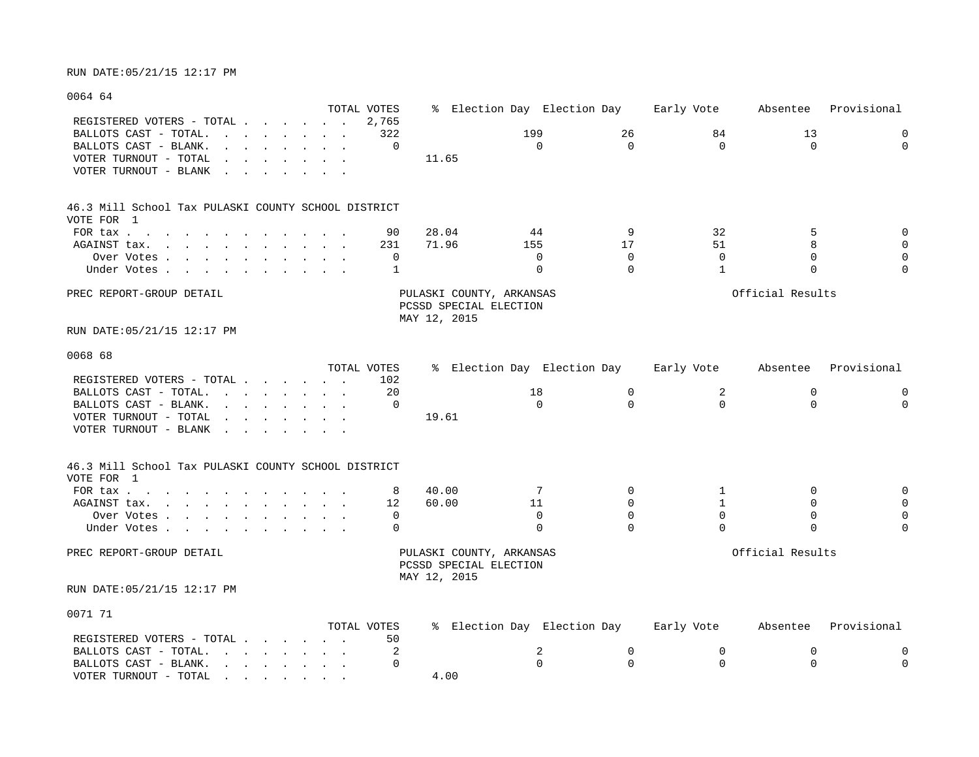### 0064 64

|                                                                                                                                                                                                                                                                                 | TOTAL VOTES  |                                                                    | % Election Day Election Day |          | Early Vote   | Absentee         | Provisional |
|---------------------------------------------------------------------------------------------------------------------------------------------------------------------------------------------------------------------------------------------------------------------------------|--------------|--------------------------------------------------------------------|-----------------------------|----------|--------------|------------------|-------------|
| REGISTERED VOTERS - TOTAL<br>BALLOTS CAST - TOTAL.                                                                                                                                                                                                                              | 2,765<br>322 |                                                                    | 199                         | 26       | 84           | 13               | $\mathbf 0$ |
| the contract of the contract of the contract of the contract of the contract of the contract of the contract of<br>BALLOTS CAST - BLANK.<br>$\mathbf{r}$ and $\mathbf{r}$ and $\mathbf{r}$ and $\mathbf{r}$ and $\mathbf{r}$                                                    | $\Omega$     |                                                                    | $\Omega$                    | $\Omega$ | $\Omega$     | $\Omega$         | $\Omega$    |
|                                                                                                                                                                                                                                                                                 |              |                                                                    |                             |          |              |                  |             |
| VOTER TURNOUT - TOTAL<br>and the contract of the contract of the contract of the contract of the contract of the contract of the contract of the contract of the contract of the contract of the contract of the contract of the contract of the contra<br>$\ddot{\phantom{0}}$ |              | 11.65                                                              |                             |          |              |                  |             |
| VOTER TURNOUT - BLANK<br>the contract of the contract of the contract of the contract of the contract of the contract of the contract of                                                                                                                                        |              |                                                                    |                             |          |              |                  |             |
| 46.3 Mill School Tax PULASKI COUNTY SCHOOL DISTRICT                                                                                                                                                                                                                             |              |                                                                    |                             |          |              |                  |             |
| VOTE FOR 1                                                                                                                                                                                                                                                                      |              |                                                                    |                             |          |              |                  |             |
| FOR tax                                                                                                                                                                                                                                                                         | 90           | 28.04                                                              | 44                          | 9        | 32           | 5                | $\mathbf 0$ |
| $\mathbf{r}$ , and $\mathbf{r}$ , and $\mathbf{r}$ , and $\mathbf{r}$ , and $\mathbf{r}$<br>AGAINST tax.                                                                                                                                                                        | 231          | 71.96                                                              | 155                         | 17       | 51           | 8                | $\mathbf 0$ |
| Over Votes                                                                                                                                                                                                                                                                      | 0            |                                                                    | 0                           | $\Omega$ | $\Omega$     | $\Omega$         | $\mathbf 0$ |
| Under Votes                                                                                                                                                                                                                                                                     | 1            |                                                                    | $\Omega$                    | $\Omega$ | $\mathbf{1}$ | $\Omega$         | $\Omega$    |
| PREC REPORT-GROUP DETAIL                                                                                                                                                                                                                                                        |              | PULASKI COUNTY, ARKANSAS<br>PCSSD SPECIAL ELECTION<br>MAY 12, 2015 |                             |          |              | Official Results |             |
| RUN DATE:05/21/15 12:17 PM                                                                                                                                                                                                                                                      |              |                                                                    |                             |          |              |                  |             |
| 0068 68                                                                                                                                                                                                                                                                         |              |                                                                    |                             |          |              |                  |             |
|                                                                                                                                                                                                                                                                                 | TOTAL VOTES  |                                                                    | % Election Day Election Day |          | Early Vote   | Absentee         | Provisional |
| REGISTERED VOTERS - TOTAL                                                                                                                                                                                                                                                       | 102          |                                                                    |                             |          |              |                  |             |
| BALLOTS CAST - TOTAL.                                                                                                                                                                                                                                                           | 20           |                                                                    | 18                          | 0        | 2            | 0                | 0           |
| BALLOTS CAST - BLANK.<br>$\mathbf{r}$ , and $\mathbf{r}$ , and $\mathbf{r}$ , and $\mathbf{r}$                                                                                                                                                                                  | $\Omega$     |                                                                    | $\Omega$                    | $\Omega$ | $\Omega$     | $\Omega$         | $\Omega$    |
| VOTER TURNOUT - TOTAL<br>$\mathbf{r}$ . The contract of the contract of the contract of the contract of the contract of the contract of the contract of the contract of the contract of the contract of the contract of the contract of the contract of th                      |              | 19.61                                                              |                             |          |              |                  |             |
| VOTER TURNOUT - BLANK                                                                                                                                                                                                                                                           |              |                                                                    |                             |          |              |                  |             |
| 46.3 Mill School Tax PULASKI COUNTY SCHOOL DISTRICT                                                                                                                                                                                                                             |              |                                                                    |                             |          |              |                  |             |
| VOTE FOR 1                                                                                                                                                                                                                                                                      |              |                                                                    |                             |          |              |                  |             |
| FOR tax                                                                                                                                                                                                                                                                         | 8            | 40.00                                                              | 7                           | $\Omega$ | 1            | $\Omega$         | $\mathbf 0$ |
| AGAINST tax.                                                                                                                                                                                                                                                                    | 12           | 60.00                                                              | 11                          | $\Omega$ | 1            | $\Omega$         | $\mathbf 0$ |
| Over Votes                                                                                                                                                                                                                                                                      | 0            |                                                                    | $\mathbf 0$                 | $\Omega$ | $\mathbf 0$  | $\mathbf 0$      | $\mathbf 0$ |
| Under Votes                                                                                                                                                                                                                                                                     | $\Omega$     |                                                                    | $\Omega$                    | $\Omega$ | $\Omega$     | $\Omega$         | $\Omega$    |
| PREC REPORT-GROUP DETAIL                                                                                                                                                                                                                                                        |              | PULASKI COUNTY, ARKANSAS<br>PCSSD SPECIAL ELECTION                 |                             |          |              | Official Results |             |
| RUN DATE:05/21/15 12:17 PM                                                                                                                                                                                                                                                      |              | MAY 12, 2015                                                       |                             |          |              |                  |             |
| 0071 71                                                                                                                                                                                                                                                                         |              |                                                                    |                             |          |              |                  |             |
|                                                                                                                                                                                                                                                                                 | TOTAL VOTES  |                                                                    | % Election Day Election Day |          | Early Vote   | Absentee         | Provisional |
| REGISTERED VOTERS - TOTAL                                                                                                                                                                                                                                                       | 50           |                                                                    |                             |          |              |                  |             |
| BALLOTS CAST - TOTAL.                                                                                                                                                                                                                                                           | 2            |                                                                    | 2                           | 0        | $\mathbf 0$  | 0                | 0           |
| BALLOTS CAST - BLANK.<br>the contract of the contract of the contract of the contract of the contract of the contract of the contract of                                                                                                                                        | $\Omega$     |                                                                    | $\cap$                      | $\Omega$ | $\Omega$     | $\Omega$         | $\Omega$    |

VOTER TURNOUT - TOTAL . . . . . . . . 4.00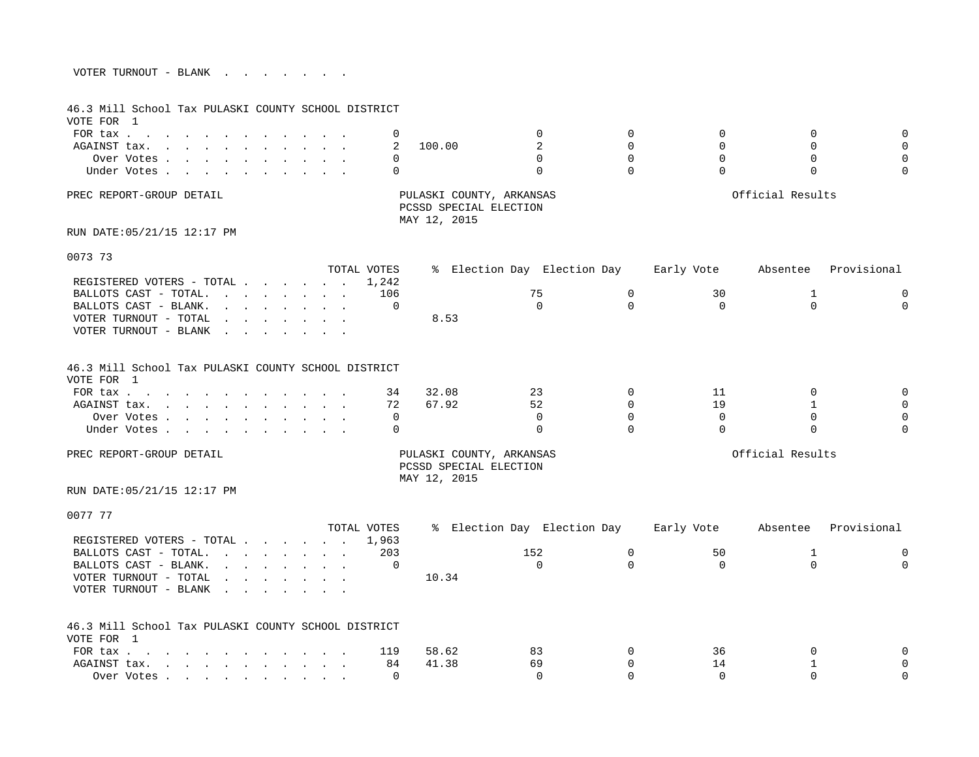| VOTER TURNOUT - BLANK |  |  |  |  |  |
|-----------------------|--|--|--|--|--|
|                       |  |  |  |  |  |

| 46.3 Mill School Tax PULASKI COUNTY SCHOOL DISTRICT<br>VOTE FOR 1                                                                                                                                                              |                                                                                                                                                                                                                                                             |  |             |              |                                                    |                         |                |                         |                         |
|--------------------------------------------------------------------------------------------------------------------------------------------------------------------------------------------------------------------------------|-------------------------------------------------------------------------------------------------------------------------------------------------------------------------------------------------------------------------------------------------------------|--|-------------|--------------|----------------------------------------------------|-------------------------|----------------|-------------------------|-------------------------|
| FOR tax                                                                                                                                                                                                                        |                                                                                                                                                                                                                                                             |  | 0           |              | $\mathbf 0$                                        | $\mathbf 0$             | $\Omega$       | $\Omega$                | $\mathbf{0}$            |
| AGAINST tax.                                                                                                                                                                                                                   |                                                                                                                                                                                                                                                             |  | 2           | 100.00       | 2                                                  | $\Omega$                | $\Omega$       | $\Omega$                | $\Omega$                |
| Over Votes                                                                                                                                                                                                                     |                                                                                                                                                                                                                                                             |  | 0           |              | $\Omega$                                           | $\Omega$                | $\Omega$       | $\Omega$                | $\Omega$                |
| Under Votes                                                                                                                                                                                                                    |                                                                                                                                                                                                                                                             |  | $\Omega$    |              | $\Omega$                                           | $\Omega$                | $\Omega$       | $\Omega$                | $\Omega$                |
| PREC REPORT-GROUP DETAIL                                                                                                                                                                                                       |                                                                                                                                                                                                                                                             |  |             | MAY 12, 2015 | PULASKI COUNTY, ARKANSAS<br>PCSSD SPECIAL ELECTION |                         |                | Official Results        |                         |
| RUN DATE: 05/21/15 12:17 PM                                                                                                                                                                                                    |                                                                                                                                                                                                                                                             |  |             |              |                                                    |                         |                |                         |                         |
| 0073 73                                                                                                                                                                                                                        |                                                                                                                                                                                                                                                             |  |             |              |                                                    |                         |                |                         |                         |
|                                                                                                                                                                                                                                |                                                                                                                                                                                                                                                             |  | TOTAL VOTES |              | % Election Day Election Day                        |                         | Early Vote     | Absentee                | Provisional             |
| REGISTERED VOTERS - TOTAL                                                                                                                                                                                                      |                                                                                                                                                                                                                                                             |  | 1,242       |              |                                                    |                         |                |                         |                         |
| BALLOTS CAST - TOTAL.                                                                                                                                                                                                          | the contract of the contract of the contract of the contract of the contract of the contract of the contract of                                                                                                                                             |  | 106         |              | 75                                                 | $\mathbf 0$             | 30             | 1                       | $\mathbf 0$             |
| BALLOTS CAST - BLANK.                                                                                                                                                                                                          | $\mathbf{r} = \mathbf{r} + \mathbf{r} + \mathbf{r} + \mathbf{r} + \mathbf{r} + \mathbf{r} + \mathbf{r}$                                                                                                                                                     |  | 0           |              | $\Omega$                                           | $\Omega$                | $\Omega$       | $\Omega$                | $\mathbf 0$             |
| VOTER TURNOUT - TOTAL<br>VOTER TURNOUT - BLANK                                                                                                                                                                                 | the contract of the contract of the contract of the contract of the contract of the contract of the contract of                                                                                                                                             |  |             | 8.53         |                                                    |                         |                |                         |                         |
|                                                                                                                                                                                                                                | the contract of the contract of the contract of the contract of the contract of the contract of the contract of                                                                                                                                             |  |             |              |                                                    |                         |                |                         |                         |
| 46.3 Mill School Tax PULASKI COUNTY SCHOOL DISTRICT<br>VOTE FOR 1                                                                                                                                                              |                                                                                                                                                                                                                                                             |  |             |              |                                                    |                         |                |                         |                         |
| FOR tax                                                                                                                                                                                                                        |                                                                                                                                                                                                                                                             |  | 34          | 32.08        | 23                                                 | $\Omega$                | 11             | $\Omega$                | $\Omega$                |
| AGAINST tax.<br>the contract of the contract of the contract of the contract of the contract of the contract of the contract of                                                                                                |                                                                                                                                                                                                                                                             |  | 72          | 67.92        | 52                                                 | $\Omega$                | 19             | $\mathbf{1}$            | $\mathbf 0$             |
| Over Votes                                                                                                                                                                                                                     |                                                                                                                                                                                                                                                             |  | $\mathbf 0$ |              | $\Omega$                                           | $\Omega$                | $\mathbf 0$    | $\Omega$                | $\Omega$                |
| Under Votes                                                                                                                                                                                                                    |                                                                                                                                                                                                                                                             |  | $\Omega$    |              | $\Omega$                                           | $\Omega$                | $\Omega$       | $\Omega$                | $\Omega$                |
| PREC REPORT-GROUP DETAIL                                                                                                                                                                                                       |                                                                                                                                                                                                                                                             |  |             |              | PULASKI COUNTY, ARKANSAS<br>PCSSD SPECIAL ELECTION |                         |                | Official Results        |                         |
| RUN DATE: 05/21/15 12:17 PM                                                                                                                                                                                                    |                                                                                                                                                                                                                                                             |  |             | MAY 12, 2015 |                                                    |                         |                |                         |                         |
| 0077 77                                                                                                                                                                                                                        |                                                                                                                                                                                                                                                             |  |             |              |                                                    |                         |                |                         |                         |
|                                                                                                                                                                                                                                |                                                                                                                                                                                                                                                             |  | TOTAL VOTES |              | % Election Day Election Day                        |                         | Early Vote     | Absentee                | Provisional             |
| REGISTERED VOTERS - TOTAL                                                                                                                                                                                                      |                                                                                                                                                                                                                                                             |  | 1,963       |              |                                                    |                         |                |                         |                         |
| BALLOTS CAST - TOTAL.<br>BALLOTS CAST - BLANK.                                                                                                                                                                                 |                                                                                                                                                                                                                                                             |  | 203<br>0    |              | 152<br>$\Omega$                                    | $\mathbf 0$<br>$\Omega$ | 50<br>$\Omega$ | $\mathbf 1$<br>$\Omega$ | $\mathbf 0$<br>$\Omega$ |
| VOTER TURNOUT - TOTAL                                                                                                                                                                                                          | $\mathbf{r} = \mathbf{r} \cdot \mathbf{r}$ , and $\mathbf{r} = \mathbf{r} \cdot \mathbf{r}$ , and $\mathbf{r} = \mathbf{r} \cdot \mathbf{r}$<br>$\mathbf{r} = \mathbf{r} - \mathbf{r}$ , $\mathbf{r} = \mathbf{r} - \mathbf{r}$ , $\mathbf{r} = \mathbf{r}$ |  |             | 10.34        |                                                    |                         |                |                         |                         |
| VOTER TURNOUT - BLANK                                                                                                                                                                                                          | the contract of the contract of the contract of the contract of the contract of the contract of the contract of                                                                                                                                             |  |             |              |                                                    |                         |                |                         |                         |
|                                                                                                                                                                                                                                |                                                                                                                                                                                                                                                             |  |             |              |                                                    |                         |                |                         |                         |
| 46.3 Mill School Tax PULASKI COUNTY SCHOOL DISTRICT<br>VOTE FOR 1                                                                                                                                                              |                                                                                                                                                                                                                                                             |  |             |              |                                                    |                         |                |                         |                         |
| FOR tax                                                                                                                                                                                                                        |                                                                                                                                                                                                                                                             |  | 119         | 58.62        | 83                                                 | 0                       | 36             | $\Omega$                | $\Omega$                |
| AGAINST tax.                                                                                                                                                                                                                   |                                                                                                                                                                                                                                                             |  | 84          | 41.38        | 69                                                 | $\Omega$                | 14             | 1                       | $\Omega$                |
| Over Votes and a construction of the construction of the construction of the construction of the construction of the construction of the construction of the construction of the construction of the construction of the const |                                                                                                                                                                                                                                                             |  | $\Omega$    |              | $\Omega$                                           | $\Omega$                | $\Omega$       | $\Omega$                | $\Omega$                |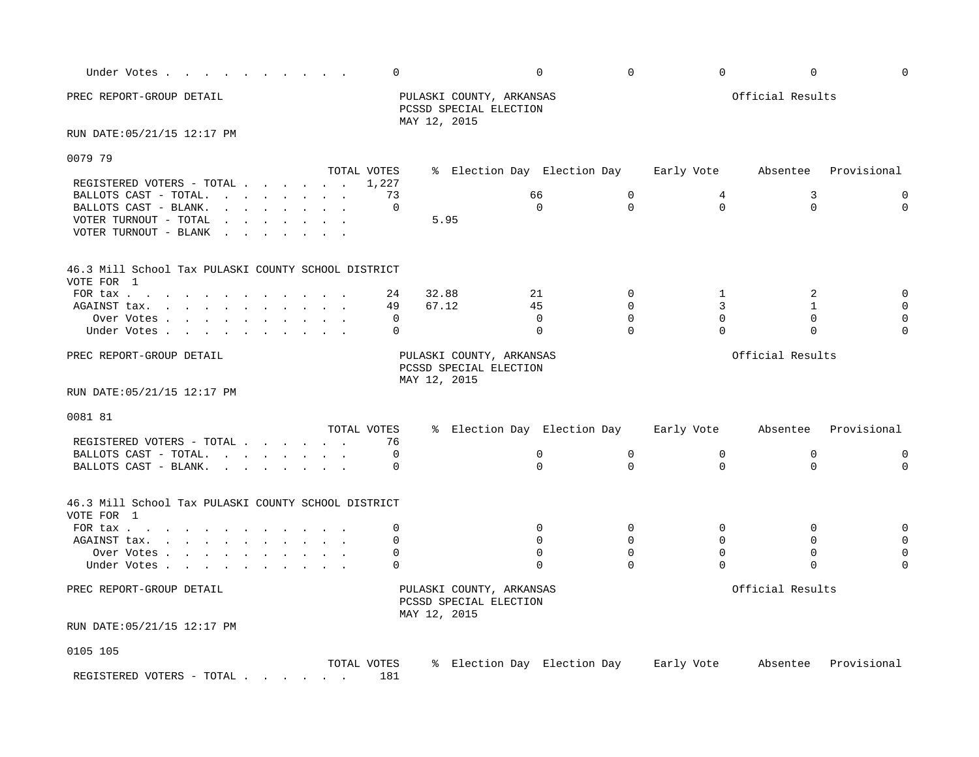| Under Votes                                         |                                                                                                                 | $\mathbf 0$ |                                                                    | $\mathbf 0$                            | $\mathbf 0$  | $\mathbf 0$  | $\mathbf 0$      | $\Omega$    |
|-----------------------------------------------------|-----------------------------------------------------------------------------------------------------------------|-------------|--------------------------------------------------------------------|----------------------------------------|--------------|--------------|------------------|-------------|
| PREC REPORT-GROUP DETAIL                            |                                                                                                                 |             | PULASKI COUNTY, ARKANSAS<br>PCSSD SPECIAL ELECTION<br>MAY 12, 2015 |                                        |              |              | Official Results |             |
| RUN DATE: 05/21/15 12:17 PM                         |                                                                                                                 |             |                                                                    |                                        |              |              |                  |             |
| 0079 79                                             |                                                                                                                 |             |                                                                    |                                        |              |              |                  |             |
|                                                     |                                                                                                                 | TOTAL VOTES |                                                                    | % Election Day Election Day            |              | Early Vote   | Absentee         | Provisional |
| REGISTERED VOTERS - TOTAL                           |                                                                                                                 | 1,227       |                                                                    |                                        |              |              |                  |             |
| BALLOTS CAST - TOTAL.                               |                                                                                                                 | 73          |                                                                    | 66                                     | $\mathbf 0$  | 4            | 3                | $\mathbf 0$ |
| BALLOTS CAST - BLANK.                               | and the contract of the contract of the                                                                         | 0           |                                                                    | $\mathbf 0$                            | $\Omega$     | $\Omega$     | $\mathbf 0$      | $\mathbf 0$ |
| VOTER TURNOUT - TOTAL                               | the contract of the contract of the contract of the contract of the contract of the contract of the contract of |             | 5.95                                                               |                                        |              |              |                  |             |
| VOTER TURNOUT - BLANK                               | and the state of the state of the state of the state of the state of the state of the state of the state of the |             |                                                                    |                                        |              |              |                  |             |
| 46.3 Mill School Tax PULASKI COUNTY SCHOOL DISTRICT |                                                                                                                 |             |                                                                    |                                        |              |              |                  |             |
| VOTE FOR 1                                          |                                                                                                                 |             |                                                                    |                                        |              |              |                  |             |
| FOR tax $\cdots$ $\cdots$ $\cdots$ $\cdots$         |                                                                                                                 | 24          | 32.88                                                              | 21                                     | $\Omega$     | 1            | 2                | $\mathbf 0$ |
| AGAINST tax.                                        |                                                                                                                 | 49          | 67.12                                                              | 45                                     | $\Omega$     | 3            | $\mathbf{1}$     |             |
| Over Votes                                          |                                                                                                                 | 0           |                                                                    | 0                                      | $\Omega$     | $\Omega$     | $\mathbf 0$      | 0           |
| Under Votes                                         |                                                                                                                 | $\Omega$    |                                                                    | $\Omega$                               | $\Omega$     | $\Omega$     | 0                | $\Omega$    |
| PREC REPORT-GROUP DETAIL                            |                                                                                                                 |             | PULASKI COUNTY, ARKANSAS<br>PCSSD SPECIAL ELECTION<br>MAY 12, 2015 |                                        |              |              | Official Results |             |
| RUN DATE: 05/21/15 12:17 PM                         |                                                                                                                 |             |                                                                    |                                        |              |              |                  |             |
| 0081 81                                             |                                                                                                                 |             |                                                                    |                                        |              |              |                  |             |
|                                                     |                                                                                                                 | TOTAL VOTES |                                                                    | % Election Day Election Day            |              | Early Vote   | Absentee         | Provisional |
| REGISTERED VOTERS - TOTAL                           |                                                                                                                 | 76          |                                                                    |                                        |              |              |                  |             |
| BALLOTS CAST - TOTAL.                               |                                                                                                                 | 0           |                                                                    | 0                                      | $\mathsf{O}$ | $\mathsf{O}$ | 0                | 0           |
| BALLOTS CAST - BLANK.                               |                                                                                                                 | 0           |                                                                    | $\mathbf 0$                            | $\Omega$     | $\Omega$     | $\mathbf 0$      | $\mathbf 0$ |
| 46.3 Mill School Tax PULASKI COUNTY SCHOOL DISTRICT |                                                                                                                 |             |                                                                    |                                        |              |              |                  |             |
| VOTE FOR 1                                          |                                                                                                                 |             |                                                                    |                                        |              |              |                  |             |
| FOR tax                                             |                                                                                                                 | 0           |                                                                    | $\mathbf 0$                            | 0            | 0            | $\mathbf 0$      |             |
| AGAINST tax.                                        |                                                                                                                 | 0           |                                                                    | $\Omega$                               | $\Omega$     | $\Omega$     | $\Omega$         |             |
| Over Votes                                          |                                                                                                                 | $\mathbf 0$ |                                                                    | $\mathbf 0$                            | $\mathbf 0$  | $\mathbf 0$  | $\mathbf 0$      |             |
| Under Votes                                         |                                                                                                                 | $\Omega$    |                                                                    | $\Omega$                               | $\Omega$     | $\Omega$     | $\Omega$         |             |
|                                                     |                                                                                                                 |             |                                                                    |                                        |              |              |                  |             |
| PREC REPORT-GROUP DETAIL                            |                                                                                                                 |             | PULASKI COUNTY, ARKANSAS<br>PCSSD SPECIAL ELECTION<br>MAY 12, 2015 |                                        |              |              | Official Results |             |
| RUN DATE: 05/21/15 12:17 PM                         |                                                                                                                 |             |                                                                    |                                        |              |              |                  |             |
| 0105 105                                            |                                                                                                                 |             |                                                                    |                                        |              |              |                  |             |
|                                                     |                                                                                                                 | TOTAL VOTES |                                                                    | % Election Day Election Day Early Vote |              |              | Absentee         | Provisional |
| REGISTERED VOTERS - TOTAL                           |                                                                                                                 | 181         |                                                                    |                                        |              |              |                  |             |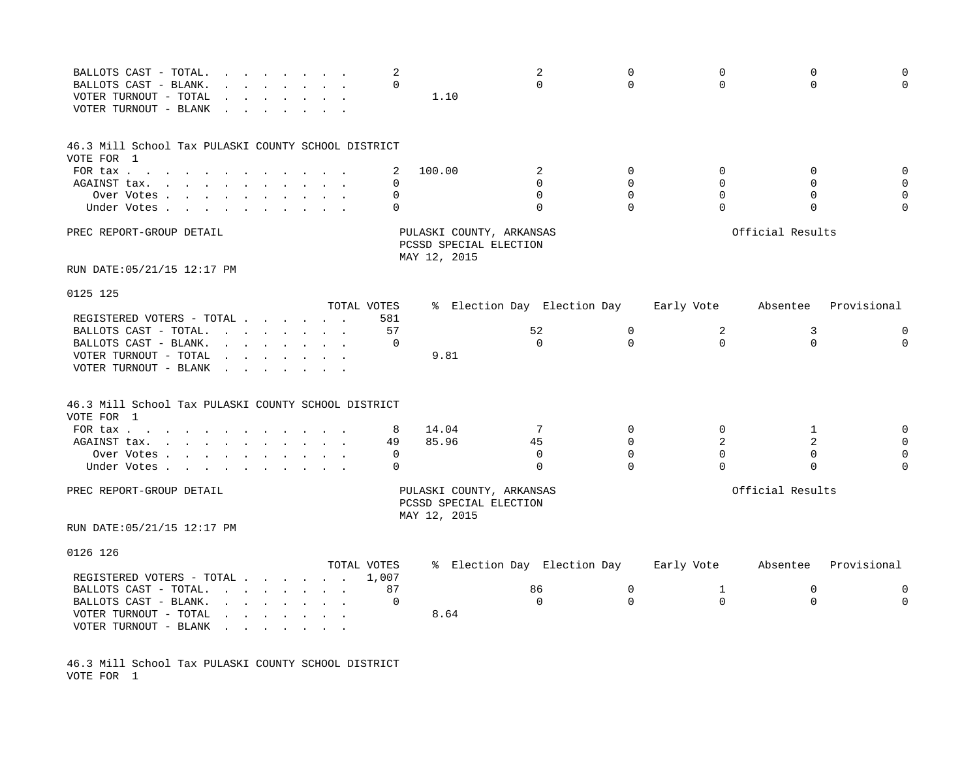| BALLOTS CAST - TOTAL.<br>the contract of the contract of the contract of the contract of the contract of<br>BALLOTS CAST - BLANK.<br>VOTER TURNOUT - TOTAL<br>VOTER TURNOUT - BLANK                                                                  |                                                                                                                                      | 2<br>$\Omega$ | 1.10                                                               | 2<br>$\Omega$               | $\Omega$<br>$\Omega$ | $\mathbf 0$<br>$\Omega$ | $\mathbf 0$<br>$\Omega$ | $\Omega$<br>$\Omega$ |
|------------------------------------------------------------------------------------------------------------------------------------------------------------------------------------------------------------------------------------------------------|--------------------------------------------------------------------------------------------------------------------------------------|---------------|--------------------------------------------------------------------|-----------------------------|----------------------|-------------------------|-------------------------|----------------------|
| 46.3 Mill School Tax PULASKI COUNTY SCHOOL DISTRICT                                                                                                                                                                                                  |                                                                                                                                      |               |                                                                    |                             |                      |                         |                         |                      |
| VOTE FOR 1                                                                                                                                                                                                                                           |                                                                                                                                      |               |                                                                    |                             |                      |                         |                         |                      |
| FOR tax                                                                                                                                                                                                                                              | $\sim$ $\sim$ $\sim$                                                                                                                 | 2             | 100.00                                                             | 2                           | $\Omega$             | $\Omega$                | $\Omega$                | 0                    |
| AGAINST tax.<br><u>in the second contract of the second contract of the second contract of the second contract of the second contract of the second contract of the second contract of the second contract of the second contract of the second </u> |                                                                                                                                      | $\Omega$      |                                                                    | $\Omega$                    | $\Omega$             | $\Omega$                | $\Omega$                | $\mathbf 0$          |
| Over Votes                                                                                                                                                                                                                                           |                                                                                                                                      | $\Omega$      |                                                                    | $\Omega$                    | $\Omega$             | $\Omega$                | $\Omega$                | $\mathbf 0$          |
| Under Votes                                                                                                                                                                                                                                          |                                                                                                                                      | $\Omega$      |                                                                    | $\Omega$                    | $\Omega$             | $\Omega$                | $\Omega$                | $\Omega$             |
| PREC REPORT-GROUP DETAIL                                                                                                                                                                                                                             |                                                                                                                                      |               | PULASKI COUNTY, ARKANSAS<br>PCSSD SPECIAL ELECTION<br>MAY 12, 2015 |                             |                      |                         | Official Results        |                      |
| RUN DATE: 05/21/15 12:17 PM                                                                                                                                                                                                                          |                                                                                                                                      |               |                                                                    |                             |                      |                         |                         |                      |
|                                                                                                                                                                                                                                                      |                                                                                                                                      |               |                                                                    |                             |                      |                         |                         |                      |
| 0125 125                                                                                                                                                                                                                                             |                                                                                                                                      | TOTAL VOTES   |                                                                    | % Election Day Election Day |                      | Early Vote              | Absentee                | Provisional          |
| REGISTERED VOTERS - TOTAL                                                                                                                                                                                                                            |                                                                                                                                      | 581           |                                                                    |                             |                      |                         |                         |                      |
| BALLOTS CAST - TOTAL.<br>the contract of the contract of the contract of the contract of the contract of the contract of the contract of                                                                                                             |                                                                                                                                      | 57            |                                                                    | 52                          | $\mathbf 0$          | 2                       | 3                       | 0                    |
| BALLOTS CAST - BLANK.                                                                                                                                                                                                                                | $\mathbf{r} = \mathbf{r} \cdot \mathbf{r}$ , where $\mathbf{r} = \mathbf{r} \cdot \mathbf{r}$                                        | $\Omega$      |                                                                    | $\Omega$                    | $\Omega$             | $\Omega$                | $\Omega$                | $\Omega$             |
| VOTER TURNOUT - TOTAL<br>$\mathbf{r}$<br>and the contract of the contract of                                                                                                                                                                         |                                                                                                                                      |               | 9.81                                                               |                             |                      |                         |                         |                      |
| VOTER TURNOUT - BLANK<br>$\sim$                                                                                                                                                                                                                      |                                                                                                                                      |               |                                                                    |                             |                      |                         |                         |                      |
| 46.3 Mill School Tax PULASKI COUNTY SCHOOL DISTRICT<br>VOTE FOR 1                                                                                                                                                                                    |                                                                                                                                      |               |                                                                    |                             |                      |                         |                         |                      |
| FOR tax                                                                                                                                                                                                                                              | $\sim$ $\sim$ $\sim$                                                                                                                 | 8             | 14.04                                                              | $7\phantom{.0}$             | $\mathbf 0$          | $\mathbf 0$             | 1                       | 0                    |
| AGAINST tax.<br>the contract of the contract of the contract of the contract of the contract of the contract of the contract of                                                                                                                      |                                                                                                                                      | 49            | 85.96                                                              | 45                          | $\Omega$             | 2                       | 2                       | $\mathbf 0$          |
| Over Votes                                                                                                                                                                                                                                           |                                                                                                                                      | 0             |                                                                    | 0                           | $\Omega$             | $\mathbf 0$             | $\mathbf 0$             | $\mathbf 0$          |
| Under Votes .<br>$\mathbf{r} = \mathbf{r} \cdot \mathbf{r}$ , where $\mathbf{r} = \mathbf{r} \cdot \mathbf{r}$                                                                                                                                       |                                                                                                                                      | $\Omega$      |                                                                    | $\Omega$                    | $\Omega$             | $\Omega$                | $\Omega$                | $\Omega$             |
| PREC REPORT-GROUP DETAIL                                                                                                                                                                                                                             |                                                                                                                                      |               | PULASKI COUNTY, ARKANSAS<br>PCSSD SPECIAL ELECTION<br>MAY 12, 2015 |                             |                      |                         | Official Results        |                      |
| RUN DATE: 05/21/15 12:17 PM                                                                                                                                                                                                                          |                                                                                                                                      |               |                                                                    |                             |                      |                         |                         |                      |
| 0126 126                                                                                                                                                                                                                                             |                                                                                                                                      |               |                                                                    |                             |                      |                         |                         |                      |
|                                                                                                                                                                                                                                                      |                                                                                                                                      | TOTAL VOTES   |                                                                    | % Election Day Election Day |                      | Early Vote              | Absentee                | Provisional          |
| REGISTERED VOTERS - TOTAL                                                                                                                                                                                                                            |                                                                                                                                      | 1,007         |                                                                    |                             |                      |                         |                         |                      |
| BALLOTS CAST - TOTAL.                                                                                                                                                                                                                                | $\mathbf{r} = \mathbf{r} \cdot \mathbf{r}$ , $\mathbf{r} = \mathbf{r} \cdot \mathbf{r}$ , $\mathbf{r} = \mathbf{r} \cdot \mathbf{r}$ | 87            |                                                                    | 86                          | 0                    | $\mathbf 1$             | 0                       | 0                    |
| BALLOTS CAST - BLANK.                                                                                                                                                                                                                                | $\mathbf{r}$ and $\mathbf{r}$ and $\mathbf{r}$ and $\mathbf{r}$ and $\mathbf{r}$                                                     | 0             |                                                                    | $\Omega$                    | $\Omega$             | $\mathbf 0$             | $\mathbf 0$             | $\mathbf 0$          |
| VOTER TURNOUT - TOTAL                                                                                                                                                                                                                                |                                                                                                                                      |               | 8.64                                                               |                             |                      |                         |                         |                      |
| VOTER TURNOUT - BLANK<br>the contract of the contract of the                                                                                                                                                                                         |                                                                                                                                      |               |                                                                    |                             |                      |                         |                         |                      |

46.3 Mill School Tax PULASKI COUNTY SCHOOL DISTRICT VOTE FOR 1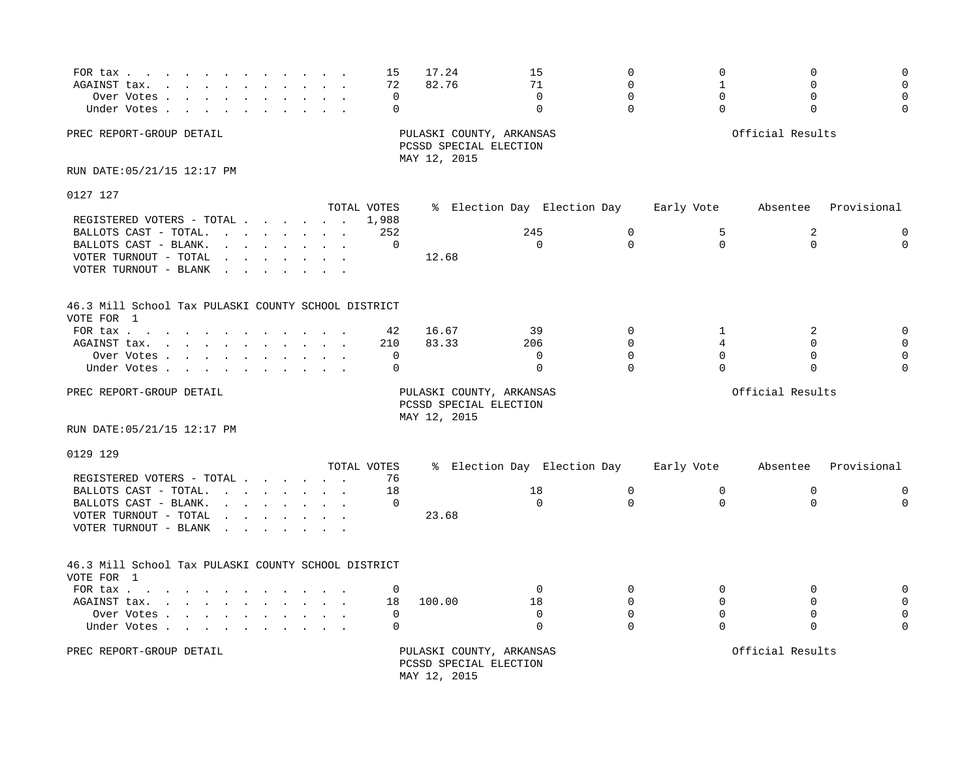| FOR tax<br>AGAINST tax.<br>the contract of the contract of the contract of the contract of the contract of the contract of the contract of<br>and the state of the<br>Over Votes<br>Under Votes                                                                                                                                                                                                                                                                                                                                                                                                                                  | 15<br>72<br>$\Omega$<br>$\Omega$ | 17.24<br>82.76                                                     | 15<br>71<br>$\Omega$<br>$\Omega$               | $\mathbf 0$<br>$\Omega$<br>$\Omega$<br>$\Omega$ | $\mathbf 0$<br>$\mathbf{1}$<br>$\Omega$<br>$\Omega$ | 0<br>$\Omega$<br>$\Omega$<br>$\Omega$        |                                        |
|----------------------------------------------------------------------------------------------------------------------------------------------------------------------------------------------------------------------------------------------------------------------------------------------------------------------------------------------------------------------------------------------------------------------------------------------------------------------------------------------------------------------------------------------------------------------------------------------------------------------------------|----------------------------------|--------------------------------------------------------------------|------------------------------------------------|-------------------------------------------------|-----------------------------------------------------|----------------------------------------------|----------------------------------------|
| PREC REPORT-GROUP DETAIL                                                                                                                                                                                                                                                                                                                                                                                                                                                                                                                                                                                                         |                                  | PULASKI COUNTY, ARKANSAS<br>PCSSD SPECIAL ELECTION<br>MAY 12, 2015 |                                                |                                                 |                                                     | Official Results                             |                                        |
| RUN DATE: 05/21/15 12:17 PM                                                                                                                                                                                                                                                                                                                                                                                                                                                                                                                                                                                                      |                                  |                                                                    |                                                |                                                 |                                                     |                                              |                                        |
| 0127 127                                                                                                                                                                                                                                                                                                                                                                                                                                                                                                                                                                                                                         |                                  |                                                                    |                                                |                                                 |                                                     |                                              |                                        |
| REGISTERED VOTERS - TOTAL<br>BALLOTS CAST - TOTAL.<br>BALLOTS CAST - BLANK.<br>$\mathbf{r} = \mathbf{r} + \mathbf{r}$ , where $\mathbf{r} = \mathbf{r} + \mathbf{r}$<br>VOTER TURNOUT - TOTAL<br>$\mathbf{r} = \mathbf{r} \cdot \mathbf{r}$ , where $\mathbf{r} = \mathbf{r} \cdot \mathbf{r}$<br>VOTER TURNOUT - BLANK<br>$\sim$ $\sim$ $\sim$                                                                                                                                                                                                                                                                                  | TOTAL VOTES<br>1,988<br>252<br>0 | 12.68                                                              | % Election Day Election Day<br>245<br>$\Omega$ | $\mathbf 0$<br>$\Omega$                         | Early Vote<br>5<br>$\Omega$                         | Absentee<br>2<br>$\Omega$                    | Provisional<br>$\mathbf 0$<br>$\Omega$ |
| 46.3 Mill School Tax PULASKI COUNTY SCHOOL DISTRICT<br>VOTE FOR 1                                                                                                                                                                                                                                                                                                                                                                                                                                                                                                                                                                |                                  |                                                                    |                                                |                                                 |                                                     |                                              |                                        |
| FOR tax $\cdots$ $\cdots$<br>AGAINST tax.<br>the contract of the contract of the contract of the contract of the contract of the contract of the contract of<br>Over Votes<br>Under Votes                                                                                                                                                                                                                                                                                                                                                                                                                                        | 42<br>210<br>$\mathbf 0$<br>0    | 16.67<br>83.33                                                     | 39<br>206<br>$\Omega$<br>$\mathbf 0$           | $\Omega$<br>$\Omega$<br>$\Omega$<br>$\Omega$    | 1<br>4<br>$\Omega$<br>$\Omega$                      | 2<br>$\Omega$<br>$\Omega$<br>$\mathbf 0$     | $\Omega$                               |
| PREC REPORT-GROUP DETAIL                                                                                                                                                                                                                                                                                                                                                                                                                                                                                                                                                                                                         |                                  | PULASKI COUNTY, ARKANSAS<br>PCSSD SPECIAL ELECTION<br>MAY 12, 2015 |                                                |                                                 |                                                     | Official Results                             |                                        |
| RUN DATE: 05/21/15 12:17 PM                                                                                                                                                                                                                                                                                                                                                                                                                                                                                                                                                                                                      |                                  |                                                                    |                                                |                                                 |                                                     |                                              |                                        |
| 0129 129                                                                                                                                                                                                                                                                                                                                                                                                                                                                                                                                                                                                                         | TOTAL VOTES                      |                                                                    | % Election Day Election Day                    |                                                 | Early Vote                                          | Absentee                                     | Provisional                            |
| REGISTERED VOTERS - TOTAL<br>BALLOTS CAST - TOTAL.<br>the contract of the contract of the contract of the contract of the contract of the contract of the contract of<br>BALLOTS CAST - BLANK.<br>$\mathbf{r}$ . The set of the set of the set of the set of the set of the set of the set of the set of the set of the set of the set of the set of the set of the set of the set of the set of the set of the set of the set of t<br>VOTER TURNOUT - TOTAL<br>$\mathbf{r}$ , $\mathbf{r}$ , $\mathbf{r}$ , $\mathbf{r}$ , $\mathbf{r}$ , $\mathbf{r}$<br>VOTER TURNOUT - BLANK<br>$\sim$ $\sim$<br>$\sim$ $\sim$ $\sim$ $\sim$ | 76<br>18<br>0                    | 23.68                                                              | 18<br>$\Omega$                                 | $\mathbf 0$<br>$\Omega$                         | $\mathbf 0$<br>$\Omega$                             | $\mathbf 0$<br>$\Omega$                      | $\mathbf 0$<br>$\Omega$                |
| 46.3 Mill School Tax PULASKI COUNTY SCHOOL DISTRICT<br>VOTE FOR 1                                                                                                                                                                                                                                                                                                                                                                                                                                                                                                                                                                |                                  |                                                                    |                                                |                                                 |                                                     |                                              |                                        |
| FOR tax $\ldots$ $\ldots$ $\ldots$ $\ldots$<br>AGAINST tax.<br>Over Votes<br>Under Votes                                                                                                                                                                                                                                                                                                                                                                                                                                                                                                                                         | 0<br>18<br>$\mathbf 0$<br>0      | 100.00                                                             | $\Omega$<br>18<br>$\mathbf 0$<br>$\Omega$      | $\Omega$<br>$\Omega$<br>$\Omega$<br>$\Omega$    | $\Omega$<br>$\Omega$<br>$\Omega$<br>$\Omega$        | $\Omega$<br>$\Omega$<br>$\Omega$<br>$\Omega$ | $\Omega$                               |
| PREC REPORT-GROUP DETAIL                                                                                                                                                                                                                                                                                                                                                                                                                                                                                                                                                                                                         |                                  | PULASKI COUNTY, ARKANSAS<br>PCSSD SPECIAL ELECTION<br>MAY 12, 2015 |                                                |                                                 |                                                     | Official Results                             |                                        |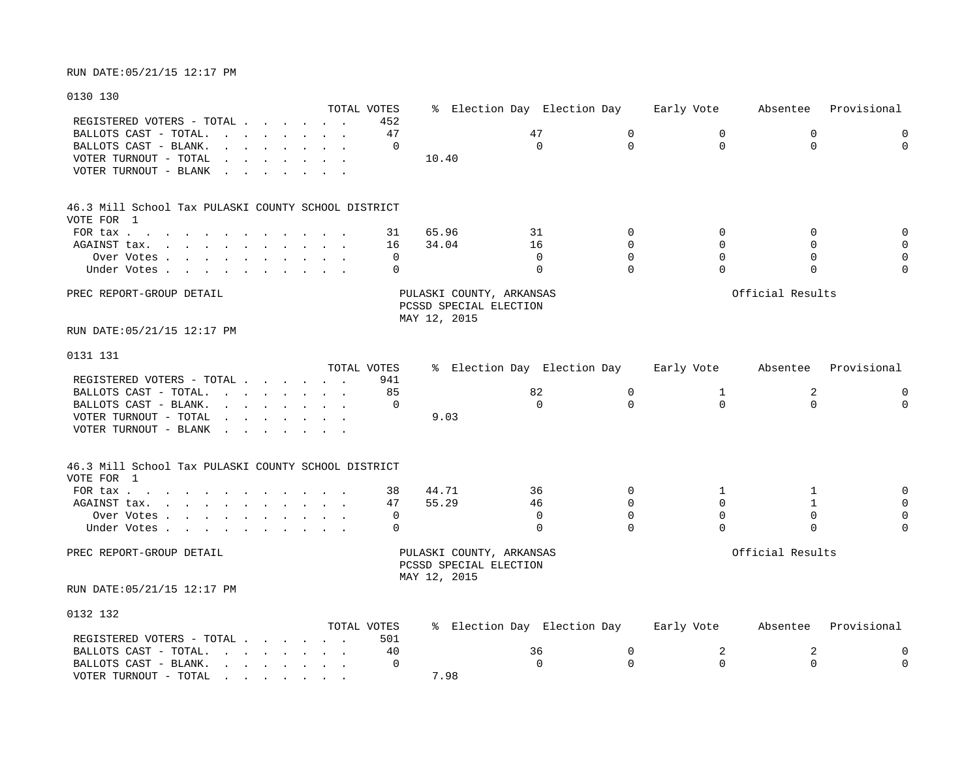### 0130 130

|                                                                                                                                                                                                     | TOTAL VOTES |          |                          | % Election Day Election Day |             | Early Vote  | Absentee         | Provisional  |
|-----------------------------------------------------------------------------------------------------------------------------------------------------------------------------------------------------|-------------|----------|--------------------------|-----------------------------|-------------|-------------|------------------|--------------|
| REGISTERED VOTERS - TOTAL                                                                                                                                                                           |             | 452      |                          |                             |             |             |                  |              |
| BALLOTS CAST - TOTAL.<br>the contract of the contract of the contract of the contract of the contract of the contract of the contract of                                                            |             | 47       |                          | 47                          | 0           | $\mathbf 0$ | 0                | $\mathbf 0$  |
| BALLOTS CAST - BLANK.                                                                                                                                                                               |             | 0        |                          | $\Omega$                    | $\Omega$    | $\mathbf 0$ | $\mathbf 0$      | $\mathbf 0$  |
| VOTER TURNOUT - TOTAL<br><u>in the second contract of the second second</u><br>$\ddot{\phantom{0}}$                                                                                                 |             |          | 10.40                    |                             |             |             |                  |              |
| VOTER TURNOUT - BLANK                                                                                                                                                                               |             |          |                          |                             |             |             |                  |              |
|                                                                                                                                                                                                     |             |          |                          |                             |             |             |                  |              |
| 46.3 Mill School Tax PULASKI COUNTY SCHOOL DISTRICT                                                                                                                                                 |             |          |                          |                             |             |             |                  |              |
| VOTE FOR 1                                                                                                                                                                                          |             |          |                          |                             |             |             |                  |              |
| FOR tax                                                                                                                                                                                             |             | 31       | 65.96                    | 31                          | $\Omega$    | $\mathbf 0$ | 0                | $\mathbf 0$  |
| AGAINST tax.<br>$\mathcal{L}(\mathbf{r}) = \mathbf{r} \cdot \mathbf{r}$ , and $\mathcal{L}(\mathbf{r}) = \mathbf{r} \cdot \mathbf{r}$ , and $\mathcal{L}(\mathbf{r}) = \mathbf{r} \cdot \mathbf{r}$ |             | 16       | 34.04                    | 16                          | $\mathbf 0$ | $\Omega$    | $\Omega$         | $\mathbf{0}$ |
| Over Votes                                                                                                                                                                                          |             | $\Omega$ |                          | $\Omega$                    | $\Omega$    | $\Omega$    | $\Omega$         | $\mathbf 0$  |
| Under Votes                                                                                                                                                                                         |             | 0        |                          | $\mathbf 0$                 | $\Omega$    | $\Omega$    | 0                | $\mathbf 0$  |
| PREC REPORT-GROUP DETAIL                                                                                                                                                                            |             |          | PULASKI COUNTY, ARKANSAS |                             |             |             | Official Results |              |
|                                                                                                                                                                                                     |             |          | PCSSD SPECIAL ELECTION   |                             |             |             |                  |              |
|                                                                                                                                                                                                     |             |          | MAY 12, 2015             |                             |             |             |                  |              |
| RUN DATE:05/21/15 12:17 PM                                                                                                                                                                          |             |          |                          |                             |             |             |                  |              |
|                                                                                                                                                                                                     |             |          |                          |                             |             |             |                  |              |
| 0131 131                                                                                                                                                                                            |             |          |                          |                             |             |             |                  |              |
|                                                                                                                                                                                                     | TOTAL VOTES |          |                          | % Election Day Election Day |             | Early Vote  | Absentee         | Provisional  |
| REGISTERED VOTERS - TOTAL                                                                                                                                                                           |             | 941      |                          |                             |             |             |                  |              |
| BALLOTS CAST - TOTAL.                                                                                                                                                                               |             | 85       |                          | 82                          | $\mathbf 0$ | 1           | 2                | $\mathbf 0$  |
| BALLOTS CAST - BLANK.<br><u>in the second contract of the second second</u>                                                                                                                         |             | $\Omega$ |                          | $\Omega$                    | $\Omega$    | $\Omega$    | $\Omega$         | $\Omega$     |
| VOTER TURNOUT - TOTAL<br>the contract of the contract of the contract of the contract of the contract of the contract of the contract of                                                            |             |          | 9.03                     |                             |             |             |                  |              |
| VOTER TURNOUT - BLANK                                                                                                                                                                               |             |          |                          |                             |             |             |                  |              |
|                                                                                                                                                                                                     |             |          |                          |                             |             |             |                  |              |
| 46.3 Mill School Tax PULASKI COUNTY SCHOOL DISTRICT<br>VOTE FOR 1                                                                                                                                   |             |          |                          |                             |             |             |                  |              |
|                                                                                                                                                                                                     |             |          |                          |                             |             |             |                  |              |
| FOR tax                                                                                                                                                                                             |             | 38       | 44.71                    | 36                          | $\Omega$    | 1           | 1                | $\mathbf 0$  |
| AGAINST tax.<br>the contract of the contract of the contract of the contract of the contract of the contract of the contract of                                                                     |             | 47       | 55.29                    | 46                          | 0           | $\mathbf 0$ | $\mathbf{1}$     | $\mathsf 0$  |
| Over Votes                                                                                                                                                                                          |             | 0        |                          | 0                           | $\Omega$    | $\Omega$    | $\mathbf 0$      | $\mathbf 0$  |
| Under Votes                                                                                                                                                                                         |             | 0        |                          | $\Omega$                    | $\Omega$    | $\Omega$    | $\Omega$         | $\Omega$     |
| PREC REPORT-GROUP DETAIL                                                                                                                                                                            |             |          | PULASKI COUNTY, ARKANSAS |                             |             |             | Official Results |              |
|                                                                                                                                                                                                     |             |          | PCSSD SPECIAL ELECTION   |                             |             |             |                  |              |
|                                                                                                                                                                                                     |             |          | MAY 12, 2015             |                             |             |             |                  |              |
| RUN DATE:05/21/15 12:17 PM                                                                                                                                                                          |             |          |                          |                             |             |             |                  |              |
| 0132 132                                                                                                                                                                                            |             |          |                          |                             |             |             |                  |              |
|                                                                                                                                                                                                     | TOTAL VOTES |          |                          | % Election Day Election Day |             | Early Vote  | Absentee         | Provisional  |
| REGISTERED VOTERS - TOTAL                                                                                                                                                                           |             | 501      |                          |                             |             |             |                  |              |
| BALLOTS CAST - TOTAL. $\cdot \cdot \cdot \cdot \cdot \cdot \cdot$                                                                                                                                   |             | 40       |                          | 36                          | 0           | 2           | 2                | $\mathbf 0$  |
| BALLOTS CAST - BLANK.<br>the contract of the contract of the                                                                                                                                        |             | $\Omega$ |                          | $\Omega$                    | $\Omega$    | $\Omega$    | $\Omega$         | $\Omega$     |

VOTER TURNOUT - TOTAL . . . . . . . . 7.98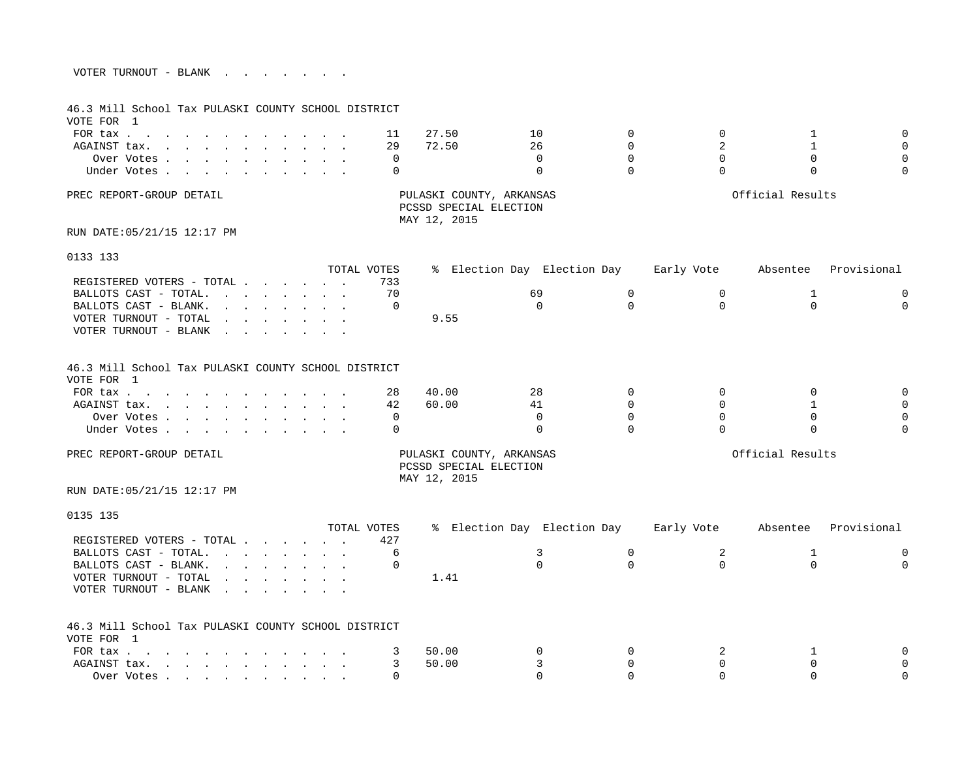| VOTER TURNOUT - BLANK |  |  |  |  |  |
|-----------------------|--|--|--|--|--|
|                       |  |  |  |  |  |

| 46.3 Mill School Tax PULASKI COUNTY SCHOOL DISTRICT<br>VOTE FOR 1                                                                                                                                                                                       |                                                                                                                                                                                                                                   |             |              |                                                                    |                             |             |            |                  |             |
|---------------------------------------------------------------------------------------------------------------------------------------------------------------------------------------------------------------------------------------------------------|-----------------------------------------------------------------------------------------------------------------------------------------------------------------------------------------------------------------------------------|-------------|--------------|--------------------------------------------------------------------|-----------------------------|-------------|------------|------------------|-------------|
| FOR tax                                                                                                                                                                                                                                                 |                                                                                                                                                                                                                                   | $\sim$      | 11           | 27.50                                                              | 10                          | $\Omega$    | $\Omega$   | 1                | $\Omega$    |
| AGAINST tax.                                                                                                                                                                                                                                            |                                                                                                                                                                                                                                   |             | 29           | 72.50                                                              | 26                          | $\Omega$    | 2          | $\mathbf{1}$     | $\Omega$    |
| Over Votes                                                                                                                                                                                                                                              |                                                                                                                                                                                                                                   |             | 0            |                                                                    | $\Omega$                    | $\Omega$    | $\Omega$   | $\mathbf 0$      | $\Omega$    |
| Under Votes                                                                                                                                                                                                                                             |                                                                                                                                                                                                                                   |             | $\Omega$     |                                                                    | $\Omega$                    | $\Omega$    | $\Omega$   | $\Omega$         | $\Omega$    |
|                                                                                                                                                                                                                                                         |                                                                                                                                                                                                                                   |             |              |                                                                    |                             |             |            |                  |             |
| PREC REPORT-GROUP DETAIL                                                                                                                                                                                                                                |                                                                                                                                                                                                                                   |             |              | PULASKI COUNTY, ARKANSAS<br>PCSSD SPECIAL ELECTION<br>MAY 12, 2015 |                             |             |            | Official Results |             |
| RUN DATE: 05/21/15 12:17 PM                                                                                                                                                                                                                             |                                                                                                                                                                                                                                   |             |              |                                                                    |                             |             |            |                  |             |
| 0133 133                                                                                                                                                                                                                                                |                                                                                                                                                                                                                                   |             |              |                                                                    |                             |             |            |                  |             |
|                                                                                                                                                                                                                                                         |                                                                                                                                                                                                                                   | TOTAL VOTES |              |                                                                    | % Election Day Election Day |             | Early Vote | Absentee         | Provisional |
| REGISTERED VOTERS - TOTAL                                                                                                                                                                                                                               |                                                                                                                                                                                                                                   |             | 733          |                                                                    |                             |             |            |                  |             |
| BALLOTS CAST - TOTAL. $\cdot \cdot \cdot \cdot \cdot \cdot \cdot$                                                                                                                                                                                       |                                                                                                                                                                                                                                   |             | 70           |                                                                    | 69                          | 0           | 0          | $\mathbf 1$      | $\mathbf 0$ |
| BALLOTS CAST - BLANK.<br><u>in the second contract of the second second</u>                                                                                                                                                                             |                                                                                                                                                                                                                                   |             | $\mathbf 0$  |                                                                    | $\Omega$                    | $\Omega$    | $\Omega$   | $\Omega$         | $\Omega$    |
| VOTER TURNOUT - TOTAL                                                                                                                                                                                                                                   | $\mathbf{r}$ . The set of the set of the set of the set of the set of the set of the set of the set of the set of the set of the set of the set of the set of the set of the set of the set of the set of the set of the set of t |             |              | 9.55                                                               |                             |             |            |                  |             |
| VOTER TURNOUT - BLANK<br>the contract of the contract of the contract of the contract of the contract of the contract of the contract of                                                                                                                |                                                                                                                                                                                                                                   |             |              |                                                                    |                             |             |            |                  |             |
| 46.3 Mill School Tax PULASKI COUNTY SCHOOL DISTRICT<br>VOTE FOR 1                                                                                                                                                                                       |                                                                                                                                                                                                                                   |             |              |                                                                    |                             |             |            |                  |             |
| FOR tax                                                                                                                                                                                                                                                 |                                                                                                                                                                                                                                   |             | 28           | 40.00                                                              | 28                          | $\Omega$    | $\Omega$   | $\mathbf 0$      | $\Omega$    |
| AGAINST tax.                                                                                                                                                                                                                                            |                                                                                                                                                                                                                                   |             | 42           | 60.00                                                              | 41                          | $\Omega$    | $\Omega$   | $\overline{1}$   | $\Omega$    |
| Over Votes                                                                                                                                                                                                                                              |                                                                                                                                                                                                                                   |             | 0            |                                                                    | $\Omega$                    | $\Omega$    | $\Omega$   | $\mathbf 0$      | $\Omega$    |
| Under Votes                                                                                                                                                                                                                                             |                                                                                                                                                                                                                                   |             | $\Omega$     |                                                                    | $\Omega$                    | $\Omega$    | $\Omega$   | $\Omega$         |             |
| PREC REPORT-GROUP DETAIL                                                                                                                                                                                                                                |                                                                                                                                                                                                                                   |             |              | PULASKI COUNTY, ARKANSAS<br>PCSSD SPECIAL ELECTION<br>MAY 12, 2015 |                             |             |            | Official Results |             |
| RUN DATE: 05/21/15 12:17 PM                                                                                                                                                                                                                             |                                                                                                                                                                                                                                   |             |              |                                                                    |                             |             |            |                  |             |
| 0135 135                                                                                                                                                                                                                                                |                                                                                                                                                                                                                                   |             |              |                                                                    |                             |             |            |                  |             |
|                                                                                                                                                                                                                                                         |                                                                                                                                                                                                                                   | TOTAL VOTES |              |                                                                    | % Election Day Election Day |             | Early Vote | Absentee         | Provisional |
| REGISTERED VOTERS - TOTAL                                                                                                                                                                                                                               |                                                                                                                                                                                                                                   |             | 427          |                                                                    |                             |             |            |                  |             |
| BALLOTS CAST - TOTAL.                                                                                                                                                                                                                                   |                                                                                                                                                                                                                                   |             | 6            |                                                                    | 3                           | $\mathbf 0$ | 2          | $\mathbf 1$      | $\mathbf 0$ |
| BALLOTS CAST - BLANK.<br>and the contract of the contract of the contract of the contract of the contract of the contract of the contract of the contract of the contract of the contract of the contract of the contract of the contract of the contra |                                                                                                                                                                                                                                   |             | $\mathbf{0}$ |                                                                    | $\Omega$                    | $\Omega$    | $\Omega$   | $\Omega$         | $\Omega$    |
| VOTER TURNOUT - TOTAL<br>VOTER TURNOUT - BLANK<br>the contract of the contract of the                                                                                                                                                                   | $\mathbf{r} = \mathbf{r} + \mathbf{r} + \mathbf{r} + \mathbf{r} + \mathbf{r} + \mathbf{r} + \mathbf{r}$                                                                                                                           |             |              | 1.41                                                               |                             |             |            |                  |             |
| 46.3 Mill School Tax PULASKI COUNTY SCHOOL DISTRICT<br>VOTE FOR 1                                                                                                                                                                                       |                                                                                                                                                                                                                                   |             |              |                                                                    |                             |             |            |                  |             |
| FOR tax                                                                                                                                                                                                                                                 |                                                                                                                                                                                                                                   |             | 3            | 50.00                                                              | 0                           | $\Omega$    | 2          | 1                |             |
| AGAINST tax.                                                                                                                                                                                                                                            |                                                                                                                                                                                                                                   |             | 3            | 50.00                                                              | 3                           | $\Omega$    | $\Omega$   | $\Omega$         | ∩           |
| Over Votes and the contract of the contract of the contract of the contract of the contract of the contract of                                                                                                                                          |                                                                                                                                                                                                                                   |             |              |                                                                    | $\cap$                      | $\Omega$    | $\Omega$   | $\cap$           | $\Omega$    |
|                                                                                                                                                                                                                                                         |                                                                                                                                                                                                                                   |             |              |                                                                    |                             |             |            |                  |             |